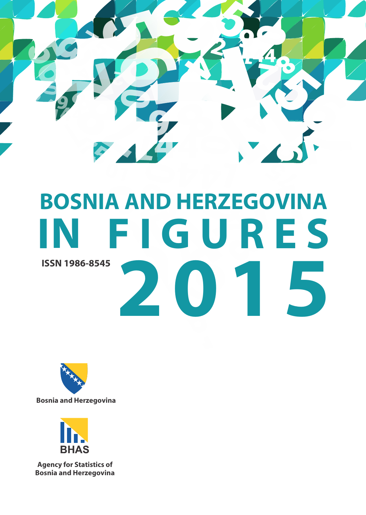

# **BOSNIA AND HERZEGOVINA IN F I G U R E S 2 0 1 5 ISSN 1986-8545**



**Bosnia and Herzegovina**



**Agency for Statistics of Bosnia and Herzegovina**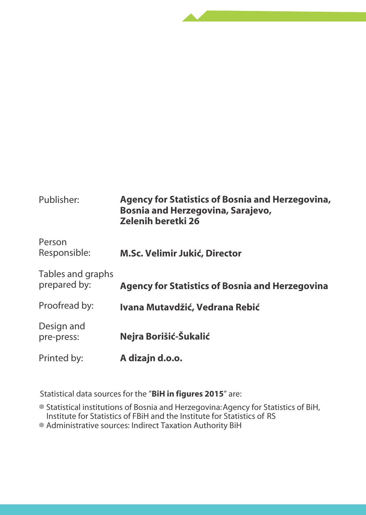| Publisher:                        | <b>Agency for Statistics of Bosnia and Herzegovina,</b><br>Bosnia and Herzegovina, Sarajevo,<br>Zelenih beretki 26 |
|-----------------------------------|--------------------------------------------------------------------------------------------------------------------|
| Person<br>Responsible:            | M.Sc. Velimir Jukić, Director                                                                                      |
| Tables and graphs<br>prepared by: | <b>Agency for Statistics of Bosnia and Herzegovina</b>                                                             |
| Proofread by:                     | Ivana Mutavdžić, Vedrana Rebić                                                                                     |
| Design and<br>pre-press:          | Nejra Borišić-Šukalić                                                                                              |
| Printed by:                       | A dizajn d.o.o.                                                                                                    |

Statistical data sources for the "BiH in figures 2015" are:

- Statistical institutions of Bosnia and Herzegovina: Agency for Statistics of BiH, Institute for Statistics of FBiH and the Institute for Statistics of RS

- Administrative sources: Indirect Taxation Authority BiH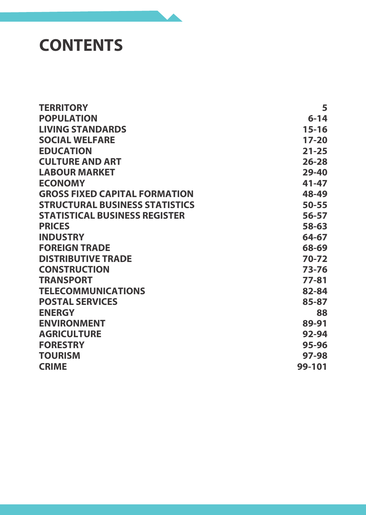# **CONTENTS**

| <b>TERRITORY</b>                      | 5         |
|---------------------------------------|-----------|
| <b>POPULATION</b>                     | $6 - 14$  |
| <b>LIVING STANDARDS</b>               | 15-16     |
| <b>SOCIAL WELFARE</b>                 | $17-20$   |
| <b>EDUCATION</b>                      | $21 - 25$ |
| <b>CULTURE AND ART</b>                | $26 - 28$ |
| <b>LABOUR MARKET</b>                  | $29 - 40$ |
| <b>ECONOMY</b>                        | 41-47     |
| <b>GROSS FIXED CAPITAL FORMATION</b>  | 48-49     |
| <b>STRUCTURAL BUSINESS STATISTICS</b> | $50 - 55$ |
| <b>STATISTICAL BUSINESS REGISTER</b>  | 56-57     |
| <b>PRICES</b>                         | 58-63     |
| <b>INDUSTRY</b>                       | 64-67     |
| <b>FOREIGN TRADE</b>                  | 68-69     |
| <b>DISTRIBUTIVE TRADE</b>             | 70-72     |
| <b>CONSTRUCTION</b>                   | 73-76     |
| <b>TRANSPORT</b>                      | $77 - 81$ |
| <b>TELECOMMUNICATIONS</b>             | 82-84     |
| <b>POSTAL SERVICES</b>                | 85-87     |
| <b>ENERGY</b>                         | 88        |
| <b>ENVIRONMENT</b>                    | 89-91     |
| <b>AGRICULTURE</b>                    | 92-94     |
| <b>FORESTRY</b>                       | 95-96     |
| <b>TOURISM</b>                        | 97-98     |
| <b>CRIME</b>                          | 99-101    |
|                                       |           |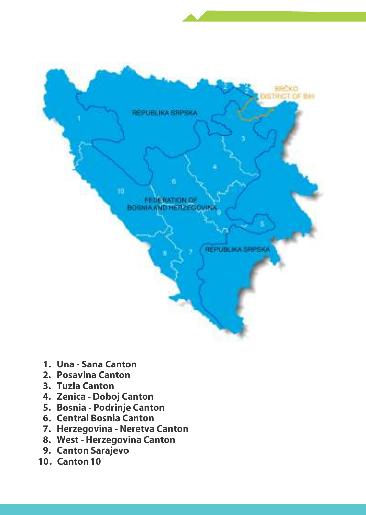- **1. Una Sana Canton**
- **2. Posavina Canton**
- **3. Tuzla Canton**
- **4. Zenica Doboj Canton**
- **5. Bosnia Podrinje Canton**
- **6. Central Bosnia Canton**
- **7. Herzegovina Neretva Canton**
- **8. West Herzegovina Canton**
- **9. Canton Sarajevo**
- **10 . Canton 10**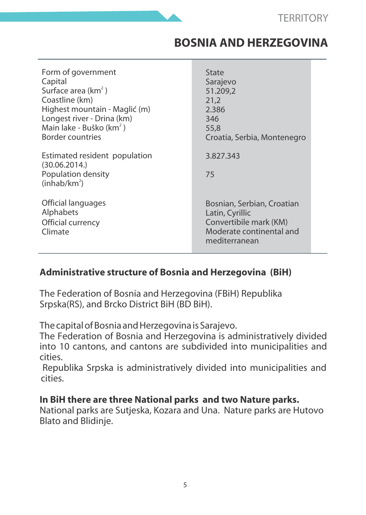#### **BOSNIA AND HERZEGOVINA**

| Form of government<br>Capital<br>Surface area (km <sup>2</sup> )<br>Coastline (km)<br>Highest mountain - Maglić (m)<br>Longest river - Drina (km)<br>Main lake - Buško (km <sup>2</sup> )<br><b>Border countries</b> | State<br>Sarajevo<br>51.209.2<br>21,2<br>2.386<br>346<br>55.8<br>Croatia, Serbia, Montenegro |
|----------------------------------------------------------------------------------------------------------------------------------------------------------------------------------------------------------------------|----------------------------------------------------------------------------------------------|
| Estimated resident population<br>(30.06.2014.)                                                                                                                                                                       | 3.827.343                                                                                    |
| Population density<br>(inhab/km <sup>2</sup> )                                                                                                                                                                       | 75                                                                                           |
| Official languages<br>Alphabets                                                                                                                                                                                      | Bosnian, Serbian, Croatian<br>Latin, Cyrillic                                                |
| Official currency<br>Climate                                                                                                                                                                                         | Convertibile mark (KM)<br>Moderate continental and<br>mediterranean                          |

#### **Administrative structure of Bosnia and Herzegovina (BiH)**

The Federation of Bosnia and Herzegovina (FBiH) Republika Srpska(RS), and Brcko District BiH (BD BiH).

The capital of Bosnia and Herzegovina is Sarajevo.

The Federation of Bosnia and Herzegovina is administratively divided into 10 cantons, and cantons are subdivided into municipalities and cities.

Republika Srpska is administratively divided into municipalities and cities.

#### **In BiH there are three National parks and two Nature parks.**

National parks are Sutjeska, Kozara and Una. Nature parks are Hutovo Blato and Blidinje.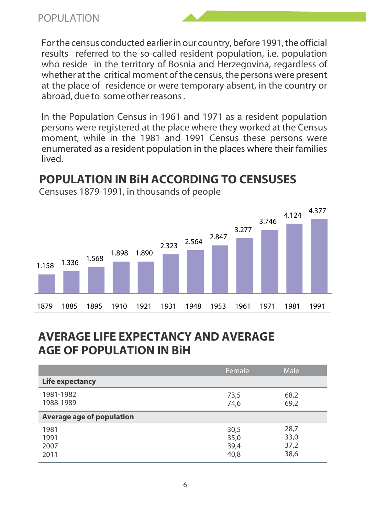For the census conducted earlier in our country, before 1991, the official results referred to the so-called resident population, i.e. population who reside in the territory of Bosnia and Herzegovina, regardless of whether at the critical moment of the census, the persons were present at the place of residence or were temporary absent, in the country or abroad, due to some other reasons .

In the Population Census in 1961 and 1971 as a resident population persons were registered at the place where they worked at the Census moment, while in the 1981 and 1991 Census these persons were enumerated as a resident population in the places where their families lived.

# **POPULATION IN BiH ACCORDING TO CENSUSES**



Censuses 1879-1991, in thousands of people

#### **AVERAGE LIFE EXPECTANCY AND AVERAGE AGE OF POPULATION IN BiH**

|                              | Female                       | Male                         |
|------------------------------|------------------------------|------------------------------|
| Life expectancy              |                              |                              |
| 1981-1982<br>1988-1989       | 73,5<br>74.6                 | 68,2<br>69.2                 |
| Average age of population    |                              |                              |
| 1981<br>1991<br>2007<br>2011 | 30,5<br>35,0<br>39,4<br>40,8 | 28,7<br>33,0<br>37,2<br>38,6 |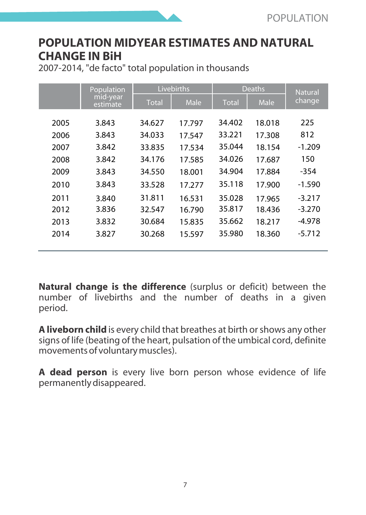#### **POPULATION MIDYEAR ESTIMATES AND NATURAL CHANGE IN BiH**

2007-2014, "de facto" total population in thousands

|      | Population           |              | Livebirths |              | <b>Deaths</b> | <b>Natural</b> |
|------|----------------------|--------------|------------|--------------|---------------|----------------|
|      | mid-year<br>estimate | <b>Total</b> | Male       | <b>Total</b> | Male          | change         |
| 2005 | 3.843                | 34.627       | 17.797     | 34.402       | 18.018        | 225            |
| 2006 | 3.843                | 34.033       | 17.547     | 33.221       | 17.308        | 812            |
| 2007 | 3.842                | 33.835       | 17.534     | 35.044       | 18.154        | $-1.209$       |
| 2008 | 3.842                | 34.176       | 17.585     | 34.026       | 17.687        | 150            |
| 2009 | 3.843                | 34.550       | 18.001     | 34.904       | 17.884        | $-354$         |
| 2010 | 3.843                | 33.528       | 17.277     | 35.118       | 17.900        | $-1.590$       |
| 2011 | 3.840                | 31.811       | 16.531     | 35.028       | 17.965        | $-3.217$       |
| 2012 | 3.836                | 32.547       | 16.790     | 35.817       | 18.436        | $-3.270$       |
| 2013 | 3.832                | 30.684       | 15.835     | 35.662       | 18.217        | $-4.978$       |
| 2014 | 3.827                | 30.268       | 15.597     | 35.980       | 18.360        | $-5.712$       |

**Natural change is the difference** (surplus or deficit) between the number of livebirths and the number of deaths in a given period.

**A liveborn child** is every child that breathes at birth or shows any other signs of life (beating of the heart, pulsation of the umbical cord, definite movements of voluntary muscles).

**A dead person** is every live born person whose evidence of life permanently disappeared.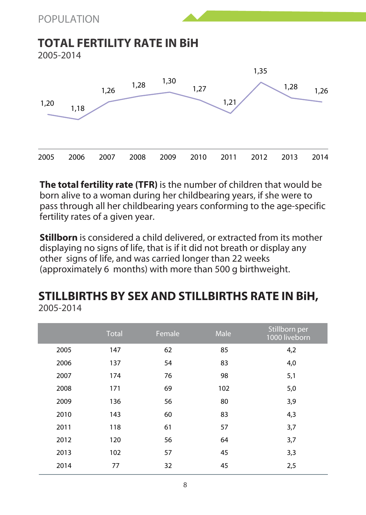#### **TOTAL FERTILITY RATE IN BiH**

2005-2014



**The total fertility rate (TFR)** is the number of children that would be born alive to a woman during her childbearing years, if she were to pass through all her childbearing years conforming to the age-specific fertility rates of a given year.

**Stillborn** is considered a child delivered, or extracted from its mother displaying no signs of life, that is if it did not breath or display any other signs of life, and was carried longer than 22 weeks (approximately 6 months) with more than 500 g birthweight.

#### **STILLBIRTHS BY SEX AND STILLBIRTHS RATE IN BiH,** 2005-2014

|      | <b>Total</b> | Female | Male | Stillborn per<br>1000 liveborn |
|------|--------------|--------|------|--------------------------------|
| 2005 | 147          | 62     | 85   | 4,2                            |
| 2006 | 137          | 54     | 83   | 4,0                            |
| 2007 | 174          | 76     | 98   | 5,1                            |
| 2008 | 171          | 69     | 102  | 5,0                            |
| 2009 | 136          | 56     | 80   | 3,9                            |
| 2010 | 143          | 60     | 83   | 4,3                            |
| 2011 | 118          | 61     | 57   | 3,7                            |
| 2012 | 120          | 56     | 64   | 3,7                            |
| 2013 | 102          | 57     | 45   | 3,3                            |
| 2014 | 77           | 32     | 45   | 2,5                            |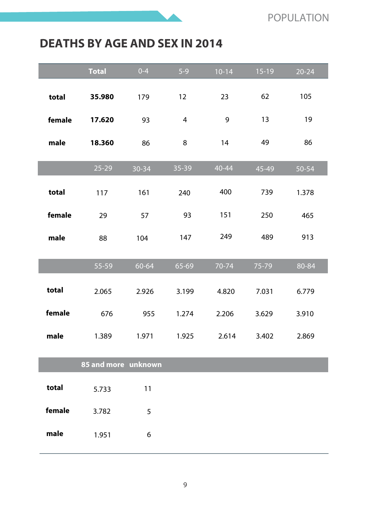#### **DEATHS BY AGE AND SEX IN 2014**

|        | <b>Total</b>        | $0 - 4$   | $5-9$ | $10 - 14$ | $15-19$ | $20 - 24$ |
|--------|---------------------|-----------|-------|-----------|---------|-----------|
| total  | 35.980              | 179       | 12    | 23        | 62      | 105       |
| female | 17.620              | 93        | 4     | 9         | 13      | 19        |
| male   | 18.360              | 86        | 8     | 14        | 49      | 86        |
|        | $25 - 29$           | $30 - 34$ | 35-39 | $40 - 44$ | 45-49   | $50 - 54$ |
| total  | 117                 | 161       | 240   | 400       | 739     | 1.378     |
| female | 29                  | 57        | 93    | 151       | 250     | 465       |
| male   | 88                  | 104       | 147   | 249       | 489     | 913       |
|        | 55-59               | 60-64     | 65-69 | 70-74     | 75-79   | 80-84     |
| total  | 2.065               | 2.926     | 3.199 | 4.820     | 7.031   | 6.779     |
| female | 676                 | 955       | 1.274 | 2.206     | 3.629   | 3.910     |
| male   | 1.389               | 1.971     | 1.925 | 2.614     | 3.402   | 2.869     |
|        | 85 and more unknown |           |       |           |         |           |
| total  | 5.733               | 11        |       |           |         |           |
| female | 3.782               | 5         |       |           |         |           |
| male   | 1.951               | 6         |       |           |         |           |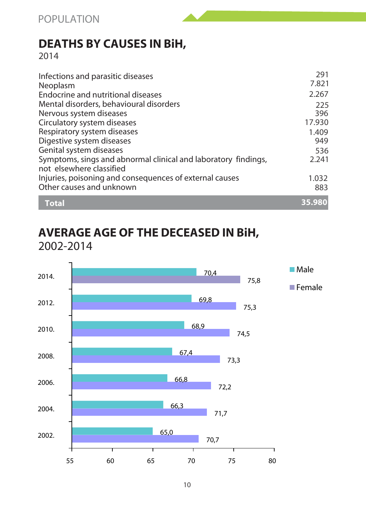# **DEATHS BY CAUSES IN BiH,**

2014

| Infections and parasitic diseases<br>Neoplasm                                              | 291<br>7.821 |
|--------------------------------------------------------------------------------------------|--------------|
| Endocrine and nutritional diseases                                                         | 2.267        |
| Mental disorders, behavioural disorders                                                    | 225          |
| Nervous system diseases                                                                    | 396          |
| Circulatory system diseases                                                                | 17.930       |
| Respiratory system diseases                                                                | 1.409        |
| Digestive system diseases                                                                  | 949          |
| Genital system diseases                                                                    | 536          |
| Symptoms, sings and abnormal clinical and laboratory findings,<br>not elsewhere classified | 2.241        |
| Injuries, poisoning and consequences of external causes                                    | 1.032        |
| Other causes and unknown                                                                   | 883          |
| <b>Total</b>                                                                               | 35,980       |

#### **AVERAGE AGE OF THE DECEASED IN BiH,** 2002-2014

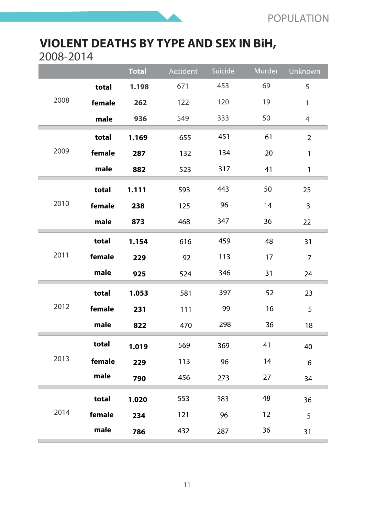# **VIOLENT DEATHS BY TYPE AND SEX IN BiH,**

2008-2014

|      |        | <b>Total</b> | Accident | Suicide | Murder | Unknown        |
|------|--------|--------------|----------|---------|--------|----------------|
|      | total  | 1.198        | 671      | 453     | 69     | 5              |
| 2008 | female | 262          | 122      | 120     | 19     | 1              |
|      | male   | 936          | 549      | 333     | 50     | $\overline{4}$ |
|      | total  | 1.169        | 655      | 451     | 61     | $\overline{2}$ |
| 2009 | female | 287          | 132      | 134     | 20     | 1              |
|      | male   | 882          | 523      | 317     | 41     | $\mathbf{1}$   |
|      | total  | 1.111        | 593      | 443     | 50     | 25             |
| 2010 | female | 238          | 125      | 96      | 14     | 3              |
|      | male   | 873          | 468      | 347     | 36     | 22             |
|      | total  | 1.154        | 616      | 459     | 48     | 31             |
| 2011 | female | 229          | 92       | 113     | 17     | $\overline{7}$ |
|      | male   | 925          | 524      | 346     | 31     | 24             |
|      | total  | 1.053        | 581      | 397     | 52     | 23             |
| 2012 | female | 231          | 111      | 99      | 16     | 5              |
|      | male   | 822          | 470      | 298     | 36     | 18             |
|      | total  | 1.019        | 569      | 369     | 41     | 40             |
| 2013 | female | 229          | 113      | 96      | 14     | 6              |
|      | male   | 790          | 456      | 273     | 27     | 34             |
|      | total  | 1.020        | 553      | 383     | 48     | 36             |
| 2014 | female | 234          | 121      | 96      | 12     | 5              |
|      | male   | 786          | 432      | 287     | 36     | 31             |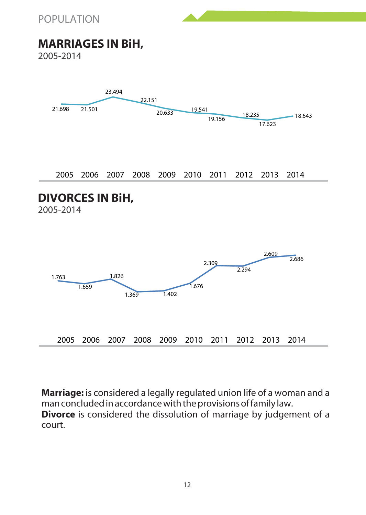

# **MARRIAGES IN BiH,**

2005-2014



2005 2006 2007 2008 2009 2010 2011 2012 2013 2014

#### **DIVORCES IN BiH,**

2005-2014



**Marriage:** is considered a legally regulated union life of a woman and a man concluded in accordance with the provisions of family law. **Divorce** is considered the dissolution of marriage by judgement of a court.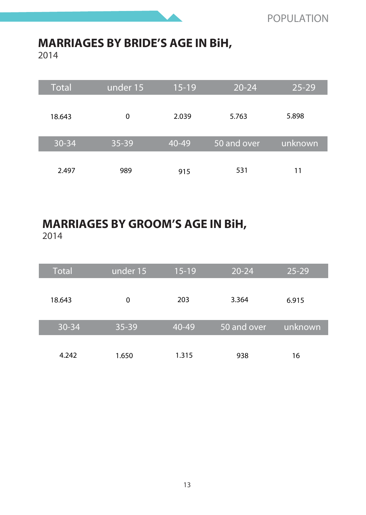# **MARRIAGES BY BRIDES AGE IN BiH,**

2014

| <b>Total</b> | under 15 | $15-19$   | $20 - 24$   | $25 - 29$ |
|--------------|----------|-----------|-------------|-----------|
| 18.643       | $\Omega$ | 2.039     | 5.763       | 5.898     |
| $30 - 34$    | 35-39    | $40 - 49$ | 50 and over | unknown   |
| 2.497        | 989      | 915       | 531         | 11        |

#### **MARRIAGES BY GROOMS AGE IN BiH,** 2014

| <b>Total</b> | under 15  | $15-19$ | $20 - 24$   | $25 - 29$ |
|--------------|-----------|---------|-------------|-----------|
| 18.643       | 0         | 203     | 3.364       | 6.915     |
| $30 - 34$    | $35 - 39$ | 40-49   | 50 and over | unknown   |
| 4.242        | 1.650     | 1.315   | 938         | 16        |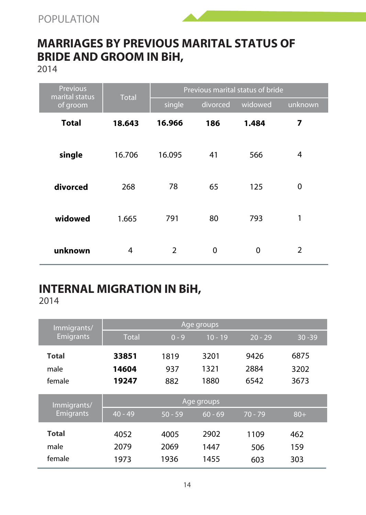



2014

| <b>Previous</b><br>marital status | <b>Total</b>   | Previous marital status of bride |          |         |         |  |
|-----------------------------------|----------------|----------------------------------|----------|---------|---------|--|
| of groom                          |                | single                           | divorced | widowed | unknown |  |
| <b>Total</b>                      | 18.643         | 16.966                           | 186      | 1.484   | 7       |  |
| single                            | 16.706         | 16.095                           | 41       | 566     | 4       |  |
| divorced                          | 268            | 78                               | 65       | 125     | 0       |  |
| widowed                           | 1.665          | 791                              | 80       | 793     | 1       |  |
| unknown                           | $\overline{4}$ | $\overline{2}$                   | $\Omega$ | 0       | 2       |  |

#### **INTERNAL MIGRATION IN BiH,** 2014

| Immigrants/      | Age groups   |           |           |           |           |  |  |
|------------------|--------------|-----------|-----------|-----------|-----------|--|--|
| <b>Emigrants</b> | <b>Total</b> | $0 - 9$   | $10 - 19$ | $20 - 29$ | $30 - 39$ |  |  |
| <b>Total</b>     | 33851        | 1819      | 3201      | 9426      | 6875      |  |  |
| male             | 14604        | 937       | 1321      | 2884      | 3202      |  |  |
| female           | 19247        | 882       | 1880      | 6542      | 3673      |  |  |
| Immigrants/      | Age groups   |           |           |           |           |  |  |
| <b>Emigrants</b> | $40 - 49$    | $50 - 59$ | $60 - 69$ | $70 - 79$ | $80+$     |  |  |
| <b>Total</b>     | 4052         | 4005      | 2902      | 1109      | 462       |  |  |
| male             | 2079         | 2069      | 1447      | 506       | 159       |  |  |
| female           | 1973         | 1936      | 1455      | 603       | 303       |  |  |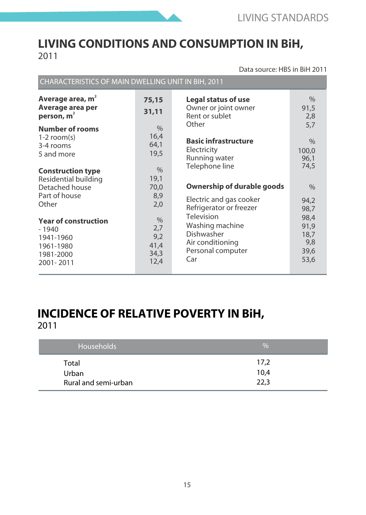

#### **LIVING CONDITIONS AND CONSUMPTION IN BiH,** 2011

Data source: HBS in BiH 2011

| Average area, m <sup>2</sup><br>Average area per<br>person, m <sup>2</sup>                                                             | 75,15<br>31,11                                                 | Legal status of use<br>Owner or joint owner<br>Rent or sublet<br>Other                                                                                                          | $\%$<br>91,5<br>2,8                                                 |
|----------------------------------------------------------------------------------------------------------------------------------------|----------------------------------------------------------------|---------------------------------------------------------------------------------------------------------------------------------------------------------------------------------|---------------------------------------------------------------------|
| <b>Number of rooms</b><br>$1-2$ room(s)<br>3-4 rooms<br>5 and more<br><b>Construction type</b><br>Residential building                 | $\frac{0}{0}$<br>16.4<br>64,1<br>19,5<br>$\frac{0}{0}$<br>19,1 | <b>Basic infrastructure</b><br>Electricity<br>Running water<br>Telephone line                                                                                                   | 5.7<br>$\%$<br>100.0<br>96,1<br>74.5                                |
| Detached house<br>Part of house<br>Other<br><b>Year of construction</b><br>$-1940$<br>1941-1960<br>1961-1980<br>1981-2000<br>2001-2011 | 70.0<br>8,9<br>2,0<br>%<br>2,7<br>9,2<br>41.4<br>34,3<br>12.4  | Ownership of durable goods<br>Electric and gas cooker<br>Refrigerator or freezer<br>Television<br>Washing machine<br>Dishwasher<br>Air conditioning<br>Personal computer<br>Car | $\%$<br>94.2<br>98,7<br>98.4<br>91,9<br>18.7<br>9,8<br>39,6<br>53,6 |

#### **INCIDENCE OF RELATIVE POVERTY IN BiH,**  2011

| Households           | $\%$ |
|----------------------|------|
| Total                | 17.2 |
| Urban                | 10.4 |
| Rural and semi-urban | 22.3 |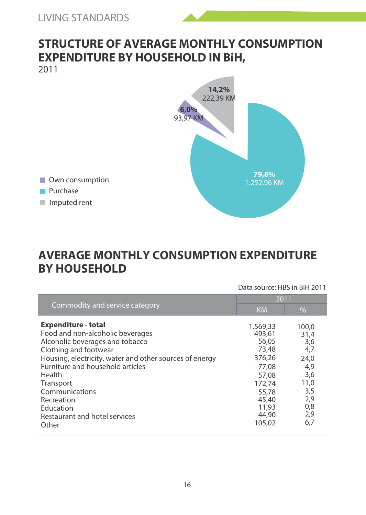# **STRUCTURE OF AVERAGE MONTHLY CONSUMPTION EXPENDITURE BY HOUSEHOLD IN BiH,**

2011



Own consumption

**Purchase** 

Imputed rent

#### **AVERAGE MONTHLY CONSUMPTION EXPENDITURE BY HOUSEHOLD**

|                                                                                                                                                                                                                                                                                                                                                | Data source: HBS in BiH 2011                                                                                             |                                                                                              |  |
|------------------------------------------------------------------------------------------------------------------------------------------------------------------------------------------------------------------------------------------------------------------------------------------------------------------------------------------------|--------------------------------------------------------------------------------------------------------------------------|----------------------------------------------------------------------------------------------|--|
|                                                                                                                                                                                                                                                                                                                                                | 2011                                                                                                                     |                                                                                              |  |
| Commodity and service category                                                                                                                                                                                                                                                                                                                 | <b>KM</b>                                                                                                                | %                                                                                            |  |
| <b>Expenditure - total</b><br>Food and non-alcoholic beverages<br>Alcoholic beverages and tobacco<br>Clothing and footwear<br>Housing, electricity, water and other sources of energy<br><b>Furniture and household articles</b><br>Health<br>Transport<br>Communications<br>Recreation<br>Education<br>Restaurant and hotel services<br>Other | 1.569.33<br>493.61<br>56.05<br>73.48<br>376.26<br>77.08<br>57.08<br>172.74<br>55.78<br>45.40<br>11.93<br>44.90<br>105.02 | 100.0<br>31,4<br>3,6<br>4,7<br>24.0<br>4,9<br>3,6<br>11,0<br>3,5<br>2,9<br>0,8<br>2,9<br>6,7 |  |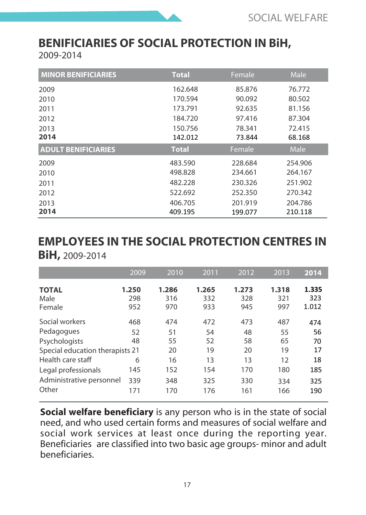# **BENIFICIARIES OF SOCIAL PROTECTION IN BiH,**

2009-2014

| <b>MINOR BENIFICIARIES</b> | <b>Total</b> | Female  | Male    |
|----------------------------|--------------|---------|---------|
| 2009                       | 162.648      | 85.876  | 76.772  |
| 2010                       | 170.594      | 90.092  | 80.502  |
| 2011                       | 173.791      | 92.635  | 81.156  |
| 2012                       | 184.720      | 97.416  | 87.304  |
| 2013                       | 150.756      | 78.341  | 72.415  |
| 2014                       | 142.012      | 73.844  | 68.168  |
| <b>ADULT BENIFICIARIES</b> | <b>Total</b> | Female  | Male    |
| 2009                       | 483.590      | 228.684 | 254.906 |
| 2010                       | 498.828      | 234.661 | 264.167 |
| 2011                       | 482.228      | 230.326 | 251.902 |
| 2012                       | 522.692      | 252.350 | 270.342 |
| 2013                       | 406.705      | 201.919 | 204.786 |
| 2014                       | 409.195      | 199.077 | 210.118 |

#### **EMPLOYEES IN THE SOCIAL PROTECTION CENTRES IN BiH,** 2009-2014

**1.250 1.286 1.265 1.273 1.318** 298 316 332 328 321 952 970 933 945 997 468 474 472 473 487 52 51 54 48 55 48 55 52 58 65 21 20 19 20 19 6 16 13 13 12 145 152 154 170 180 339 348 325 330 334 171 170 176 161 166 2009 2010 2011 2012 2013 **2014 1.335** 323 1.012 474 56 70 17 18 185 325 190 **TOTAL** Male Female Social workers Pedagogues Psychologists Special education therapists 21 Health care staff Legal professionals Administrative personnel Other

**Social welfare beneficiary** is any person who is in the state of social need, and who used certain forms and measures of social welfare and social work services at least once during the reporting year. Beneficiaries are classified into two basic age groups- minor and adult beneficiaries.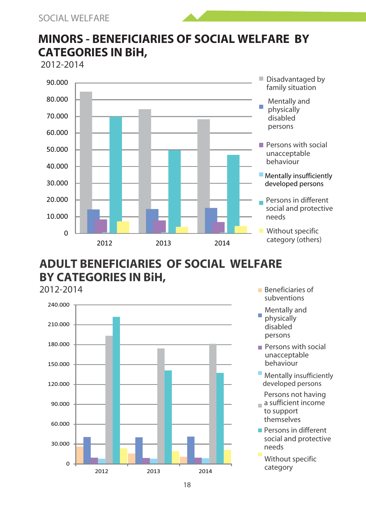#### **MINORS - BENEFICIARIES OF SOCIAL WELFARE BY CATEGORIES IN BiH,**

2012-2014



# **ADULT BENEFICIARIES OF SOCIAL WELFARE BY CATEGORIES IN BiH,**



- Beneficiaries of subventions
- Mentally and physically disabled persons
- Persons with social unacceptable behaviour
- **Mentally insufficiently** developed persons
- Persons not having a sufficient income
- to support themselves
- Persons in different social and protective needs

Without specific category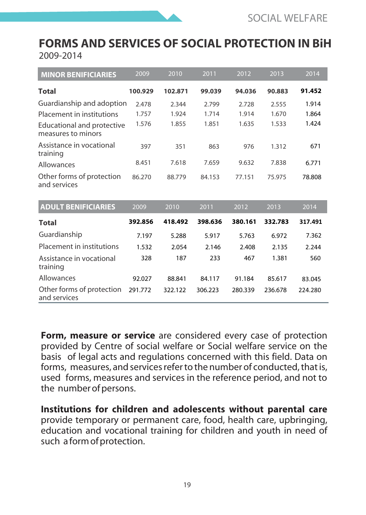#### **FORMS AND SERVICES OF SOCIAL PROTECTION IN BiH** 2009-2014

| <b>MINOR BENIFICIARIES</b>                              | 2009    | 2010    | 2011    | 2012    | 2013    | 2014    |
|---------------------------------------------------------|---------|---------|---------|---------|---------|---------|
| Total                                                   | 100.929 | 102.871 | 99.039  | 94.036  | 90.883  | 91.452  |
| Guardianship and adoption                               | 2.478   | 2.344   | 2.799   | 2.728   | 2.555   | 1.914   |
| Placement in institutions                               | 1.757   | 1.924   | 1.714   | 1.914   | 1.670   | 1.864   |
| <b>Educational and protective</b><br>measures to minors | 1.576   | 1.855   | 1.851   | 1.635   | 1.533   | 1.424   |
| Assistance in vocational<br>training                    | 397     | 351     | 863     | 976     | 1.312   | 671     |
| Allowances                                              | 8.451   | 7.618   | 7.659   | 9.632   | 7.838   | 6.771   |
| Other forms of protection<br>and services               | 86.270  | 88.779  | 84.153  | 77.151  | 75.975  | 78.808  |
| <b>ADULT BENIFICIARIES</b>                              | 2009    | 2010    | 2011    | 2012    | 2013    | 2014    |
| <b>Total</b>                                            | 392.856 | 418.492 | 398.636 | 380.161 | 332.783 | 317.491 |
| Guardianship                                            | 7.197   | 5.288   | 5.917   | 5.763   | 6.972   | 7.362   |
| Placement in institutions                               | 1.532   | 2.054   | 2.146   | 2.408   | 2.135   | 2.244   |
| Assistance in vocational<br>training                    | 328     | 187     | 233     | 467     | 1.381   | 560     |
| Allowances                                              | 92.027  | 88.841  | 84.117  | 91.184  | 85.617  | 83.045  |
| Other forms of protection<br>and services               | 291.772 | 322.122 | 306.223 | 280.339 | 236.678 | 224.280 |

**Form, measure or service** are considered every case of protection provided by Centre of social welfare or Social welfare service on the basis of legal acts and regulations concerned with this field. Data on forms, measures, and services refer to the number of conducted, that is, used forms, measures and services in the reference period, and not to the number of persons.

**Institutions for children and adolescents without parental care**  provide temporary or permanent care, food, health care, upbringing, education and vocational training for children and youth in need of such a form of protection.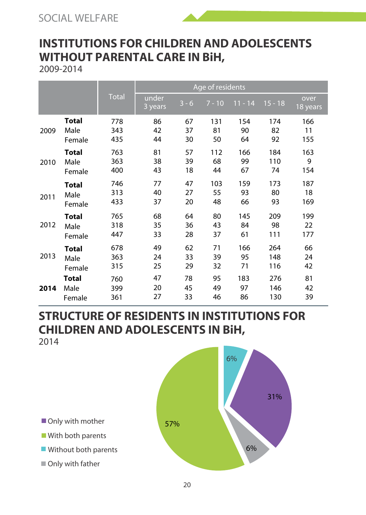# **INSTITUTIONS FOR CHILDREN AND ADOLESCENTS WITHOUT PARENTAL CARE IN BiH,**

2009-2014

|      |              |              | Age of residents |         |          |           |           |                  |
|------|--------------|--------------|------------------|---------|----------|-----------|-----------|------------------|
|      |              | <b>Total</b> | under<br>3 years | $3 - 6$ | $7 - 10$ | $11 - 14$ | $15 - 18$ | over<br>18 years |
| 2009 | Total        | 778          | 86               | 67      | 131      | 154       | 174       | 166              |
|      | Male         | 343          | 42               | 37      | 81       | 90        | 82        | 11               |
|      | Female       | 435          | 44               | 30      | 50       | 64        | 92        | 155              |
| 2010 | Total        | 763          | 81               | 57      | 112      | 166       | 184       | 163              |
|      | Male         | 363          | 38               | 39      | 68       | 99        | 110       | 9                |
|      | Female       | 400          | 43               | 18      | 44       | 67        | 74        | 154              |
| 2011 | Total        | 746          | 77               | 47      | 103      | 159       | 173       | 187              |
|      | Male         | 313          | 40               | 27      | 55       | 93        | 80        | 18               |
|      | Female       | 433          | 37               | 20      | 48       | 66        | 93        | 169              |
| 2012 | <b>Total</b> | 765          | 68               | 64      | 80       | 145       | 209       | 199              |
|      | Male         | 318          | 35               | 36      | 43       | 84        | 98        | 22               |
|      | Female       | 447          | 33               | 28      | 37       | 61        | 111       | 177              |
| 2013 | Total        | 678          | 49               | 62      | 71       | 166       | 264       | 66               |
|      | Male         | 363          | 24               | 33      | 39       | 95        | 148       | 24               |
|      | Female       | 315          | 25               | 29      | 32       | 71        | 116       | 42               |
| 2014 | Total        | 760          | 47               | 78      | 95       | 183       | 276       | 81               |
|      | Male         | 399          | 20               | 45      | 49       | 97        | 146       | 42               |
|      | Female       | 361          | 27               | 33      | 46       | 86        | 130       | 39               |

# **STRUCTURE OF RESIDENTS IN INSTITUTIONS FOR CHILDREN AND ADOLESCENTS IN BiH,**

2014



Only with mother

- With both parents
- **Without both parents**
- Only with father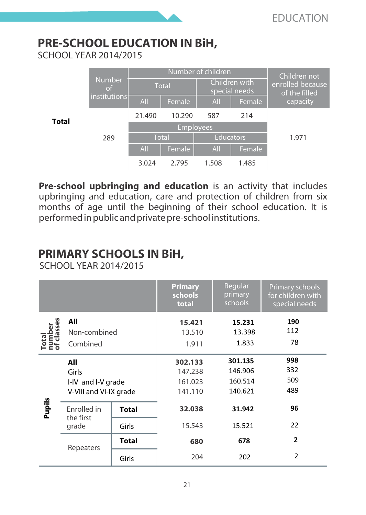# **PRE-SCHOOL EDUCATION IN BiH,**

SCHOOL YEAR 2014/2015



**Pre-school upbringing and education** is an activity that includes upbringing and education, care and protection of children from six months of age until the beginning of their school education. It is performed in public and private pre-school institutions.

# **PRIMARY SCHOOLS IN BiH,**

SCHOOL YEAR 2014/2015

|        |                          | Primary<br>schools<br>total | Regular<br>primary<br>schools | Primary schools<br>for children with<br>special needs |                         |
|--------|--------------------------|-----------------------------|-------------------------------|-------------------------------------------------------|-------------------------|
|        | All                      |                             | 15.421                        | 15.231                                                | 190                     |
|        | Non-combined             |                             | 13.510                        | 13.398                                                | 112                     |
|        | Combined                 |                             | 1.833<br>1.911                |                                                       | 78                      |
|        | All                      |                             | 302.133                       | 301.135                                               | 998                     |
|        | Girls                    |                             | 147.238                       | 146.906                                               | 332                     |
|        | I-IV and I-V grade       |                             | 161.023                       | 160.514                                               | 509                     |
|        | V-VIII and VI-IX grade   |                             | 141.110                       | 140.621                                               | 489                     |
| Pupils | Enrolled in<br>the first | <b>Total</b>                | 32.038                        | 31.942                                                | 96                      |
|        | grade                    | Girls                       | 15.543                        | 15.521                                                | 22                      |
|        | Repeaters                | <b>Total</b>                | 680                           | 678                                                   | $\overline{2}$          |
|        |                          | Girls                       | 204                           | 202                                                   | $\overline{\mathbf{c}}$ |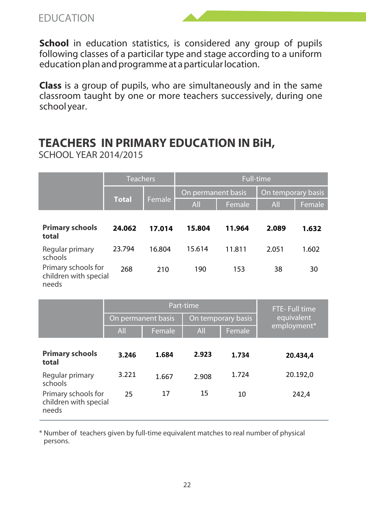EDUCATION

**School** in education statistics, is considered any group of pupils following classes of a particilar type and stage according to a uniform education plan and programme at a particular location.

**Class** is a group of pupils, who are simultaneously and in the same classroom taught by one or more teachers successively, during one school year.

#### **TEACHERS IN PRIMARY EDUCATION IN BiH,**

SCHOOL YEAR 2014/2015

|                                                       | <b>Teachers</b> |        | <b>Full-time</b>   |        |                    |        |  |
|-------------------------------------------------------|-----------------|--------|--------------------|--------|--------------------|--------|--|
|                                                       |                 |        | On permanent basis |        | On temporary basis |        |  |
|                                                       | <b>Total</b>    | Female | All                | Female | All                | Female |  |
| <b>Primary schools</b><br>total                       | 24.062          | 17.014 | 15.804             | 11.964 | 2.089              | 1.632  |  |
| Regular primary<br>schools                            | 23.794          | 16.804 | 15.614             | 11.811 | 2.051              | 1.602  |  |
| Primary schools for<br>children with special<br>needs | 268             | 210    | 190                | 153    | 38                 | 30     |  |

|                                                       |                    | Part-time | FTE-Full time |                    |             |  |
|-------------------------------------------------------|--------------------|-----------|---------------|--------------------|-------------|--|
|                                                       | On permanent basis |           |               | On temporary basis | equivalent  |  |
|                                                       | All                | Female    | All           | Female             | employment* |  |
| <b>Primary schools</b><br>total                       | 3.246              | 1.684     | 2.923         | 1.734              | 20.434.4    |  |
| Regular primary<br>schools                            | 3.221              | 1.667     | 2.908         | 1 7 2 4            | 20.192,0    |  |
| Primary schools for<br>children with special<br>needs | 25                 | 17        | 15            | 10                 | 242,4       |  |

\* Number of teachers given by full-time equivalent matches to real number of physical persons.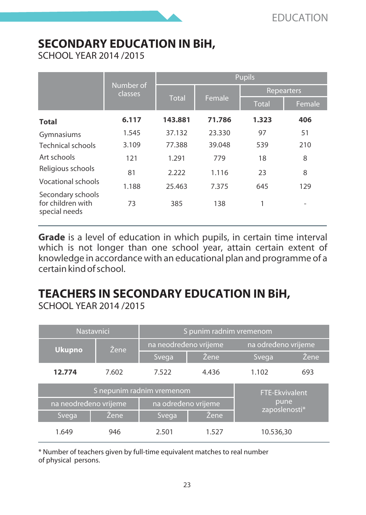# **SECONDARY EDUCATION IN BiH,**

SCHOOL YEAR 2014 /2015

|                                                         |                      | <b>Pupils</b> |        |              |        |  |  |
|---------------------------------------------------------|----------------------|---------------|--------|--------------|--------|--|--|
|                                                         | Number of<br>classes |               |        | Repearters   |        |  |  |
|                                                         |                      | <b>Total</b>  | Female | <b>Total</b> | Female |  |  |
| Total                                                   | 6.117                | 143.881       | 71.786 | 1.323        | 406    |  |  |
| Gymnasiums                                              | 1.545                | 37.132        | 23.330 | 97           | 51     |  |  |
| <b>Technical schools</b>                                | 3.109                | 77.388        | 39.048 | 539          | 210    |  |  |
| Art schools                                             | 121                  | 1.291         | 779    | 18           | 8      |  |  |
| Religious schools                                       | 81                   | 2.222         | 1.116  | 23           | 8      |  |  |
| Vocational schools                                      | 1.188                | 25.463        | 7.375  | 645          | 129    |  |  |
| Secondary schools<br>for children with<br>special needs | 73                   | 385           | 138    | 1            |        |  |  |

**Grade** is a level of education in which pupils, in certain time interval which is not longer than one school year, attain certain extent of knowledge in accordance with an educational plan and programme of a certain kind of school.

# **TEACHERS IN SECONDARY EDUCATION IN BiH,**

SCHOOL YEAR 2014 /2015

|                       | Nastavnici                | S punim radnim vremenom |       |                       |      |
|-----------------------|---------------------------|-------------------------|-------|-----------------------|------|
| <b>Ukupno</b>         | Žene                      | na neodređeno vrijeme   |       | na određeno vrijeme   |      |
|                       |                           | Svega                   | Žene. | Svega                 | Žene |
| 12.774                | 7.602                     | 7.522                   | 4.436 | 1.102                 | 693  |
|                       | S nepunim radnim vremenom |                         |       | <b>FTE-Ekvivalent</b> |      |
| na neodređeno vrijeme |                           | na određeno vrijeme     |       | pune<br>zaposlenosti* |      |
| Svega,                | Žene                      | Svega                   | Žene  |                       |      |
| 1.649                 | 946                       | 2.501                   | 1.527 | 10.536.30             |      |

\* Number of teachers given by full-time equivalent matches to real number of physical persons.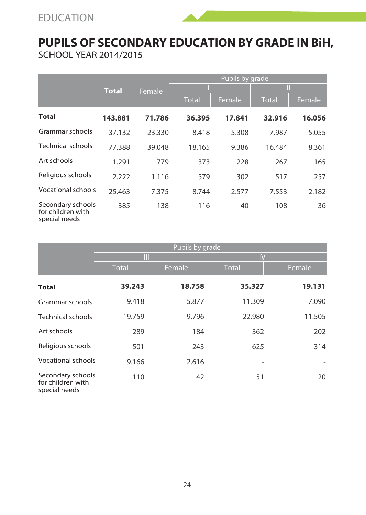

|                                                         |              |        |              | Pupils by grade |              |        |
|---------------------------------------------------------|--------------|--------|--------------|-----------------|--------------|--------|
|                                                         | <b>Total</b> | Female |              |                 | П            |        |
|                                                         |              |        | <b>Total</b> | Female          | <b>Total</b> | Female |
| Total                                                   | 143.881      | 71.786 | 36.395       | 17.841          | 32.916       | 16.056 |
| Grammar schools                                         | 37.132       | 23.330 | 8.418        | 5.308           | 7.987        | 5.055  |
| <b>Technical schools</b>                                | 77.388       | 39.048 | 18.165       | 9.386           | 16.484       | 8.361  |
| Art schools                                             | 1.291        | 779    | 373          | 228             | 267          | 165    |
| Religious schools                                       | 2.222        | 1.116  | 579          | 302             | 517          | 257    |
| Vocational schools                                      | 25.463       | 7.375  | 8.744        | 2.577           | 7.553        | 2.182  |
| Secondary schools<br>for children with<br>special needs | 385          | 138    | 116          | 40              | 108          | 36     |

|                                                         | Pupils by grade |        |              |        |  |  |
|---------------------------------------------------------|-----------------|--------|--------------|--------|--|--|
|                                                         | Ш               |        | IV           |        |  |  |
|                                                         | <b>Total</b>    | Female | <b>Total</b> | Female |  |  |
| <b>Total</b>                                            | 39.243          | 18.758 | 35.327       | 19.131 |  |  |
| Grammar schools                                         | 9.418           | 5.877  | 11.309       | 7.090  |  |  |
| <b>Technical schools</b>                                | 19.759          | 9.796  | 22.980       | 11.505 |  |  |
| Art schools                                             | 289             | 184    | 362          | 202    |  |  |
| Religious schools                                       | 501             | 243    | 625          | 314    |  |  |
| <b>Vocational schools</b>                               | 9.166           | 2.616  |              |        |  |  |
| Secondary schools<br>for children with<br>special needs | 110             | 42     | 51           | 20     |  |  |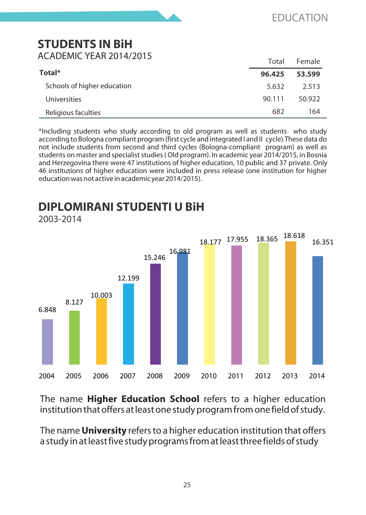#### **STUDENTS IN BiH**  ACADEMIC YEAR 2014/2015

|                             | Total  | Female |
|-----------------------------|--------|--------|
| Total*                      | 96.425 | 53.599 |
| Schools of higher education | 5.632  | 2.513  |
| Universities                | 90.111 | 50.922 |
| Religious faculties         | 682    | 164    |

\*Including students who study according to old program as well as students who study according to Bologna compliant program (first cycle and integrated I and II cycle).These data do not include students from second and third cycles (Bologna-compliant program) as well as students on master and specialist studies ( Old program). In academic year 2014/2015, in Bosnia and Herzegovina there were 47 institutions of higher education, 10 public and 37 private. Only 46 institutions of higher education were included in press release (one institution for higher education was not active in academic year 2014/2015).

# **DIPLOMIRANI STUDENTI U BiH**

2003-2014



The name **Higher Education School** refers to a higher education institution that offers at least one study program from one field of study.

The name **University** refers to a higher education institution that offers a study in at least five study programs from at least three fields of study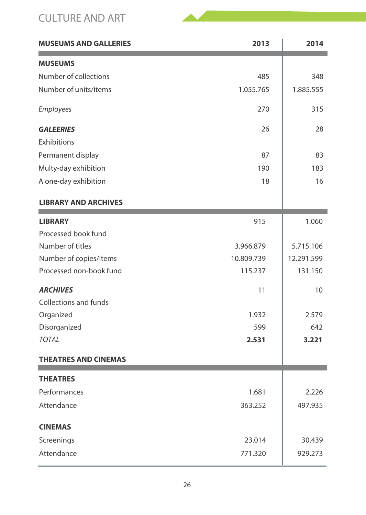#### CULTURE AND ART

| <b>MUSEUMS AND GALLERIES</b> | 2013       | 2014       |
|------------------------------|------------|------------|
| <b>MUSEUMS</b>               |            |            |
| Number of collections        | 485        | 348        |
| Number of units/items        | 1.055.765  | 1.885.555  |
| Employees                    | 270        | 315        |
| <b>GALEERIES</b>             | 26         | 28         |
| Exhibitions                  |            |            |
| Permanent display            | 87         | 83         |
| Multy-day exhibition         | 190        | 183        |
| A one-day exhibition         | 18         | 16         |
| <b>LIBRARY AND ARCHIVES</b>  |            |            |
| <b>LIBRARY</b>               | 915        | 1.060      |
| Processed book fund          |            |            |
| Number of titles             | 3.966.879  | 5.715.106  |
| Number of copies/items       | 10.809.739 | 12.291.599 |
| Processed non-book fund      | 115.237    | 131.150    |
| <b>ARCHIVES</b>              | 11         | 10         |
| Collections and funds        |            |            |
| Organized                    | 1.932      | 2.579      |
| Disorganized                 | 599        | 642        |
| <b>TOTAL</b>                 | 2.531      | 3.221      |
| <b>THEATRES AND CINEMAS</b>  |            |            |
| <b>THEATRES</b>              |            |            |
| Performances                 | 1.681      | 2.226      |
| Attendance                   | 363.252    | 497.935    |
| <b>CINEMAS</b>               |            |            |
| Screenings                   | 23.014     | 30.439     |
| Attendance                   | 771.320    | 929.273    |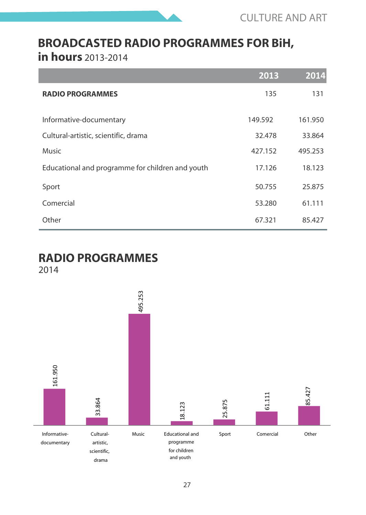

# **BROADCASTED RADIO PROGRAMMES FOR BiH,**

**in hours** 2013-2014

|                                                  | 2013    | 2014    |
|--------------------------------------------------|---------|---------|
| <b>RADIO PROGRAMMES</b>                          | 135     | 131     |
| Informative-documentary                          | 149.592 | 161.950 |
| Cultural-artistic, scientific, drama             | 32.478  | 33.864  |
| Music                                            | 427.152 | 495.253 |
| Educational and programme for children and youth | 17.126  | 18.123  |
| Sport                                            | 50.755  | 25.875  |
| Comercial                                        | 53.280  | 61.111  |
| Other                                            | 67.321  | 85.427  |

# **RADIO PROGRAMMES**

2014

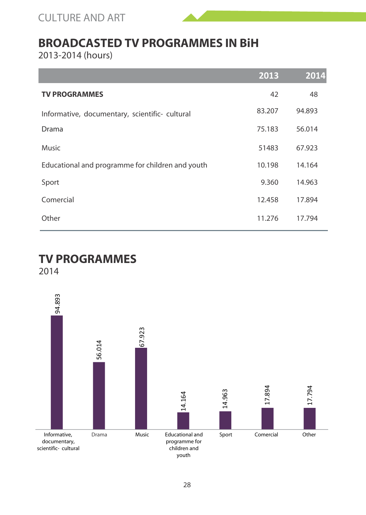CULTURE AND ART



#### **BROADCASTED TV PROGRAMMES IN BiH**

2013-2014 (hours)

|                                                  | 2013   | 2014   |
|--------------------------------------------------|--------|--------|
| <b>TV PROGRAMMES</b>                             | 42     | 48     |
| Informative, documentary, scientific- cultural   | 83.207 | 94.893 |
| Drama                                            | 75.183 | 56.014 |
| Music                                            | 51483  | 67.923 |
| Educational and programme for children and youth | 10.198 | 14.164 |
| Sport                                            | 9.360  | 14.963 |
| Comercial                                        | 12.458 | 17.894 |
| Other                                            | 11.276 | 17.794 |

#### **TV PROGRAMMES**

2014

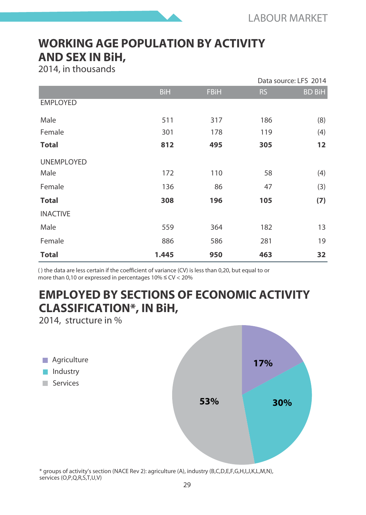#### **WORKING AGE POPULATION BY ACTIVITY AND SEX IN BiH,**

2014, in thousands

|                   |            |             |           | Data source: LFS 2014 |
|-------------------|------------|-------------|-----------|-----------------------|
|                   | <b>BiH</b> | <b>FBiH</b> | <b>RS</b> | <b>BD BiH</b>         |
| <b>EMPLOYED</b>   |            |             |           |                       |
| Male              | 511        | 317         | 186       | (8)                   |
| Female            | 301        | 178         | 119       | (4)                   |
| <b>Total</b>      | 812        | 495         | 305       | 12                    |
| <b>UNEMPLOYED</b> |            |             |           |                       |
| Male              | 172        | 110         | 58        | (4)                   |
| Female            | 136        | 86          | 47        | (3)                   |
| <b>Total</b>      | 308        | 196         | 105       | (7)                   |
| <b>INACTIVE</b>   |            |             |           |                       |
| Male              | 559        | 364         | 182       | 13                    |
| Female            | 886        | 586         | 281       | 19                    |
| <b>Total</b>      | 1.445      | 950         | 463       | 32                    |

( ) the data are less certain if the coefficient of variance (CV) is less than 0,20, but equal to or more than 0,10 or expressed in percentages  $10\% \leq CV < 20\%$ 

#### **EMPLOYED BY SECTIONS OF ECONOMIC ACTIVITY CLASSIFICATION\*, IN BiH,**

2014, structure in %



\* groups of activity's section (NACE Rev 2): agriculture (A), industry (B,C,D,E,F,G,H,I,J,K,L,M,N), services (O,P,Q,R,S,T,U,V)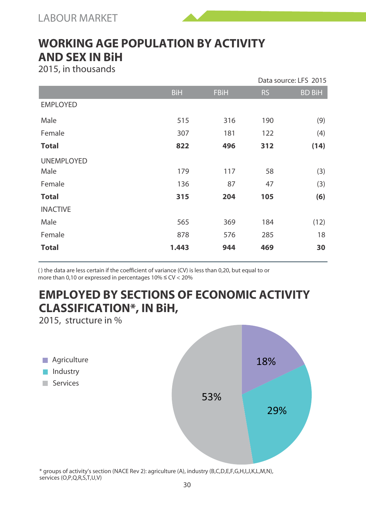#### **WORKING AGE POPULATION BY ACTIVITY AND SEX IN BiH**

2015, in thousands

|                   |            |             |           | Data source: LFS 2015 |
|-------------------|------------|-------------|-----------|-----------------------|
|                   | <b>BiH</b> | <b>FBiH</b> | <b>RS</b> | <b>BD BiH</b>         |
| <b>EMPLOYED</b>   |            |             |           |                       |
| Male              | 515        | 316         | 190       | (9)                   |
| Female            | 307        | 181         | 122       | (4)                   |
| <b>Total</b>      | 822        | 496         | 312       | (14)                  |
| <b>UNEMPLOYED</b> |            |             |           |                       |
| Male              | 179        | 117         | 58        | (3)                   |
| Female            | 136        | 87          | 47        | (3)                   |
| <b>Total</b>      | 315        | 204         | 105       | (6)                   |
| <b>INACTIVE</b>   |            |             |           |                       |
| Male              | 565        | 369         | 184       | (12)                  |
| Female            | 878        | 576         | 285       | 18                    |
| <b>Total</b>      | 1.443      | 944         | 469       | 30                    |

( ) the data are less certain if the coefficient of variance (CV) is less than 0,20, but equal to or more than 0,10 or expressed in percentages  $10\% \leq CV < 20\%$ 

# **EMPLOYED BY SECTIONS OF ECONOMIC ACTIVITY CLASSIFICATION\*, IN BiH,**

2015, structure in %



\* groups of activity's section (NACE Rev 2): agriculture (A), industry (B,C,D,E,F,G,H,I,J,K,L,M,N), services (O,P,Q,R,S,T,U,V)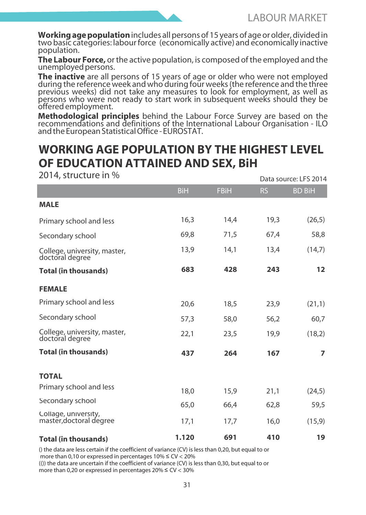**Working age population** includes all persons of 15 years of age or older, divided in two basic categories: labour force (economically active) and economically inactive population.

**The Labour Force,** or the active population, is composed of the employed and the unemployed persons.

**The inactive** are all persons of 15 years of age or older who were not employed during the reference week and who during four weeks (the reference and the three previous weeks) did not take any measures to look for employment, as well as persons who were not ready to start work in subsequent weeks should they be offered employment.

**Methodological principles** behind the Labour Force Survey are based on the recommendations and definitions of the International Labour Organisation - ILO and the European Statistical Office - EUROSTAT.

#### **WORKING AGE POPULATION BY THE HIGHEST LEVEL OF EDUCATION ATTAINED AND SEX, BiH**

| $2014, 3010$ CLUIC III 70                       |            |             |           | Data source: LFS 2014 |
|-------------------------------------------------|------------|-------------|-----------|-----------------------|
|                                                 | <b>BiH</b> | <b>FBiH</b> | <b>RS</b> | <b>BD BiH</b>         |
| <b>MALE</b>                                     |            |             |           |                       |
| Primary school and less                         | 16.3       | 14.4        | 19.3      | (26,5)                |
| Secondary school                                | 69.8       | 71.5        | 67.4      | 58,8                  |
| College, university, master,<br>doctoral degree | 13,9       | 14,1        | 13,4      | (14,7)                |
| <b>Total (in thousands)</b>                     | 683        | 428         | 243       | 12                    |
| <b>FEMALE</b>                                   |            |             |           |                       |
| Primary school and less                         | 20.6       | 18,5        | 23,9      | (21,1)                |
| Secondary school                                | 57,3       | 58,0        | 56,2      | 60,7                  |
| College, university, master,<br>doctoral degree | 22,1       | 23,5        | 19,9      | (18,2)                |
| <b>Total (in thousands)</b>                     | 437        | 264         | 167       | $\overline{ }$        |
| <b>TOTAL</b>                                    |            |             |           |                       |
| Primary school and less                         | 18.0       | 15.9        | 21.1      | (24,5)                |
| Secondary school                                | 65,0       | 66.4        | 62,8      | 59,5                  |
| Collage, university,<br>master, doctoral degree | 17,1       | 17,7        | 16,0      | (15, 9)               |
| <b>Total (in thousands)</b>                     | 1.120      | 691         | 410       | 19                    |

2014, structure in %

() the data are less certain if the coefficient of variance (CV) is less than 0,20, but equal to or more than 0,10 or expressed in percentages 10% ≤ CV < 20% (()) the data are uncertain if the coefficient of variance (CV) is less than 0,30, but equal to or more than 0,20 or expressed in percentages 20% ≤ CV < 30%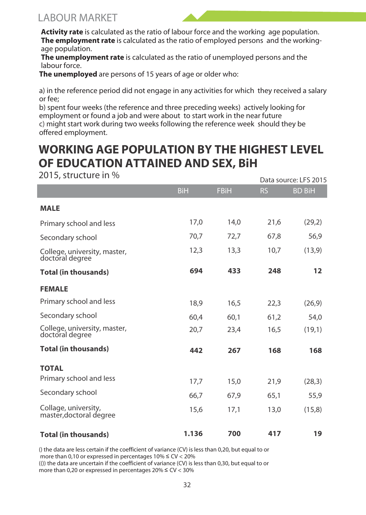#### LABOUR MARKET

**Activity rate** is calculated as the ratio of labour force and the working age population. **The employment rate** is calculated as the ratio of employed persons and the workingage population.

**The unemployment rate** is calculated as the ratio of unemployed persons and the labour force.

**The unemployed** are persons of 15 years of age or older who:

a) in the reference period did not engage in any activities for which they received a salary or fee;

b) spent four weeks (the reference and three preceding weeks) actively looking for employment or found a job and were about to start work in the near future c) might start work during two weeks following the reference week should they be offered employment.

# **WORKING AGE POPULATION BY THE HIGHEST LEVEL OF EDUCATION ATTAINED AND SEX, BiH**

2015, structure in %

| 201 <i>31</i> JUNCURE 111 70                    |       |             |           | Data source: LFS 2015 |
|-------------------------------------------------|-------|-------------|-----------|-----------------------|
|                                                 | BiH   | <b>FBiH</b> | <b>RS</b> | <b>BD BiH</b>         |
| <b>MALE</b>                                     |       |             |           |                       |
| Primary school and less                         | 17.0  | 14.0        | 21.6      | (29,2)                |
| Secondary school                                | 70.7  | 72,7        | 67,8      | 56,9                  |
| College, university, master,<br>doctoral degree | 12,3  | 13,3        | 10,7      | (13, 9)               |
| <b>Total (in thousands)</b>                     | 694   | 433         | 248       | 12                    |
| <b>FEMALE</b>                                   |       |             |           |                       |
| Primary school and less                         | 18.9  | 16.5        | 22.3      | (26, 9)               |
| Secondary school                                | 60.4  | 60,1        | 61,2      | 54,0                  |
| College, university, master,<br>doctoral degree | 20,7  | 23,4        | 16,5      | (19,1)                |
| <b>Total (in thousands)</b>                     | 442   | 267         | 168       | 168                   |
| <b>TOTAL</b>                                    |       |             |           |                       |
| Primary school and less                         | 17.7  | 15.0        | 21.9      | (28, 3)               |
| Secondary school                                | 66.7  | 67.9        | 65.1      | 55,9                  |
| Collage, university,<br>master, doctoral degree | 15,6  | 17,1        | 13,0      | (15,8)                |
| <b>Total (in thousands)</b>                     | 1.136 | 700         | 417       | 19                    |

() the data are less certain if the coefficient of variance (CV) is less than 0,20, but equal to or more than 0,10 or expressed in percentages 10% ≤ CV < 20% (()) the data are uncertain if the coefficient of variance (CV) is less than 0,30, but equal to or more than 0,20 or expressed in percentages 20% ≤ CV < 30%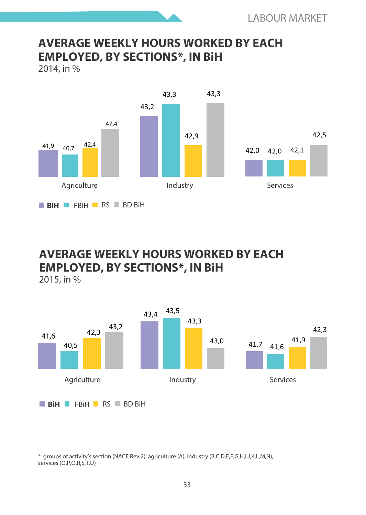#### **AVERAGE WEEKLY HOURS WORKED BY EACH EMPLOYED, BY SECTIONS\*, IN BiH**

2014, in %



#### **AVERAGE WEEKLY HOURS WORKED BY EACH EMPLOYED, BY SECTIONS\*, IN BiH**

2015, in %



\* groups of activitys section (NACE Rev 2): agriculture (A), industry (B,C,D,E,F,G,H,I,J,K,L,M,N), services (O,P,O,R,S,T,U)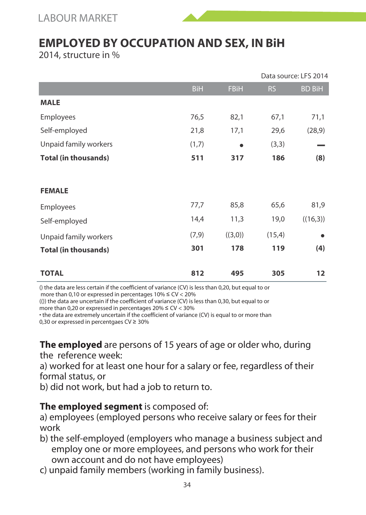LABOUR MARKET

#### **EMPLOYED BY OCCUPATION AND SEX, IN BiH**

2014, structure in %

|                             |            |             |           | Data source: LFS 2014 |
|-----------------------------|------------|-------------|-----------|-----------------------|
|                             | <b>BiH</b> | <b>FBiH</b> | <b>RS</b> | <b>BD BiH</b>         |
| <b>MALE</b>                 |            |             |           |                       |
| Employees                   | 76,5       | 82,1        | 67,1      | 71,1                  |
| Self-employed               | 21,8       | 17,1        | 29,6      | (28, 9)               |
| Unpaid family workers       | (1,7)      | ٠           | (3,3)     |                       |
| <b>Total (in thousands)</b> | 511        | 317         | 186       | (8)                   |
|                             |            |             |           |                       |
| <b>FEMALE</b>               |            |             |           |                       |
| Employees                   | 77,7       | 85,8        | 65,6      | 81,9                  |
| Self-employed               | 14,4       | 11,3        | 19,0      | ((16,3))              |
| Unpaid family workers       | (7, 9)     | ((3,0))     | (15,4)    | ٠                     |
| <b>Total (in thousands)</b> | 301        | 178         | 119       | (4)                   |
|                             |            |             |           |                       |
| <b>TOTAL</b>                | 812        | 495         | 305       | 12                    |

() the data are less certain if the coefficient of variance (CV) is less than 0,20, but equal to or more than 0,10 or expressed in percentages 10% ≤ CV < 20%

(()) the data are uncertain if the coefficient of variance (CV) is less than 0,30, but equal to or more than 0,20 or expressed in percentages  $20\% \leq CV < 30\%$ 

 the data are extremely uncertain if the coefficient of variance (CV) is equal to or more than 0,30 or expressed in percentgaes CV ≥ 30%

**The employed** are persons of 15 years of age or older who, during the reference week:

a) worked for at least one hour for a salary or fee, regardless of their formal status, or

b) did not work, but had a job to return to.

#### **The employed segment** is composed of:

a) employees (employed persons who receive salary or fees for their work

- b) the self-employed (employers who manage a business subject and employ one or more employees, and persons who work for their own account and do not have employees)
- c) unpaid family members (working in family business).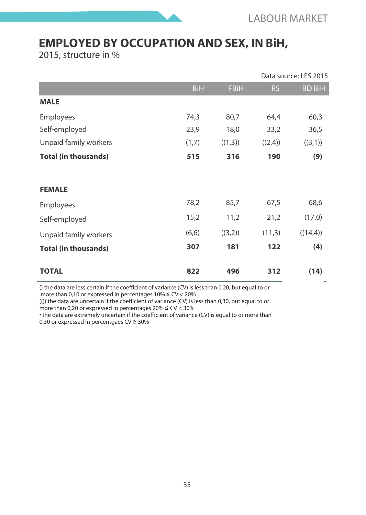# **EMPLOYED BY OCCUPATION AND SEX, IN BiH,**

2015, structure in %

|                             |            |             | Data source: LFS 2015 |               |  |
|-----------------------------|------------|-------------|-----------------------|---------------|--|
|                             | <b>BiH</b> | <b>FBiH</b> | <b>RS</b>             | <b>BD BiH</b> |  |
| <b>MALE</b>                 |            |             |                       |               |  |
| Employees                   | 74,3       | 80,7        | 64,4                  | 60,3          |  |
| Self-employed               | 23,9       | 18,0        | 33,2                  | 36,5          |  |
| Unpaid family workers       | (1,7)      | ((1,3))     | ((2,4))               | ((3,1))       |  |
| <b>Total (in thousands)</b> | 515        | 316         | 190                   | (9)           |  |
| <b>FEMALE</b>               |            |             |                       |               |  |
| Employees                   | 78,2       | 85,7        | 67,5                  | 68,6          |  |
| Self-employed               | 15,2       | 11,2        | 21,2                  | (17,0)        |  |
| Unpaid family workers       | (6,6)      | ((3,2))     | (11,3)                | ((14,4))      |  |
| <b>Total (in thousands)</b> | 307        | 181         | 122                   | (4)           |  |
| <b>TOTAL</b>                | 822        | 496         | 312                   | (14)          |  |

() the data are less certain if the coefficient of variance (CV) is less than 0,20, but equal to or more than 0,10 or expressed in percentages  $10\% \leq CV < 20\%$ 

(()) the data are uncertain if the coefficient of variance (CV) is less than 0,30, but equal to or more than 0,20 or expressed in percentages  $20\% \leq CV < 30\%$ 

 the data are extremely uncertain if the coefficient of variance (CV) is equal to or more than 0,30 or expressed in percentgaes CV ≥ 30%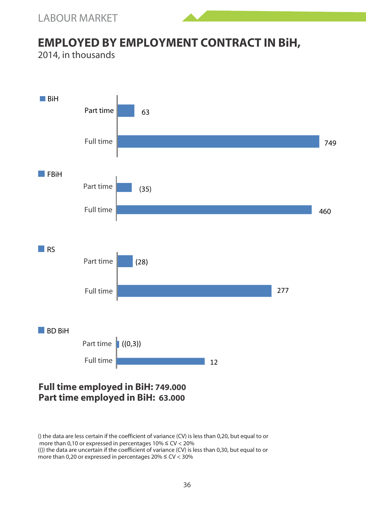

# **EMPLOYED BY EMPLOYMENT CONTRACT IN BiH,**

2014, in thousands



**Part time employed in BiH: 63.000**

<sup>()</sup> the data are less certain if the coefficient of variance (CV) is less than 0,20, but equal to or more than 0,10 or expressed in percentages 10% ≤ CV < 20% (()) the data are uncertain if the coefficient of variance (CV) is less than 0,30, but equal to or more than 0.20 or expressed in percentages  $20\% \leq CV < 30\%$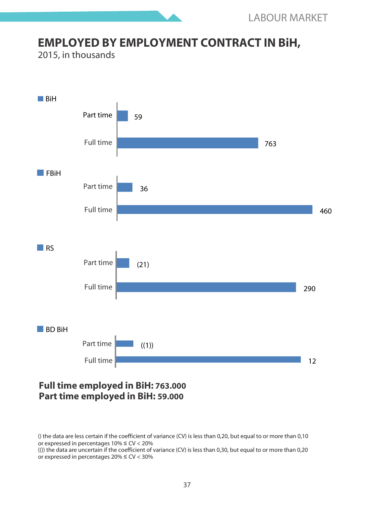## **EMPLOYED BY EMPLOYMENT CONTRACT IN BiH,**

2015, in thousands



#### **Full time employed in BiH: 763.000 Part time employed in BiH: 59.000**

<sup>()</sup> the data are less certain if the coefficient of variance (CV) is less than 0,20, but equal to or more than 0,10 or expressed in percentages 10% ≤ CV < 20%

 $(0)$  the data are uncertain if the coefficient of variance  $(CV)$  is less than 0.30, but equal to or more than 0.20 or expressed in percentages 20% ≤ CV < 30%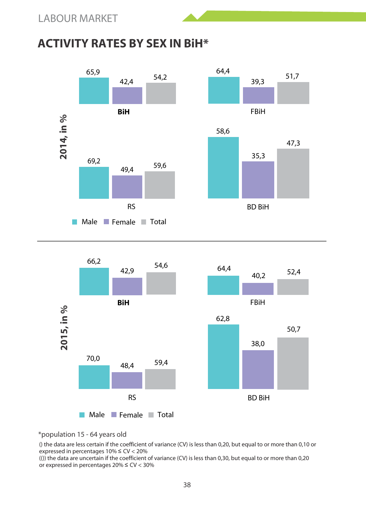## **ACTIVITY RATES BY SEX IN BiH\***





\*population 15 - 64 years old

() the data are less certain if the coefficient of variance (CV) is less than 0,20, but equal to or more than 0,10 or expressed in percentages 10% ≤ CV < 20%

(()) the data are uncertain if the coefficient of variance (CV) is less than 0,30, but equal to or more than 0,20 or expressed in percentages 20% ≤ CV < 30%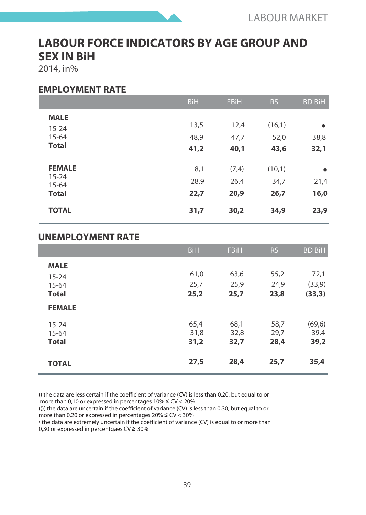# **LABOUR FORCE INDICATORS BY AGE GROUP AND SEX IN BiH**

2014, in%

#### **EMPLOYMENT RATE**

|                                       | <b>BiH</b>   | <b>FBiH</b>  | <b>RS</b>      | <b>BD BiH</b> |
|---------------------------------------|--------------|--------------|----------------|---------------|
| <b>MALE</b><br>$15 - 24$<br>$15 - 64$ | 13,5<br>48,9 | 12,4<br>47,7 | (16,1)<br>52,0 | ٠<br>38,8     |
| <b>Total</b>                          | 41,2         | 40,1         | 43,6           | 32,1          |
| <b>FEMALE</b><br>$15 - 24$            | 8,1          | (7, 4)       | (10,1)         | ٠             |
| $15 - 64$                             | 28,9         | 26,4         | 34,7           | 21,4          |
| <b>Total</b>                          | 22,7         | 20,9         | 26,7           | 16,0          |
| <b>TOTAL</b>                          | 31,7         | 30,2         | 34,9           | 23,9          |

#### **UNEMPLOYMENT RATE**

|                                       | <b>BiH</b>           | <b>FBiH</b>          | <b>RS</b>            | <b>BD BiH</b>           |
|---------------------------------------|----------------------|----------------------|----------------------|-------------------------|
| <b>MALE</b><br>$15 - 24$<br>$15 - 64$ | 61,0<br>25,7         | 63,6<br>25.9         | 55,2<br>24.9         | 72,1<br>(33, 9)         |
| <b>Total</b>                          | 25,2                 | 25,7                 | 23,8                 | (33,3)                  |
| <b>FEMALE</b>                         |                      |                      |                      |                         |
| $15 - 24$<br>$15 - 64$<br>Total       | 65,4<br>31.8<br>31,2 | 68,1<br>32,8<br>32,7 | 58,7<br>29,7<br>28,4 | (69, 6)<br>39.4<br>39,2 |
| <b>TOTAL</b>                          | 27,5                 | 28,4                 | 25,7                 | 35,4                    |

() the data are less certain if the coefficient of variance (CV) is less than 0,20, but equal to or more than 0,10 or expressed in percentages 10% ≤ CV < 20%

(()) the data are uncertain if the coefficient of variance (CV) is less than 0,30, but equal to or more than 0,20 or expressed in percentages 20% ≤ CV < 30%

 the data are extremely uncertain if the coefficient of variance (CV) is equal to or more than 0,30 or expressed in percentgaes CV ≥ 30%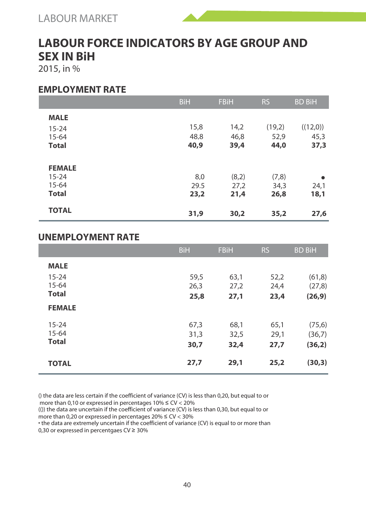# **LABOUR FORCE INDICATORS BY AGE GROUP AND SEX IN BiH**

2015, in %

#### **EMPLOYMENT RATE**

|               | <b>BiH</b> | <b>FBiH</b> | <b>RS</b> | <b>BD BiH</b> |
|---------------|------------|-------------|-----------|---------------|
| <b>MALE</b>   |            |             |           |               |
| $15 - 24$     | 15,8       | 14,2        | (19,2)    | ((12,0))      |
| $15 - 64$     | 48.8       | 46,8        | 52,9      | 45,3          |
| <b>Total</b>  | 40,9       | 39,4        | 44,0      | 37,3          |
|               |            |             |           |               |
| <b>FEMALE</b> |            |             |           |               |
| $15 - 24$     | 8.0        | (8,2)       | (7,8)     | ٠             |
| $15 - 64$     | 29.5       | 27,2        | 34,3      | 24,1          |
| <b>Total</b>  | 23,2       | 21,4        | 26,8      | 18,1          |
|               |            |             |           |               |
| <b>TOTAL</b>  | 31,9       | 30,2        | 35,2      | 27,6          |

#### **UNEMPLOYMENT RATE**

|               | <b>BiH</b> | <b>FBiH</b> | <b>RS</b> | <b>BD BiH</b> |
|---------------|------------|-------------|-----------|---------------|
| <b>MALE</b>   |            |             |           |               |
| $15 - 24$     | 59,5       | 63,1        | 52,2      | (61, 8)       |
| $15 - 64$     | 26,3       | 27,2        | 24,4      | (27,8)        |
| <b>Total</b>  | 25,8       | 27,1        | 23,4      | (26, 9)       |
| <b>FEMALE</b> |            |             |           |               |
| $15 - 24$     | 67,3       | 68,1        | 65,1      | (75, 6)       |
| $15 - 64$     | 31.3       | 32,5        | 29,1      | (36,7)        |
| <b>Total</b>  | 30,7       | 32,4        | 27,7      | (36,2)        |
| <b>TOTAL</b>  | 27,7       | 29,1        | 25,2      | (30,3)        |

() the data are less certain if the coefficient of variance (CV) is less than 0,20, but equal to or more than 0,10 or expressed in percentages  $10\% \leq CV < 20\%$ 

(()) the data are uncertain if the coefficient of variance (CV) is less than 0,30, but equal to or more than 0,20 or expressed in percentages 20% ≤ CV < 30%

 the data are extremely uncertain if the coefficient of variance (CV) is equal to or more than 0,30 or expressed in percentgaes CV ≥ 30%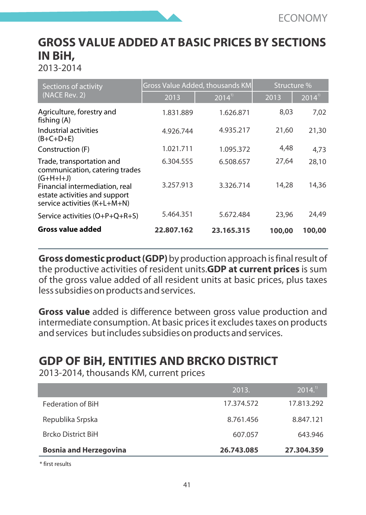# **GROSS VALUE ADDED AT BASIC PRICES BY SECTIONS IN BiH,**

2013-2014

| Sections of activity                                                                            |            | Gross Value Added, thousands KM | Structure % |                      |  |
|-------------------------------------------------------------------------------------------------|------------|---------------------------------|-------------|----------------------|--|
| (NACE Rev. 2)                                                                                   | 2013       | $2014$ <sup>11</sup>            | 2013        | $2014$ <sup>11</sup> |  |
| Agriculture, forestry and<br>fishing (A)                                                        | 1.831.889  | 1.626.871                       | 8.03        | 7.02                 |  |
| Industrial activities<br>$(B+C+D+E)$                                                            | 4.926.744  | 4.935.217                       | 21.60       | 21.30                |  |
| Construction (F)                                                                                | 1.021.711  | 1.095.372                       | 4.48        | 4.73                 |  |
| Trade, transportation and<br>communication, catering trades<br>$(G+H+I+J)$                      | 6.304.555  | 6.508.657                       | 27.64       | 28.10                |  |
| Financial intermediation, real<br>estate activities and support<br>service activities (K+L+M+N) | 3.257.913  | 3.326.714                       | 14.28       | 14.36                |  |
| Service activities (O+P+O+R+S)                                                                  | 5.464.351  | 5.672.484                       | 23.96       | 24.49                |  |
| Gross value added                                                                               | 22.807.162 | 23.165.315                      | 100,00      | 100,00               |  |

**Gross domestic product (GDP)** by production approach is final result of the productive activities of resident units.**GDP at current prices** is sum of the gross value added of all resident units at basic prices, plus taxes less subsidies on products and services.

**Gross value** added is difference between gross value production and intermediate consumption. At basic prices it excludes taxes on products and services but includes subsidies on products and services.

# **GDP OF BiH, ENTITIES AND BRCKO DISTRICT**

2013-2014, thousands KM, current prices

|                               | 2013.      | 2014 <sup>11</sup> |
|-------------------------------|------------|--------------------|
| Federation of BiH             | 17.374.572 | 17.813.292         |
| Republika Srpska              | 8.761.456  | 8.847.121          |
| <b>Brcko District BiH</b>     | 607.057    | 643.946            |
| <b>Bosnia and Herzegovina</b> | 26.743.085 | 27.304.359         |

\* first results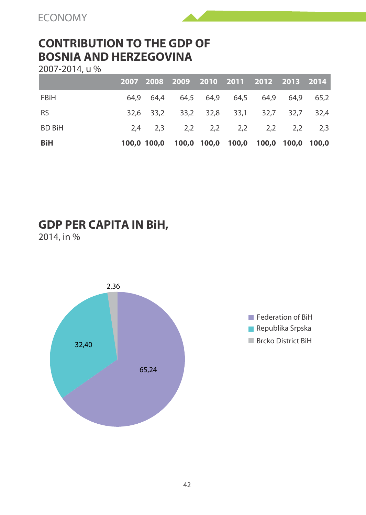## **CONTRIBUTION TO THE GDP OF BOSNIA AND HERZEGOVINA**

2007-2014, u %

|               |  | 2007 2008 2009 2010 2011 2012 2013 2014         |  |  |  |
|---------------|--|-------------------------------------------------|--|--|--|
| FBiH          |  | 64.9 64.4 64,5 64,9 64,5 64,9 64,9 65,2         |  |  |  |
| <b>RS</b>     |  | 32,6 33,2 33,2 32,8 33,1 32,7 32,7 32,4         |  |  |  |
| <b>BD BiH</b> |  | 2,4 2,3 2,2 2,2 2,2 2,2 2,2 2,3                 |  |  |  |
| BiH           |  | 100,0 100,0 100,0 100,0 100,0 100,0 100,0 100,0 |  |  |  |

## **GDP PER CAPITA IN BiH,**

2014, in %



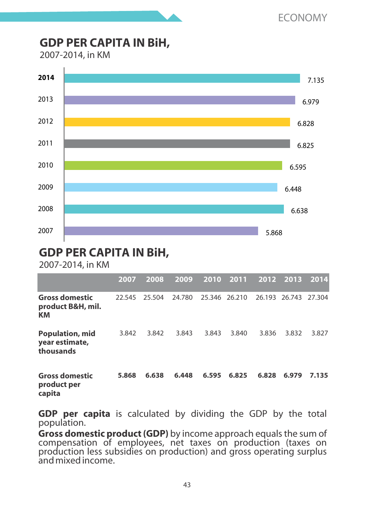## **GDP PER CAPITA IN BiH,**

2007-2014, in KM



## **GDP PER CAPITA IN BiH,**

2007-2014, in KM

|                                                       | 2007   | 2008   | 2009   | 2010          | 2011  | 2012  | 2013                 | 2014  |
|-------------------------------------------------------|--------|--------|--------|---------------|-------|-------|----------------------|-------|
| <b>Gross domestic</b><br>product B&H, mil.<br>КM      | 22.545 | 25.504 | 24.780 | 25.346 26.210 |       |       | 26.193 26.743 27.304 |       |
| <b>Population, mid</b><br>year estimate,<br>thousands | 3.842  | 3.842  | 3.843  | 3.843         | 3.840 | 3.836 | 3.832                | 3.827 |
| <b>Gross domestic</b><br>product per                  | 5.868  | 6.638  | 6.448  | 6.595         | 6.825 | 6.828 | 6.979                | 7.135 |

**capita**

**GDP per capita** is calculated by dividing the GDP by the total population.

**Gross domestic product (GDP)** by income approach equals the sum of compensation of employees, net taxes on production (taxes on production less subsidies on production) and gross operating surplus and mixed income.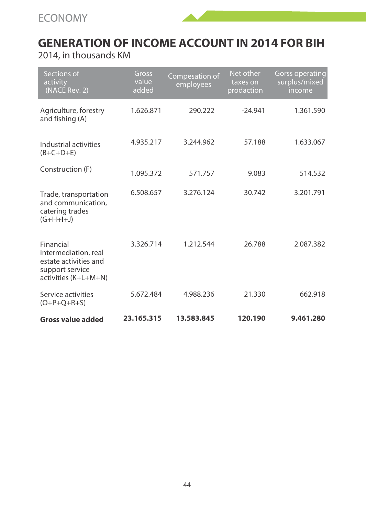



2014, in thousands KM

| Sections of<br>activity<br>(NACE Rev. 2)                                                              | Gross<br>value<br>added | Compesation of<br>employees | Net other<br>taxes on<br>prodaction | <b>Gorss operating</b><br>surplus/mixed<br>income |
|-------------------------------------------------------------------------------------------------------|-------------------------|-----------------------------|-------------------------------------|---------------------------------------------------|
| Agriculture, forestry<br>and fishing (A)                                                              | 1.626.871               | 290.222                     | $-24.941$                           | 1.361.590                                         |
| Industrial activities<br>$(B+C+D+E)$                                                                  | 4.935.217               | 3.244.962                   | 57.188                              | 1.633.067                                         |
| Construction (F)                                                                                      | 1.095.372               | 571.757                     | 9.083                               | 514.532                                           |
| Trade, transportation<br>and communication,<br>catering trades<br>$(G+H+I+J)$                         | 6.508.657               | 3.276.124                   | 30.742                              | 3.201.791                                         |
| Financial<br>intermediation, real<br>estate activities and<br>support service<br>activities (K+L+M+N) | 3.326.714               | 1.212.544                   | 26.788                              | 2.087.382                                         |
| Service activities<br>$(O+P+O+R+S)$                                                                   | 5.672.484               | 4.988.236                   | 21.330                              | 662.918                                           |
| <b>Gross value added</b>                                                                              | 23.165.315              | 13.583.845                  | 120.190                             | 9.461.280                                         |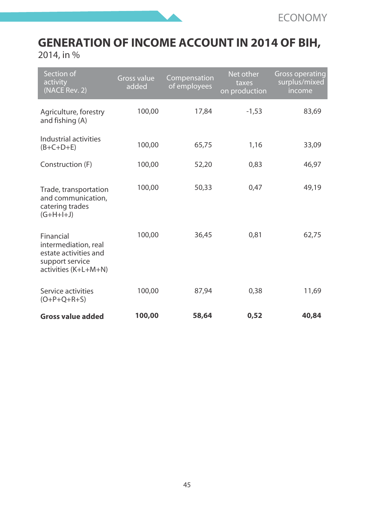

# **GENERATION OF INCOME ACCOUNT IN 2014 OF BIH,**

2014, in %

| Section of<br>activity<br>(NACE Rev. 2)                                                               | <b>Gross value</b><br>added | Compensation<br>of employees | Net other<br>taxes<br>on production | Gross operating<br>surplus/mixed<br>income |
|-------------------------------------------------------------------------------------------------------|-----------------------------|------------------------------|-------------------------------------|--------------------------------------------|
| Agriculture, forestry<br>and fishing (A)                                                              | 100,00                      | 17.84                        | $-1.53$                             | 83.69                                      |
| Industrial activities<br>$(B+C+D+E)$                                                                  | 100,00                      | 65,75                        | 1,16                                | 33,09                                      |
| Construction (F)                                                                                      | 100.00                      | 52.20                        | 0.83                                | 46.97                                      |
| Trade, transportation<br>and communication.<br>catering trades<br>$(G+H+I+J)$                         | 100.00                      | 50.33                        | 0.47                                | 49.19                                      |
| Financial<br>intermediation, real<br>estate activities and<br>support service<br>activities (K+L+M+N) | 100.00                      | 36.45                        | 0.81                                | 62.75                                      |
| Service activities<br>$(O+P+Q+R+S)$                                                                   | 100,00                      | 87,94                        | 0,38                                | 11,69                                      |
| Gross value added                                                                                     | 100,00                      | 58,64                        | 0.52                                | 40,84                                      |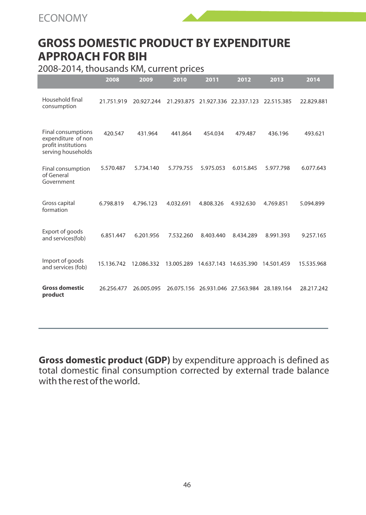



#### 2008-2014, thousands KM, current prices

|                                                                                       | 2008       | 2009       | 2010       | 2011       | 2012                  | 2013       | 2014       |
|---------------------------------------------------------------------------------------|------------|------------|------------|------------|-----------------------|------------|------------|
| Household final<br>consumption                                                        | 21.751.919 | 20.927.244 | 21.293.875 | 21.927.336 | 22.337.123            | 22.515.385 | 22.829.881 |
| Final consumptions<br>expenditure of non<br>profit institutions<br>serving households | 420.547    | 431.964    | 441.864    | 454.034    | 479.487               | 436.196    | 493.621    |
| Final consumption<br>of General<br>Government                                         | 5.570.487  | 5.734.140  | 5.779.755  | 5.975.053  | 6.015.845             | 5.977.798  | 6.077.643  |
| Gross capital<br>formation                                                            | 6.798.819  | 4.796.123  | 4.032.691  | 4.808.326  | 4.932.630             | 4.769.851  | 5.094.899  |
| Export of goods<br>and services(fob)                                                  | 6.851.447  | 6.201.956  | 7.532.260  | 8.403.440  | 8.434.289             | 8.991.393  | 9.257.165  |
| Import of goods<br>and services (fob)                                                 | 15.136.742 | 12.086.332 | 13.005.289 | 14.637.143 | 14.635.390            | 14.501.459 | 15.535.968 |
| <b>Gross domestic</b><br>product                                                      | 26.256.477 | 26.005.095 | 26.075.156 |            | 26.931.046 27.563.984 | 28.189.164 | 28.217.242 |

**Gross domestic product (GDP)** by expenditure approach is defined as total domestic final consumption corrected by external trade balance with the rest of the world.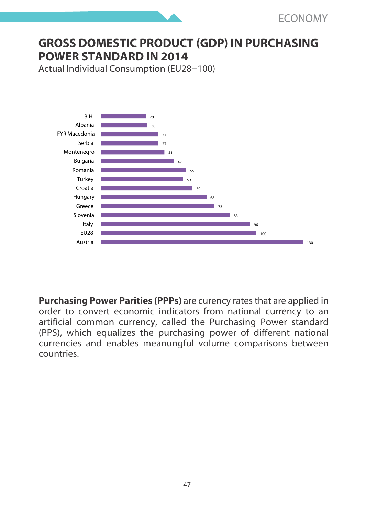# **GROSS DOMESTIC PRODUCT (GDP) IN PURCHASING POWER STANDARD IN 2014**

Actual Individual Consumption (EU28=100)



**Purchasing Power Parities (PPPs)** are curency rates that are applied in order to convert economic indicators from national currency to an artificial common currency, called the Purchasing Power standard (PPS), which equalizes the purchasing power of different national currencies and enables meanungful volume comparisons between countries.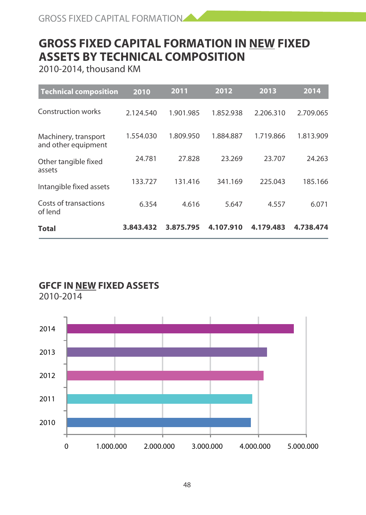# **GROSS FIXED CAPITAL FORMATION IN NEW FIXED ASSETS BY TECHNICAL COMPOSITION**

2010-2014, thousand KM

| <b>Technical composition</b>                | 2010      | 2011      | 2012      | 2013      | 2014      |
|---------------------------------------------|-----------|-----------|-----------|-----------|-----------|
| Construction works                          | 2.124.540 | 1.901.985 | 1.852.938 | 2.206.310 | 2.709.065 |
| Machinery, transport<br>and other equipment | 1.554.030 | 1.809.950 | 1.884.887 | 1.719.866 | 1.813.909 |
| Other tangible fixed<br>assets              | 24.781    | 27.828    | 23.269    | 23.707    | 24.263    |
| Intangible fixed assets                     | 133.727   | 131.416   | 341.169   | 225.043   | 185.166   |
| Costs of transactions<br>of lend            | 6.354     | 4.616     | 5.647     | 4.557     | 6.071     |
| Total                                       | 3.843.432 | 3.875.795 | 4.107.910 | 4.179.483 | 4.738.474 |

### **GFCF IN NEW FIXED ASSETS**

2010-2014

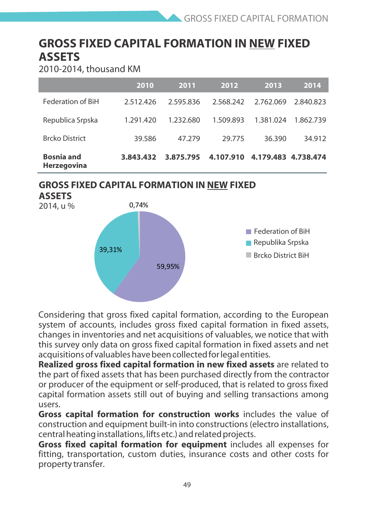# **GROSS FIXED CAPITAL FORMATION IN NEW FIXED ASSETS**

2010-2014, thousand KM

|                                  | 2010      | 2011      | 2012      | 2013      | 2014      |
|----------------------------------|-----------|-----------|-----------|-----------|-----------|
| Federation of BiH                | 2512426   | 2595836   | 2568242   | 2.762.069 | 2840823   |
| Republica Srpska                 | 1 291 420 | 1 232 680 | 1509893   | 1.381.024 | 1.862.739 |
| <b>Brcko District</b>            | 39.586    | 47.279    | 29.775    | 36.390    | 34.912    |
| <b>Bosnia and</b><br>Herzegovina | 3.843.432 | 3.875.795 | 4.107.910 | 4.179.483 | 4.738.474 |

### **GROSS FIXED CAPITAL FORMATION IN NEW FIXED**



Considering that gross fixed capital formation, according to the European system of accounts, includes gross fixed capital formation in fixed assets, changes in inventories and net acquisitions of valuables, we notice that with this survey only data on gross fixed capital formation in fixed assets and net acquisitions of valuables have been collected for legal entities.

**Realized gross fixed capital formation in new fixed assets** are related to the part of fixed assets that has been purchased directly from the contractor or producer of the equipment or self-produced, that is related to gross fixed capital formation assets still out of buying and selling transactions among users.

**Gross capital formation for construction works** includes the value of construction and equipment built-in into constructions (electro installations, central heating installations, lifts etc.) and related projects.

**Gross fixed capital formation for equipment** includes all expenses for fitting, transportation, custom duties, insurance costs and other costs for property transfer.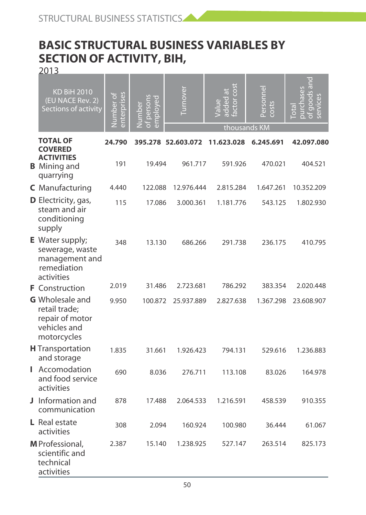# **BASIC STRUCTURAL BUSINESS VARIABLES BY SECTION OF ACTIVITY, BIH,**

2013

| <b>KD BiH 2010</b><br>(EU NACE Rev. 2)<br>Sections of activity                            | enterprises<br><b>Number of</b> | persons<br>ployed<br>umber<br>Ē<br>ā | <b>Lumover</b>     | 5O<br>Ī<br>added<br>factor<br>thousands KM | Personnel<br>costs | qoods a<br>services<br><b>Gta</b> |
|-------------------------------------------------------------------------------------------|---------------------------------|--------------------------------------|--------------------|--------------------------------------------|--------------------|-----------------------------------|
| <b>TOTAL OF</b>                                                                           | 24.790                          |                                      | 395.278 52.603.072 | 11.623.028                                 | 6.245.691          | 42.097.080                        |
| <b>COVERED</b><br><b>ACTIVITIES</b><br><b>B</b> Mining and<br>quarrying                   | 191                             | 19.494                               | 961.717            | 591.926                                    | 470.021            | 404.521                           |
| C Manufacturing                                                                           | 4.440                           | 122.088                              | 12.976.444         | 2.815.284                                  | 1.647.261          | 10.352.209                        |
| D Electricity, gas,<br>steam and air<br>conditioning<br>supply                            | 115                             | 17.086                               | 3.000.361          | 1.181.776                                  | 543.125            | 1.802.930                         |
| E Water supply;<br>sewerage, waste<br>management and<br>remediation<br>activities         | 348                             | 13.130                               | 686.266            | 291.738                                    | 236.175            | 410.795                           |
| <b>F</b> Construction                                                                     | 2.019                           | 31.486                               | 2.723.681          | 786.292                                    | 383.354            | 2.020.448                         |
| <b>G</b> Wholesale and<br>retail trade;<br>repair of motor<br>vehicles and<br>motorcycles | 9.950                           | 100.872                              | 25.937.889         | 2.827.638                                  | 1.367.298          | 23.608.907                        |
| <b>H</b> Transportation<br>and storage                                                    | 1.835                           | 31.661                               | 1.926.423          | 794.131                                    | 529.616            | 1.236.883                         |
| <b>I</b> Accomodation<br>and food service<br>activities                                   | 690                             | 8.036                                | 276.711            | 113.108                                    | 83.026             | 164.978                           |
| J Information and<br>communication                                                        | 878                             | 17.488                               | 2.064.533          | 1.216.591                                  | 458.539            | 910.355                           |
| L Real estate<br>activities                                                               | 308                             | 2.094                                | 160.924            | 100.980                                    | 36.444             | 61.067                            |
| M Professional,<br>scientific and<br>technical<br>activities                              | 2.387                           | 15.140                               | 1.238.925          | 527.147                                    | 263.514            | 825.173                           |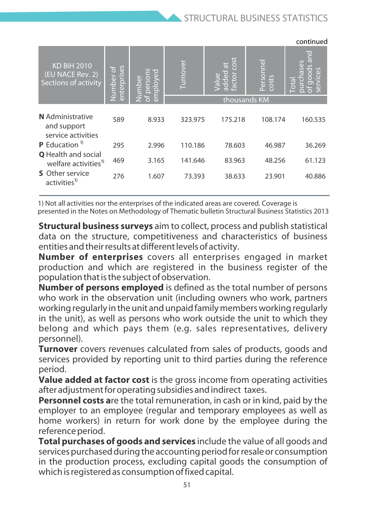|                                                                |                          |                                |         |                                                           |                             | continued                          |
|----------------------------------------------------------------|--------------------------|--------------------------------|---------|-----------------------------------------------------------|-----------------------------|------------------------------------|
| <b>KD BiH 2010</b><br>(EU NACE Rev. 2)<br>Sections of activity | enterprises<br>Number of | īΦ<br>person<br>ployed<br>mber | urnover | cost<br>$\ddot{a}$<br>added<br>GE.<br>ē<br>va<br>S<br>ුමි | e<br>Persor<br><b>COSTS</b> | G<br>$\overline{\phantom{a}}$<br>π |
|                                                                |                          | Ŧ.<br>$\overline{a}$           |         |                                                           | thousands KM                |                                    |
| N Administrative<br>and support<br>service activities          | 589                      | 8.933                          | 323.975 | 175.218                                                   | 108.174                     | 160.535                            |
| <b>P</b> Education <sup>19</sup>                               | 295                      | 2.996                          | 110.186 | 78.603                                                    | 46.987                      | 36.269                             |
| <b>Q</b> Health and social<br>welfare activities <sup>1)</sup> | 469                      | 3.165                          | 141.646 | 83.963                                                    | 48.256                      | 61.123                             |
| <b>S</b> Other service<br>activities <sup>1)</sup>             | 276                      | 1.607                          | 73.393  | 38.633                                                    | 23.901                      | 40.886                             |

1) Not all activities nor the enterprises of the indicated areas are covered. Coverage is presented in the Notes on Methodology of Thematic bulletin Structural Business Statistics 2013

**Structural business surveys** aim to collect, process and publish statistical data on the structure, competitiveness and characteristics of business entities and their results at different levels of activity.

**Number of enterprises** covers all enterprises engaged in market production and which are registered in the business register of the population that is the subject of observation.

**Number of persons employed** is defined as the total number of persons who work in the observation unit (including owners who work, partners working regularly in the unit and unpaid family members working regularly in the unit), as well as persons who work outside the unit to which they belong and which pays them (e.g. sales representatives, delivery personnel).

**Turnover** covers revenues calculated from sales of products, goods and services provided by reporting unit to third parties during the reference period.

**Value added at factor cost** is the gross income from operating activities after adjustment for operating subsidies and indirect taxes.

**Personnel costs a**re the total remuneration, in cash or in kind, paid by the employer to an employee (regular and temporary employees as well as home workers) in return for work done by the employee during the reference period.

**Total purchases of goods and services** include the value of all goods and services purchased during the accounting period for resale or consumption in the production process, excluding capital goods the consumption of which is registered as consumption of fixed capital.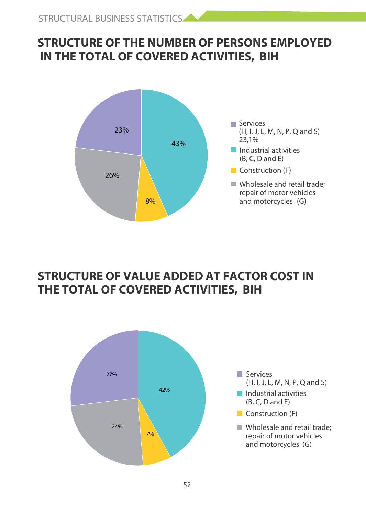# **STRUCTURE OF THE NUMBER OF PERSONS EMPLOYED IN THE TOTAL OF COVERED ACTIVITIES, BIH**



## **STRUCTURE OF VALUE ADDED AT FACTOR COST IN THE TOTAL OF COVERED ACTIVITIES, BIH**

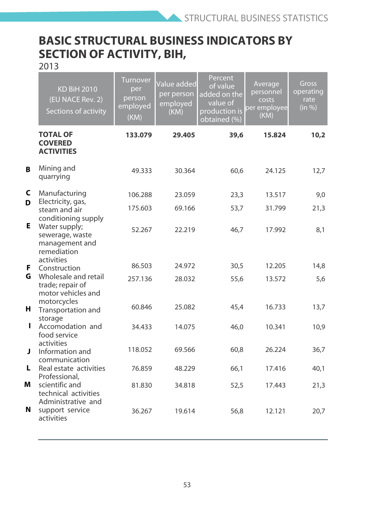# **BASIC STRUCTURAL BUSINESS INDICATORS BY SECTION OF ACTIVITY, BIH,**

2013

|    | <b>KD BiH 2010</b><br>(EU NACE Rev. 2)<br>Sections of activity                  | Turnover<br>per<br>person<br>employed<br>(KM) | Value added<br>per person<br>employed<br>(KM) | Percent<br>of value<br>added on the<br>value of<br>production is<br>obtained (%) | Average<br>personnel<br>costs<br>per employee<br>(KM) | Gross<br>operating<br>rate<br>(in %) |
|----|---------------------------------------------------------------------------------|-----------------------------------------------|-----------------------------------------------|----------------------------------------------------------------------------------|-------------------------------------------------------|--------------------------------------|
|    | <b>TOTAL OF</b><br><b>COVERED</b><br><b>ACTIVITIES</b>                          | 133.079                                       | 29.405                                        | 39,6                                                                             | 15.824                                                | 10,2                                 |
| R  | Mining and<br>quarrying                                                         | 49.333                                        | 30.364                                        | 60.6                                                                             | 24.125                                                | 12,7                                 |
| c  | Manufacturing                                                                   | 106.288                                       | 23.059                                        | 23,3                                                                             | 13.517                                                | 9,0                                  |
| D  | Electricity, gas,<br>steam and air<br>conditioning supply                       | 175.603                                       | 69.166                                        | 53,7                                                                             | 31.799                                                | 21,3                                 |
| Е. | Water supply;<br>sewerage, waste<br>management and<br>remediation<br>activities | 52.267                                        | 22.219                                        | 46,7                                                                             | 17.992                                                | 8,1                                  |
| F. | Construction                                                                    | 86.503                                        | 24.972                                        | 30,5                                                                             | 12.205                                                | 14,8                                 |
| G  | Wholesale and retail<br>trade; repair of<br>motor vehicles and<br>motorcycles   | 257.136                                       | 28.032                                        | 55,6                                                                             | 13.572                                                | 5.6                                  |
| н. | Transportation and<br>storage                                                   | 60.846                                        | 25.082                                        | 45.4                                                                             | 16.733                                                | 13,7                                 |
|    | Accomodation and<br>food service<br>activities                                  | 34.433                                        | 14.075                                        | 46.0                                                                             | 10.341                                                | 10,9                                 |
| J. | Information and<br>communication                                                | 118.052                                       | 69.566                                        | 60,8                                                                             | 26.224                                                | 36,7                                 |
| L. | Real estate activities<br>Professional.                                         | 76.859                                        | 48.229                                        | 66,1                                                                             | 17.416                                                | 40,1                                 |
| м  | scientific and<br>technical activities<br>Administrative and                    | 81.830                                        | 34.818                                        | 52,5                                                                             | 17.443                                                | 21,3                                 |
| N  | support service<br>activities                                                   | 36.267                                        | 19.614                                        | 56.8                                                                             | 12.121                                                | 20.7                                 |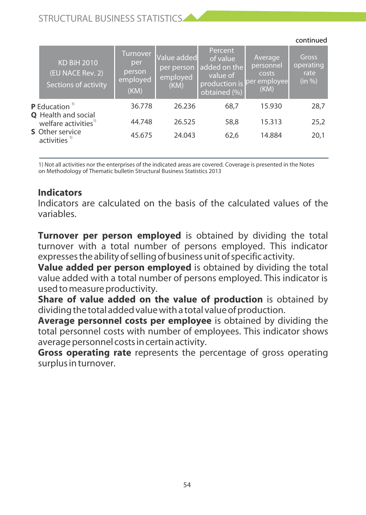### STRUCTURAL BUSINESS STATISTICS

|                                                      |                                                                |                                               |                                               |                                                                                  |                                                       | continued                            |
|------------------------------------------------------|----------------------------------------------------------------|-----------------------------------------------|-----------------------------------------------|----------------------------------------------------------------------------------|-------------------------------------------------------|--------------------------------------|
|                                                      | <b>KD BiH 2010</b><br>(EU NACE Rev. 2)<br>Sections of activity | Turnover<br>per<br>person<br>employed<br>(KM) | Value added<br>per person<br>employed<br>(KM) | Percent<br>of value<br>added on the<br>value of<br>production is<br>obtained (%) | Average<br>personnel<br>costs<br>per employee<br>(KM) | Gross<br>operating<br>rate<br>(in %) |
|                                                      | <b>P</b> Education $\mathbf{D}$                                | 36.778                                        | 26.236                                        | 68.7                                                                             | 15.930                                                | 28.7                                 |
|                                                      | <b>Q</b> Health and social<br>welfare activities <sup>1)</sup> | 44.748                                        | 26.525                                        | 58.8                                                                             | 15.313                                                | 25,2                                 |
| <b>S</b> Other service<br>$activities$ <sup>1)</sup> | 45.675                                                         | 24.043                                        | 62.6                                          | 14.884                                                                           | 20,1                                                  |                                      |
|                                                      |                                                                |                                               |                                               |                                                                                  |                                                       |                                      |

1) Not all activities nor the enterprises of the indicated areas are covered. Coverage is presented in the Notes on Methodology of Thematic bulletin Structural Business Statistics 2013

### **Indicators**

Indicators are calculated on the basis of the calculated values of the variables.

**Turnover per person employed** is obtained by dividing the total turnover with a total number of persons employed. This indicator expresses the ability of selling of business unit of specific activity.

**Value added per person employed** is obtained by dividing the total value added with a total number of persons employed. This indicator is used to measure productivity.

**Share of value added on the value of production** is obtained by dividing the total added value with a total value of production.

**Average personnel costs per employee** is obtained by dividing the total personnel costs with number of employees. This indicator shows average personnel costs in certain activity.

**Gross operating rate** represents the percentage of gross operating surplus in turnover.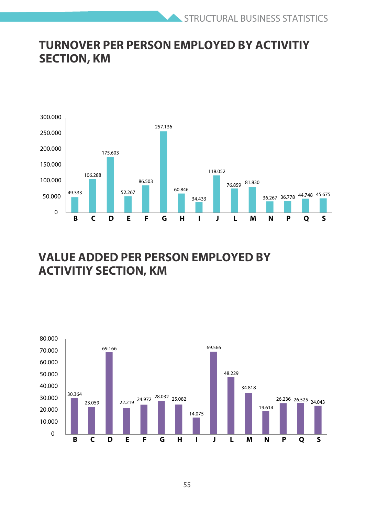# **TURNOVER PER PERSON EMPLOYED BY ACTIVITIY SECTION, KM**



## **VALUE ADDED PER PERSON EMPLOYED BY ACTIVITIY SECTION, KM**

![](_page_54_Figure_4.jpeg)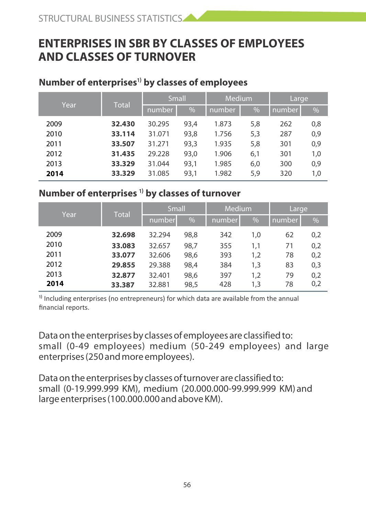# **ENTERPRISES IN SBR BY CLASSES OF EMPLOYEES AND CLASSES OF TURNOVER**

#### **Number of enterprises<sup>1)</sup> by classes of employees**

| Year |      | <b>Total</b> |        | <b>Small</b> |       | <b>Medium</b> |     | Large |  |
|------|------|--------------|--------|--------------|-------|---------------|-----|-------|--|
|      |      | number       | %      | number       | %     | number        | %   |       |  |
|      | 2009 | 32.430       | 30.295 | 93.4         | 1.873 | 5,8           | 262 | 0,8   |  |
|      | 2010 | 33.114       | 31.071 | 93,8         | 1.756 | 5,3           | 287 | 0,9   |  |
|      | 2011 | 33.507       | 31.271 | 93,3         | 1.935 | 5,8           | 301 | 0,9   |  |
|      | 2012 | 31.435       | 29.228 | 93,0         | 1.906 | 6,1           | 301 | 1,0   |  |
|      | 2013 | 33.329       | 31.044 | 93,1         | 1.985 | 6,0           | 300 | 0,9   |  |
|      | 2014 | 33.329       | 31.085 | 93,1         | 1.982 | 5,9           | 320 | 1,0   |  |

#### **Number of enterprises <sup>1)</sup> by classes of turnover**

| Year | <b>Total</b> | <b>Small</b> |      | Medium |     | Large  |     |
|------|--------------|--------------|------|--------|-----|--------|-----|
|      |              | number       | %    | number | %   | number | %   |
| 2009 | 32.698       | 32.294       | 98,8 | 342    | 1,0 | 62     | 0,2 |
| 2010 | 33.083       | 32.657       | 98,7 | 355    | 1.1 | 71     | 0,2 |
| 2011 | 33.077       | 32.606       | 98,6 | 393    | 1,2 | 78     | 0,2 |
| 2012 | 29.855       | 29.388       | 98,4 | 384    | 1,3 | 83     | 0,3 |
| 2013 | 32.877       | 32.401       | 98,6 | 397    | 1.2 | 79     | 0,2 |
| 2014 | 33.387       | 32.881       | 98,5 | 428    | 1,3 | 78     | 0,2 |

 $\frac{1}{10}$  Including enterprises (no entrepreneurs) for which data are available from the annual financial reports.

Data on the enterprises by classes of employees are classified to: small (0-49 employees) medium (50-249 employees) and large enterprises (250 and more employees).

Data on the enterprises by classes of turnover are classified to: small (0-19.999.999 KM), medium (20.000.000-99.999.999 KM) and large enterprises (100.000.000 and above KM).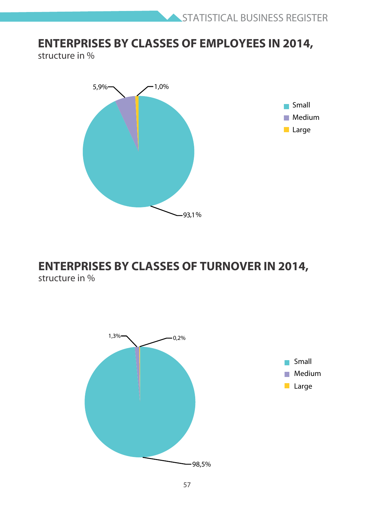## **ENTERPRISES BY CLASSES OF EMPLOYEES IN 2014,**

structure in %

![](_page_56_Figure_3.jpeg)

# **ENTERPRISES BY CLASSES OF TURNOVER IN 2014,**

structure in %

![](_page_56_Figure_6.jpeg)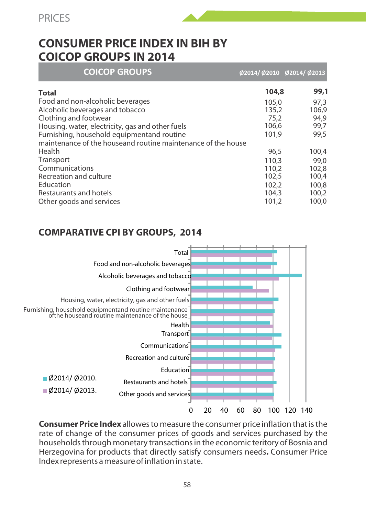PRICES

![](_page_57_Picture_1.jpeg)

## **CONSUMER PRICE INDEX IN BIH BY COICOP GROUPS IN 2014**

| <b>COICOP GROUPS</b>                                         | Ø2014/Ø2010 Ø2014/Ø2013 |       |
|--------------------------------------------------------------|-------------------------|-------|
| <b>Total</b>                                                 | 104,8                   | 99,1  |
| Food and non-alcoholic beverages                             | 105.0                   | 97.3  |
| Alcoholic beverages and tobacco                              | 135,2                   | 106.9 |
| Clothing and footwear                                        | 75.2                    | 94.9  |
| Housing, water, electricity, gas and other fuels             | 106.6                   | 99,7  |
| Furnishing, household equipmentand routine                   | 101.9                   | 99.5  |
| maintenance of the houseand routine maintenance of the house |                         |       |
| Health                                                       | 96.5                    | 100,4 |
| Transport                                                    | 110.3                   | 99.0  |
| Communications                                               | 110.2                   | 102.8 |
| Recreation and culture                                       | 102.5                   | 100.4 |
| Education                                                    | 102.2                   | 100.8 |
| Restaurants and hotels                                       | 104.3                   | 100,2 |
| Other goods and services                                     | 101.2                   | 100.0 |

### **COMPARATIVE CPI BY GROUPS, 2014**

![](_page_57_Figure_5.jpeg)

**Consumer Price Index** allowes to measure the consumer price inflation that is the rate of change of the consumer prices of goods and services purchased by the households through monetary transactions in the economic teritory of Bosnia and Herzegovina for products that directly satisfy consumers needs**.** Consumer Price Index represents a measure of inflation in state.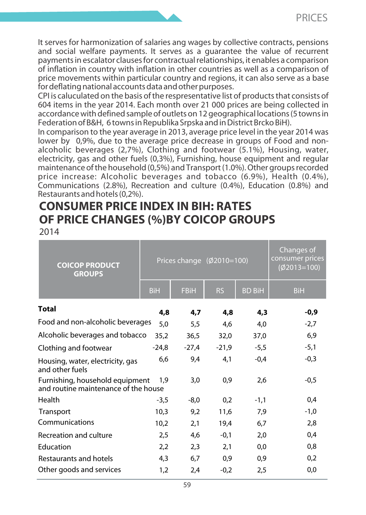It serves for harmonization of salaries ang wages by collective contracts, pensions and social welfare payments. It serves as a quarantee the value of recurrent payments in escalator clauses for contractual relationships, it enables a comparison of inflation in country with inflation in other countries as well as a comparison of price movements within particular country and regions, it can also serve as a base for deflating national accounts data and other purposes.

CPI is caluculated on the basis of the respresentative list of products that consists of 604 items in the year 2014. Each month over 21 000 prices are being collected in accordance with defined sample of outlets on 12 geographical locations (5 towns in Federation of B&H, 6 towns in Republika Srpska and in District Brcko BiH).

In comparison to the year average in 2013, average price level in the year 2014 was lower by 0,9%, due to the average price decrease in groups of Food and nonalcoholic beverages (2,7%), Clothing and footwear (5.1%), Housing, water, electricity, gas and other fuels (0,3%), Furnishing, house equipment and regular maintenance of the household (0,5%) and Transport (1.0%). Other groups recorded price increase: Alcoholic beverages and tobacco (6.9%), Health (0.4%), Communications (2.8%), Recreation and culture (0.4%), Education (0.8%) and Restaurants and hotels (0,2%).

# **CONSUMER PRICE INDEX IN BIH: RATES OF PRICE CHANGES (%)BY COICOP GROUPS**

2014

| <b>COICOP PRODUCT</b><br><b>GROUPS</b>                                  |            | Prices change (Ø2010=100) | Changes of<br>consumer prices<br>$(\emptyset$ 2013=100) |               |            |
|-------------------------------------------------------------------------|------------|---------------------------|---------------------------------------------------------|---------------|------------|
|                                                                         | <b>BiH</b> | <b>FBiH</b>               | <b>RS</b>                                               | <b>BD BiH</b> | <b>BiH</b> |
| Total                                                                   | 4,8        | 4,7                       | 4,8                                                     | 4,3           | -0,9       |
| Food and non-alcoholic beverages                                        | 5.0        | 5.5                       | 4.6                                                     | 4.0           | $-2,7$     |
| Alcoholic beverages and tobacco                                         | 35,2       | 36,5                      | 32,0                                                    | 37,0          | 6,9        |
| Clothing and footwear                                                   | $-24.8$    | $-27,4$                   | $-21,9$                                                 | $-5,5$        | $-5,1$     |
| Housing, water, electricity, gas<br>and other fuels                     | 6,6        | 9.4                       | 4,1                                                     | $-0,4$        | $-0,3$     |
| Furnishing, household equipment<br>and routine maintenance of the house | 1.9        | 3.0                       | 0.9                                                     | 2,6           | $-0.5$     |
| Health                                                                  | $-3.5$     | -8.0                      | 0.2                                                     | $-1,1$        | 0,4        |
| Transport                                                               | 10,3       | 9,2                       | 11,6                                                    | 7,9           | $-1,0$     |
| Communications                                                          | 10,2       | 2,1                       | 19,4                                                    | 6,7           | 2.8        |
| Recreation and culture                                                  | 2,5        | 4.6                       | $-0.1$                                                  | 2,0           | 0.4        |
| Education                                                               | 2,2        | 2.3                       | 2,1                                                     | 0,0           | 0,8        |
| Restaurants and hotels                                                  | 4,3        | 6.7                       | 0,9                                                     | 0,9           | 0,2        |
| Other goods and services                                                | 1.2        | 2.4                       | $-0,2$                                                  | 2,5           | 0,0        |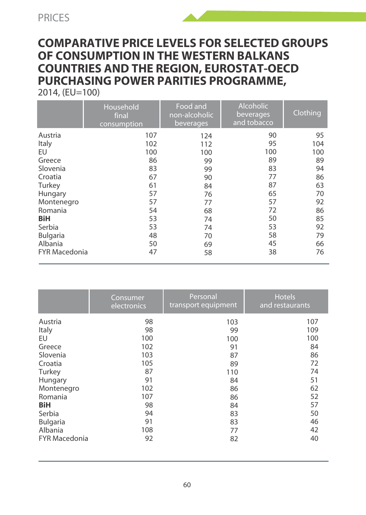### **COMPARATIVE PRICE LEVELS FOR SELECTED GROUPS OF CONSUMPTION IN THE WESTERN BALKANS COUNTRIES AND THE REGION, EUROSTAT-OECD PURCHASING POWER PARITIES PROGRAMME,**  2014, (EU=100)

|                      | Household<br>final<br>consumption | Food and<br>non-alcoholic<br>beverages | Alcoholic<br>beverages<br>and tobacco | Clothing |
|----------------------|-----------------------------------|----------------------------------------|---------------------------------------|----------|
| Austria              | 107                               | 124                                    | 90                                    | 95       |
| Italy                | 102                               | 112                                    | 95                                    | 104      |
| EU                   | 100                               | 100                                    | 100                                   | 100      |
| Greece               | 86                                | 99                                     | 89                                    | 89       |
| Slovenia             | 83                                | 99                                     | 83                                    | 94       |
| Croatia              | 67                                | 90                                     | 77                                    | 86       |
| Turkey               | 61                                | 84                                     | 87                                    | 63       |
| Hungary              | 57                                | 76                                     | 65                                    | 70       |
| Montenegro           | 57                                | 77                                     | 57                                    | 92       |
| Romania              | 54                                | 68                                     | 72                                    | 86       |
| BiH                  | 53                                | 74                                     | 50                                    | 85       |
| Serbia               | 53                                | 74                                     | 53                                    | 92       |
| Bulgaria             | 48                                | 70                                     | 58                                    | 79       |
| Albania              | 50                                | 69                                     | 45                                    | 66       |
| <b>FYR Macedonia</b> | 47                                | 58                                     | 38                                    | 76       |

|                      | Consumer<br>electronics | Personal<br>transport equipment | <b>Hotels</b><br>and restaurants |
|----------------------|-------------------------|---------------------------------|----------------------------------|
| Austria              | 98                      | 103                             | 107                              |
| Italy                | 98                      | 99                              | 109                              |
| EU                   | 100                     | 100                             | 100                              |
| Greece               | 102                     | 91                              | 84                               |
| Slovenia             | 103                     | 87                              | 86                               |
| Croatia              | 105                     | 89                              | 72                               |
| Turkey               | 87                      | 110                             | 74                               |
| Hungary              | 91                      | 84                              | 51                               |
| Montenegro           | 102                     | 86                              | 62                               |
| Romania              | 107                     | 86                              | 52                               |
| BiH                  | 98                      | 84                              | 57                               |
| Serbia               | 94                      | 83                              | 50                               |
| Bulgaria             | 91                      | 83                              | 46                               |
| Albania              | 108                     | 77                              | 42                               |
| <b>FYR Macedonia</b> | 92                      | 82                              | 40                               |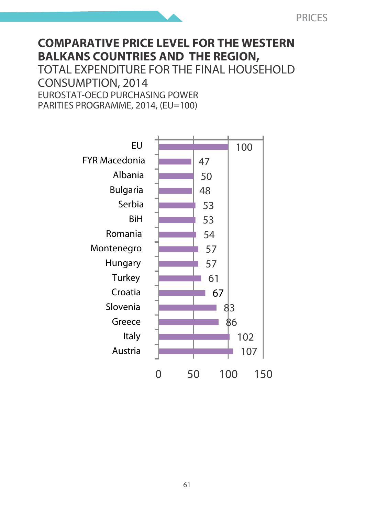# **COMPARATIVE PRICE LEVEL FOR THE WESTERN BALKANS COUNTRIES AND THE REGION,**

TOTAL EXPENDITURE FOR THE FINAL HOUSEHOLD CONSUMPTION, 2014 EUROSTAT-OECD PURCHASING POWER PARITIES PROGRAMME, 2014, (EU=100)

![](_page_60_Figure_3.jpeg)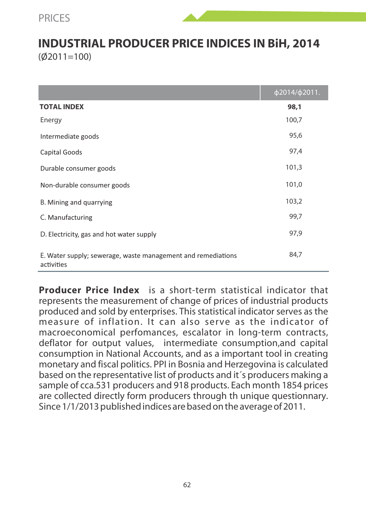### **INDUSTRIAL PRODUCER PRICE INDICES IN BiH, 2014**  $(02011=100)$

|                                                                            | ф2014/ф2011. |
|----------------------------------------------------------------------------|--------------|
| <b>TOTAL INDEX</b>                                                         | 98.1         |
| Energy                                                                     | 100,7        |
| Intermediate goods                                                         | 95,6         |
| Capital Goods                                                              | 97,4         |
| Durable consumer goods                                                     | 101,3        |
| Non-durable consumer goods                                                 | 101,0        |
| B. Mining and quarrying                                                    | 103,2        |
| C. Manufacturing                                                           | 99,7         |
| D. Electricity, gas and hot water supply                                   | 97,9         |
| E. Water supply; sewerage, waste management and remediations<br>activities | 84,7         |

**Producer Price Index** is a short-term statistical indicator that represents the measurement of change of prices of industrial products produced and sold by enterprises. This statistical indicator serves as the measure of inflation. It can also serve as the indicator of macroeconomical perfomances, escalator in long-term contracts, deflator for output values, intermediate consumption,and capital consumption in National Accounts, and as a important tool in creating monetary and fiscal politics. PPI in Bosnia and Herzegovina is calculated based on the representative list of products and it´s producers making a sample of cca.531 producers and 918 products. Each month 1854 prices are collected directly form producers through th unique questionnary. Since 1/1/2013 published indices are based on the average of 2011.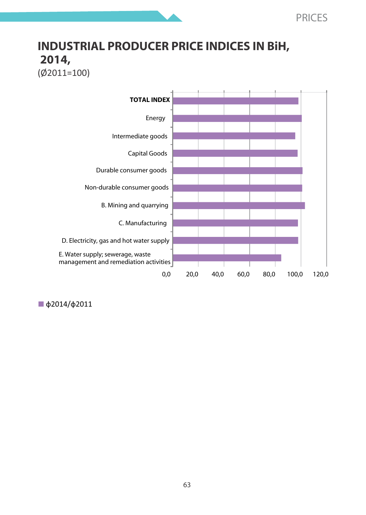# **INDUSTRIAL PRODUCER PRICE INDICES IN BiH, 2014,**

![](_page_62_Figure_2.jpeg)

![](_page_62_Figure_3.jpeg)

ф2014/ф2011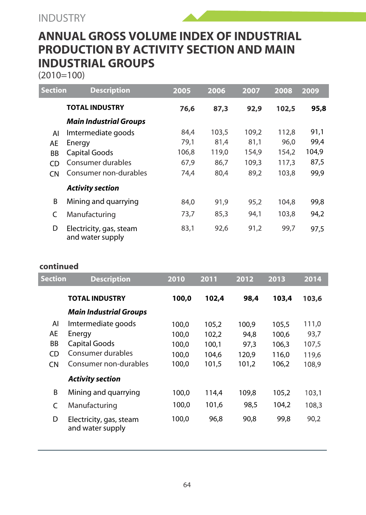# **ANNUAL GROSS VOLUME INDEX OF INDUSTRIAL PRODUCTION BY ACTIVITY SECTION AND MAIN INDUSTRIAL GROUPS**

(2010=100)

| <b>Section</b> | <b>Description</b>                          | 2005  | 2006  | 2007  | 2008  | 2009  |
|----------------|---------------------------------------------|-------|-------|-------|-------|-------|
|                | <b>TOTAL INDUSTRY</b>                       | 76.6  | 87.3  | 92,9  | 102.5 | 95,8  |
|                | <b>Main Industrial Groups</b>               |       |       |       |       |       |
| AI             | Imtermediate goods                          | 84,4  | 103,5 | 109,2 | 112,8 | 91.1  |
| AE             | Energy                                      | 79.1  | 81,4  | 81,1  | 96.0  | 99,4  |
| <b>BB</b>      | Capital Goods                               | 106.8 | 119.0 | 154.9 | 154.2 | 104.9 |
| CD             | Consumer durables                           | 67,9  | 86,7  | 109,3 | 117,3 | 87.5  |
| CN             | Consumer non-durables                       | 74,4  | 80,4  | 89,2  | 103.8 | 99.9  |
|                | <b>Activity section</b>                     |       |       |       |       |       |
| B              | Mining and quarrying                        | 84,0  | 91,9  | 95,2  | 104.8 | 99,8  |
| C              | Manufacturing                               | 73.7  | 85.3  | 94.1  | 103.8 | 94.2  |
| D              | Electricity, gas, steam<br>and water supply | 83,1  | 92.6  | 91.2  | 99.7  | 97.5  |

#### **continued**

| <b>Section</b> | <b>Description</b>                          | 2010  | 2011  | 2012  | 2013  | 2014  |
|----------------|---------------------------------------------|-------|-------|-------|-------|-------|
|                | <b>TOTAL INDUSTRY</b>                       | 100,0 | 102.4 | 98,4  | 103.4 | 103.6 |
|                | Main Industrial Groups                      |       |       |       |       |       |
| AI             | Imtermediate goods                          | 100.0 | 105.2 | 100.9 | 105,5 | 111,0 |
| AE             | Energy                                      | 100.0 | 102.2 | 94.8  | 100.6 | 93.7  |
| BB             | Capital Goods                               | 100.0 | 100.1 | 97.3  | 106.3 | 107,5 |
| CD             | Consumer durables                           | 100.0 | 104.6 | 120.9 | 116.0 | 119,6 |
| <b>CN</b>      | Consumer non-durables                       | 100.0 | 101.5 | 101.2 | 106.2 | 108.9 |
|                | <b>Activity section</b>                     |       |       |       |       |       |
| B              | Mining and guarrying                        | 100.0 | 114.4 | 109.8 | 105,2 | 103,1 |
| C              | Manufacturing                               | 100.0 | 101.6 | 98.5  | 104.2 | 108.3 |
| D              | Electricity, gas, steam<br>and water supply | 100.0 | 96.8  | 90.8  | 99.8  | 90,2  |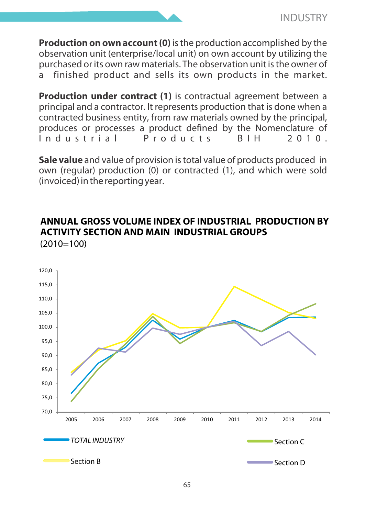**Production on own account (0)** is the production accomplished by the observation unit (enterprise/local unit) on own account by utilizing the purchased or its own raw materials. The observation unit is the owner of a finished product and sells its own products in the market.

**Production under contract (1)** is contractual agreement between a principal and a contractor. It represents production that is done when a contracted business entity, from raw materials owned by the principal, produces or processes a product defined by the Nomenclature of  $Industrial$ 

**Sale value** and value of provision is total value of products produced in own (regular) production (0) or contracted (1), and which were sold (invoiced) in the reporting year.

#### **ANNUAL GROSS VOLUME INDEX OF INDUSTRIAL PRODUCTION BY ACTIVITY SECTION AND MAIN INDUSTRIAL GROUPS**   $(2010=100)$

![](_page_64_Figure_5.jpeg)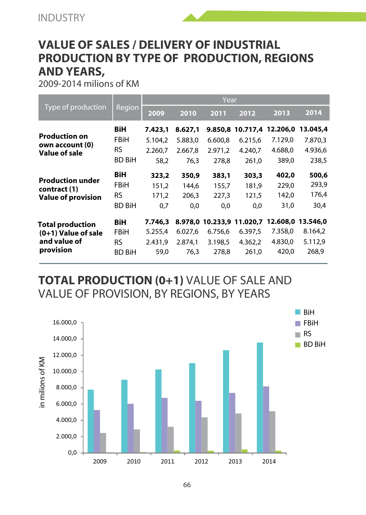# **VALUE OF SALES / DELIVERY OF INDUSTRIAL PRODUCTION BY TYPE OF PRODUCTION, REGIONS AND YEARS,**

2009-2014 milions of KM

|                                  |               | Year    |         |         |                   |          |          |  |  |
|----------------------------------|---------------|---------|---------|---------|-------------------|----------|----------|--|--|
| Type of production               | Region        | 2009    | 2010    | 2011    | 2012              | 2013     | 2014     |  |  |
|                                  | BiH           | 7.423.1 | 8.627.1 |         | 9.850.8 10.717.4  | 12.206.0 | 13.045.4 |  |  |
| <b>Production on</b>             | FBiH          | 5.104.2 | 5.883.0 | 6.600.8 | 6.215.6           | 7.129,0  | 7.870.3  |  |  |
| own account (0)<br>Value of sale | <b>RS</b>     | 2.260.7 | 2.667.8 | 2.971.2 | 4.240.7           | 4.688.0  | 4.936.6  |  |  |
|                                  | <b>BD BiH</b> | 58.2    | 76.3    | 278.8   | 261,0             | 389,0    | 238,5    |  |  |
| <b>Production under</b>          | BiH           | 323,2   | 350,9   | 383,1   | 303,3             | 402,0    | 500,6    |  |  |
| contract (1)                     | FBiH          | 151.2   | 144.6   | 155.7   | 181.9             | 229,0    | 293,9    |  |  |
| <b>Value of provision</b>        | <b>RS</b>     | 171.2   | 206.3   | 227,3   | 121.5             | 142.0    | 176,4    |  |  |
|                                  | <b>BD BiH</b> | 0,7     | 0,0     | 0,0     | 0,0               | 31,0     | 30,4     |  |  |
| <b>Total production</b>          | BiH           | 7.746.3 | 8.978.0 |         | 10.233.9 11.020.7 | 12.608.0 | 13.546.0 |  |  |
| $(0+1)$ Value of sale            | FBiH          | 5.255.4 | 6.027.6 | 6.756.6 | 6.397,5           | 7.358.0  | 8.164,2  |  |  |
| and value of                     | <b>RS</b>     | 2.431.9 | 2.874.1 | 3.198.5 | 4.362.2           | 4.830,0  | 5.112,9  |  |  |
| provision                        | <b>BD BiH</b> | 59,0    | 76,3    | 278.8   | 261,0             | 420.0    | 268.9    |  |  |

**TOTAL PRODUCTION (0+1)** VALUE OF SALE AND VALUE OF PROVISION, BY REGIONS, BY YEARS

![](_page_65_Figure_5.jpeg)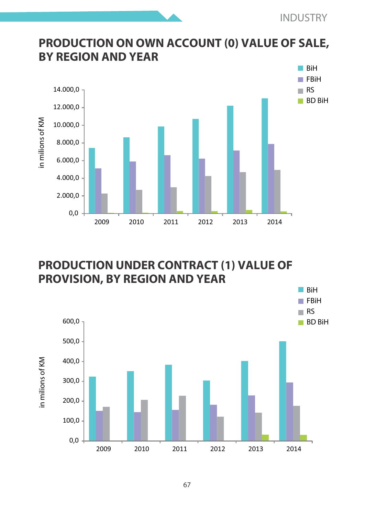## **PRODUCTION ON OWN ACCOUNT (0) VALUE OF SALE, BY REGION AND YEAR**

![](_page_66_Figure_2.jpeg)

## **PRODUCTION UNDER CONTRACT (1) VALUE OF PROVISION, BY REGION AND YEAR**

![](_page_66_Figure_4.jpeg)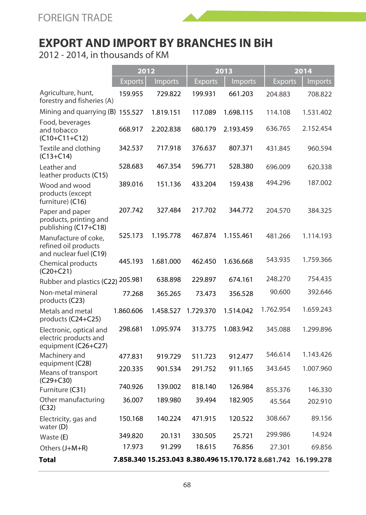# **EXPORT AND IMPORT BY BRANCHES IN BiH**

2012 - 2014, in thousands of KM

|                                                                         | 2012      |           | 2013      |                                                                | 2014           |           |
|-------------------------------------------------------------------------|-----------|-----------|-----------|----------------------------------------------------------------|----------------|-----------|
|                                                                         | Exports   | Imports   | Exports   | Imports                                                        | <b>Exports</b> | Imports   |
| Agriculture, hunt,<br>forestry and fisheries (A)                        | 159.955   | 729.822   | 199.931   | 661.203                                                        | 204.883        | 708.822   |
| Mining and quarrying (B) 155.527                                        |           | 1.819.151 | 117.089   | 1.698.115                                                      | 114.108        | 1.531.402 |
| Food, beverages<br>and tobacco<br>(C10+C11+C12)                         | 668.917   | 2.202.838 | 680.179   | 2.193.459                                                      | 636.765        | 2.152.454 |
| Textile and clothing<br>$(C13 + C14)$                                   | 342.537   | 717.918   | 376.637   | 807.371                                                        | 431.845        | 960.594   |
| Leather and<br>leather products (C15)                                   | 528.683   | 467.354   | 596.771   | 528.380                                                        | 696.009        | 620.338   |
| Wood and wood<br>products (except<br>furniture) (C16)                   | 389.016   | 151.136   | 433.204   | 159.438                                                        | 494.296        | 187.002   |
| Paper and paper<br>products, printing and<br>publishing (C17+C18)       | 207.742   | 327.484   | 217.702   | 344.772                                                        | 204.570        | 384.325   |
| Manufacture of coke,<br>refined oil products                            | 525.173   | 1.195.778 | 467.874   | 1.155.461                                                      | 481.266        | 1.114.193 |
| and nuclear fuel (C19)<br>Chemical products<br>$(C20 + C21)$            | 445.193   | 1.681.000 | 462.450   | 1.636.668                                                      | 543.935        | 1.759.366 |
| Rubber and plastics (C22)                                               | 205.981   | 638.898   | 229.897   | 674.161                                                        | 248.270        | 754.435   |
| Non-metal mineral<br>products (C23)                                     | 77.268    | 365.265   | 73.473    | 356.528                                                        | 90.600         | 392.646   |
| Metals and metal<br>products (C24+C25)                                  | 1.860.606 | 1.458.527 | 1.729.370 | 1.514.042                                                      | 1.762.954      | 1.659.243 |
| Electronic, optical and<br>electric products and<br>equipment (C26+C27) | 298.681   | 1.095.974 | 313.775   | 1.083.942                                                      | 345.088        | 1.299.896 |
| Machinery and                                                           | 477.831   | 919.729   | 511.723   | 912.477                                                        | 546.614        | 1.143.426 |
| equipment (C28)<br>Means of transport<br>$(C29 + C30)$                  | 220.335   | 901.534   | 291.752   | 911.165                                                        | 343.645        | 1.007.960 |
| Furniture (C31)                                                         | 740.926   | 139.002   | 818.140   | 126.984                                                        | 855.376        | 146.330   |
| Other manufacturing<br>(C32)                                            | 36.007    | 189.980   | 39.494    | 182.905                                                        | 45.564         | 202.910   |
| Electricity, gas and<br>water (D)                                       | 150.168   | 140.224   | 471.915   | 120.522                                                        | 308.667        | 89.156    |
| Waste (E)                                                               | 349.820   | 20.131    | 330.505   | 25.721                                                         | 299.986        | 14.924    |
| Others (J+M+R)                                                          | 17.973    | 91.299    | 18.615    | 76.856                                                         | 27.301         | 69.856    |
| Total                                                                   |           |           |           | 7.858.340 15.253.043 8.380.496 15.170.172 8.681.742 16.199.278 |                |           |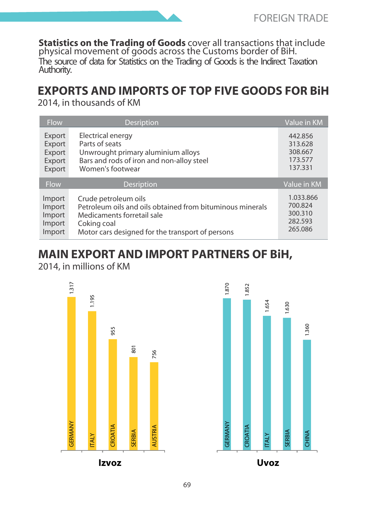**Statistics on the Trading of Goods** cover all transactions that include physical movement of goods across the Customs border of BiH. The source of data for Statistics on the Trading of Goods is the Indirect Taxation Authority.

# **EXPORTS AND IMPORTS OF TOP FIVE GOODS FOR BiH**

2014, in thousands of KM

| Flow        | <b>Desription</b>                                         | Value in KM |
|-------------|-----------------------------------------------------------|-------------|
| Export      | Electrical energy                                         | 442.856     |
| Export      | Parts of seats                                            | 313.628     |
| Export      | Unwrought primary aluminium alloys                        | 308,667     |
| Export      | Bars and rods of iron and non-alloy steel                 | 173.577     |
| Export      | Women's footwear                                          | 137.331     |
| <b>Flow</b> | <b>Desription</b>                                         | Value in KM |
| Import      | Crude petroleum oils                                      | 1.033.866   |
| Import      | Petroleum oils and oils obtained from bituminous minerals | 700.824     |
| Import      | Medicaments forretail sale                                | 300.310     |
| Import      | Coking coal                                               | 282.593     |
| Import      | Motor cars designed for the transport of persons          | 265.086     |

# **MAIN EXPORT AND IMPORT PARTNERS OF BiH,**

2014, in millions of KM

![](_page_68_Figure_7.jpeg)

![](_page_68_Figure_8.jpeg)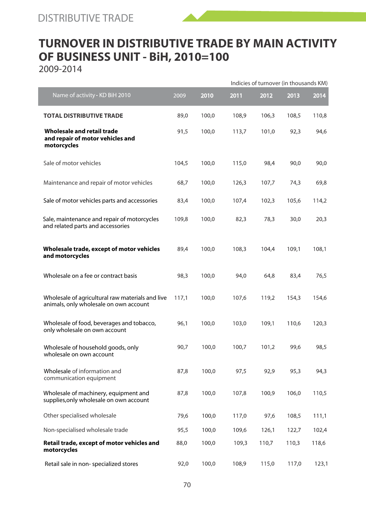![](_page_69_Picture_1.jpeg)

2009-2014

|                                                                                            |       |       |       | Indicies of turnover (in thousands KM) |       |       |  |  |
|--------------------------------------------------------------------------------------------|-------|-------|-------|----------------------------------------|-------|-------|--|--|
| Name of activity - KD BiH 2010                                                             | 2009  | 2010  | 2011  | 2012                                   | 2013  | 2014  |  |  |
| <b>TOTAL DISTRIBUTIVE TRADE</b>                                                            | 89.0  | 100.0 | 108.9 | 106.3                                  | 108.5 | 110.8 |  |  |
| Wholesale and retail trade<br>and repair of motor vehicles and<br>motorcycles              | 91.5  | 100.0 | 113.7 | 101.0                                  | 92.3  | 94.6  |  |  |
| Sale of motor vehicles                                                                     | 104,5 | 100.0 | 115.0 | 98,4                                   | 90.0  | 90.0  |  |  |
| Maintenance and repair of motor vehicles                                                   | 68,7  | 100.0 | 126,3 | 107.7                                  | 74,3  | 69.8  |  |  |
| Sale of motor vehicles parts and accessories                                               | 83.4  | 100.0 | 107.4 | 102.3                                  | 105.6 | 114.2 |  |  |
| Sale, maintenance and repair of motorcycles<br>and related parts and accessories           | 109,8 | 100,0 | 82,3  | 78,3                                   | 30,0  | 20,3  |  |  |
| Wholesale trade, except of motor vehicles<br>and motorcycles                               | 89,4  | 100,0 | 108,3 | 104.4                                  | 109.1 | 108.1 |  |  |
| Wholesale on a fee or contract basis                                                       | 98,3  | 100,0 | 94,0  | 64,8                                   | 83,4  | 76,5  |  |  |
| Wholesale of agricultural raw materials and live<br>animals, only wholesale on own account | 117.1 | 100,0 | 107,6 | 119.2                                  | 154.3 | 154.6 |  |  |
| Wholesale of food, beverages and tobacco,<br>only wholesale on own account                 | 96.1  | 100.0 | 103.0 | 109.1                                  | 110.6 | 120.3 |  |  |
| Wholesale of household goods, only<br>wholesale on own account                             | 90,7  | 100.0 | 100.7 | 101.2                                  | 99.6  | 98.5  |  |  |
| Wholesale of information and<br>communication equipment                                    | 87.8  | 100.0 | 97.5  | 92.9                                   | 95.3  | 94.3  |  |  |
| Wholesale of machinery, equipment and<br>supplies, only wholesale on own account           | 87.8  | 100,0 | 107,8 | 100,9                                  | 106,0 | 110.5 |  |  |
| Other specialised wholesale                                                                | 79.6  | 100.0 | 117.0 | 97.6                                   | 108.5 | 111.1 |  |  |
| Non-specialised wholesale trade                                                            | 95.5  | 100.0 | 109.6 | 126.1                                  | 122.7 | 102.4 |  |  |
| Retail trade, except of motor vehicles and<br>motorcycles                                  | 88.0  | 100.0 | 109.3 | 110.7                                  | 110.3 | 118.6 |  |  |
| Retail sale in non-specialized stores                                                      | 92.0  | 100.0 | 108,9 | 115.0                                  | 117,0 | 123.1 |  |  |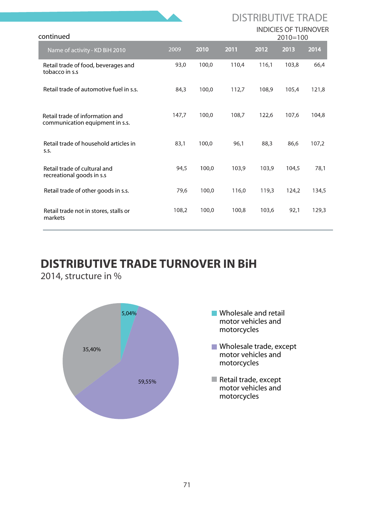|                                                                    |       |            |       |       | <b>INDICIES OF TURNOVER</b> |       |
|--------------------------------------------------------------------|-------|------------|-------|-------|-----------------------------|-------|
| continued                                                          |       | $2010=100$ |       |       |                             |       |
| Name of activity - KD BiH 2010                                     | 2009  | 2010       | 2011  | 2012  | 2013                        | 2014  |
| Retail trade of food, beverages and<br>tobacco in s.s.             | 93.0  | 100.0      | 110.4 | 116.1 | 103.8                       | 66.4  |
| Retail trade of automotive fuel in s.s.                            | 84.3  | 100.0      | 112.7 | 108.9 | 105.4                       | 121.8 |
| Retail trade of information and<br>communication equipment in s.s. | 147.7 | 100.0      | 108.7 | 122.6 | 107.6                       | 104.8 |
| Retail trade of household articles in<br>S.S.                      | 83.1  | 100.0      | 96.1  | 88.3  | 86.6                        | 107,2 |
| Retail trade of cultural and<br>recreational goods in s.s          | 94.5  | 100.0      | 103,9 | 103.9 | 104.5                       | 78.1  |
| Retail trade of other goods in s.s.                                | 79,6  | 100,0      | 116,0 | 119,3 | 124,2                       | 134,5 |
| Retail trade not in stores, stalls or<br>markets                   | 108.2 | 100.0      | 100.8 | 103.6 | 92,1                        | 129,3 |

# **DISTRIBUTIVE TRADE TURNOVER IN BiH**

2014, structure in %

![](_page_70_Figure_3.jpeg)

**Wholesale and retail** motor vehicles and motorcycles

DISTRIBUTIVE TRADE

- Wholesale trade, except motor vehicles and motorcycles
- Retail trade, except motor vehicles and motorcycles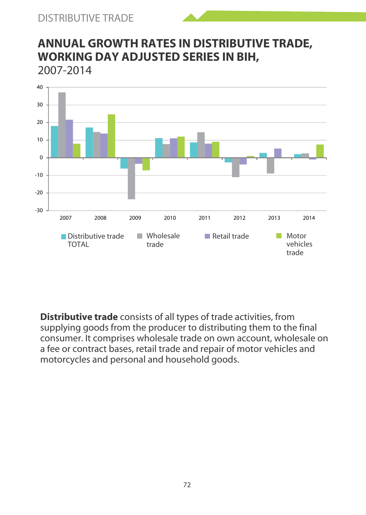![](_page_71_Picture_1.jpeg)

## **ANNUAL GROWTH RATES IN DISTRIBUTIVE TRADE, WORKING DAY ADJUSTED SERIES IN BIH,** 2007-2014

![](_page_71_Figure_3.jpeg)

**Distributive trade** consists of all types of trade activities, from supplying goods from the producer to distributing them to the final consumer. It comprises wholesale trade on own account, wholesale on a fee or contract bases, retail trade and repair of motor vehicles and motorcycles and personal and household goods.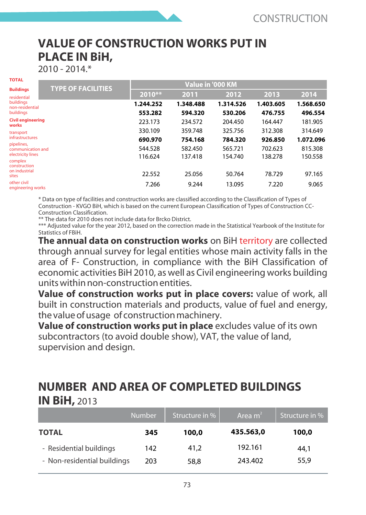### **VALUE OF CONSTRUCTION WORKS PUT IN PLACE IN BiH,**

#### 2010 - 2014.\*

| TOTAL                                                | <b>TYPE OF FACILITIES</b> | Value in '000 KM     |                      |                      |                      |                      |  |  |  |
|------------------------------------------------------|---------------------------|----------------------|----------------------|----------------------|----------------------|----------------------|--|--|--|
| <b>Buildings</b><br>residential                      |                           | 2010**               | 2011                 | 2012                 | 2013                 | 2014                 |  |  |  |
| buildinas<br>non-residential<br>buildings            |                           | 1.244.252<br>553.282 | 1.348.488<br>594.320 | 1.314.526<br>530.206 | 1.403.605<br>476.755 | 1.568.650<br>496.554 |  |  |  |
| <b>Civil engineering</b><br>works                    |                           | 223.173              | 234.572              | 204.450              | 164.447              | 181.905              |  |  |  |
| transport<br><b>infrastructures</b>                  |                           | 330.109<br>690.970   | 359.748<br>754.168   | 325.756<br>784.320   | 312.308<br>926.850   | 314.649<br>1.072.096 |  |  |  |
| pipelines,<br>communication and<br>electricity lines |                           | 544.528<br>116,624   | 582.450<br>137.418   | 565.721<br>154.740   | 702.623<br>138.278   | 815.308<br>150.558   |  |  |  |
| complex<br>construction<br>on industrial             |                           | 22.552               | 25.056               | 50.764               | 78.729               | 97.165               |  |  |  |
| sites<br>other civil<br>engineering works            |                           | 7.266                | 9.244                | 13.095               | 7.220                | 9.065                |  |  |  |
|                                                      |                           |                      |                      |                      |                      |                      |  |  |  |

\* Data on type of facilities and construction works are classified according to the Classification of Types of Construction - KVGO BiH, which is based on the current European Classification of Types of Construction CC-Construction Classification.

\*\* The data for 2010 does not include data for Brcko District.

\*\*\* Adjusted value for the year 2012, based on the correction made in the Statistical Yearbook of the Institute for Statistics of FBiH.

**The annual data on construction works** on BiH territory are collected through annual survey for legal entities whose main activity falls in the area of F- Construction, in compliance with the BiH Classification of economic activities BiH 2010, as well as Civil engineering works building units within non-construction entities.

**Value of construction works put in place covers:** value of work, all built in construction materials and products, value of fuel and energy, the value of usage of construction machinery.

**Value of construction works put in place** excludes value of its own subcontractors (to avoid double show), VAT, the value of land, supervision and design.

### **NUMBER AND AREA OF COMPLETED BUILDINGS IN BiH,** 2013

| Number <sub>1</sub>         |     | Structure in % | Area $m2$ | Structure in % |
|-----------------------------|-----|----------------|-----------|----------------|
| <b>TOTAL</b>                | 345 | 100.0          | 435.563.0 | 100,0          |
| - Residential buildings     | 142 | 41.2           | 192.161   | 44.1           |
| - Non-residential buildings | 203 | 58.8           | 243.402   | 55.9           |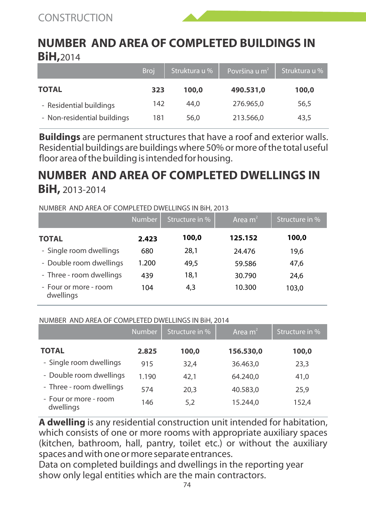### **NUMBER AND AREA OF COMPLETED BUILDINGS IN BiH,**2014

|                             | <b>Broj</b> | Struktura u % | Površina u m <sup>2</sup> | Struktura u % |
|-----------------------------|-------------|---------------|---------------------------|---------------|
| <b>TOTAL</b>                | 323         | 100,0         | 490.531.0                 | 100,0         |
| - Residential buildings     | 142         | 44.0          | 276,965.0                 | 56.5          |
| - Non-residential buildings | 181         | 56.0          | 213.566.0                 | 43.5          |

**Buildings** are permanent structures that have a roof and exterior walls. Residential buildings are buildings where 50% or more of the total useful floor area of the building is intended for housing.

### **NUMBER AND AREA OF COMPLETED DWELLINGS IN BiH,** 2013-2014

#### NUMBER AND AREA OF COMPLETED DWELLINGS IN BiH, 2013

|                                    | <b>Number</b> | Structure in % | Area m <sup>2</sup> | Structure in % |
|------------------------------------|---------------|----------------|---------------------|----------------|
| <b>TOTAL</b>                       | 2.423         | 100,0          | 125.152             | 100,0          |
| - Single room dwellings            | 680           | 28.1           | 24.476              | 19.6           |
| - Double room dwellings            | 1.200         | 49.5           | 59.586              | 47.6           |
| - Three - room dwellings           | 439           | 18.1           | 30.790              | 24.6           |
| - Four or more - room<br>dwellings | 104           | 4.3            | 10.300              | 103.0          |

#### NUMBER AND AREA OF COMPLETED DWELLINGS IN BiH, 2014

|                                    | Number | Structure in % | Area m <sup>2</sup> | Structure in % |
|------------------------------------|--------|----------------|---------------------|----------------|
| <b>TOTAL</b>                       | 2.825  | 100,0          | 156.530,0           | 100,0          |
| - Single room dwellings            | 915    | 32.4           | 36,463.0            | 23.3           |
| - Double room dwellings            | 1.190  | 42.1           | 64.240.0            | 41.0           |
| - Three - room dwellings           | 574    | 20.3           | 40.583.0            | 25.9           |
| - Four or more - room<br>dwellings | 146    | 5.2            | 15.244.0            | 152.4          |

**A dwelling** is any residential construction unit intended for habitation, which consists of one or more rooms with appropriate auxiliary spaces (kitchen, bathroom, hall, pantry, toilet etc.) or without the auxiliary spaces and with one or more separate entrances.

Data on completed buildings and dwellings in the reporting year show only legal entities which are the main contractors.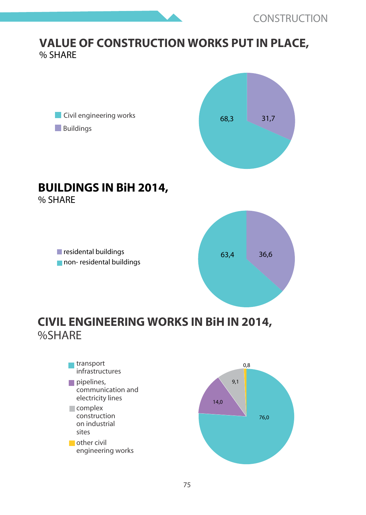#### **VALUE OF CONSTRUCTION WORKS PUT IN PLACE,** % SHARE



76,0 14,0

**Complex** construction on industrial sites **other** civil engineering works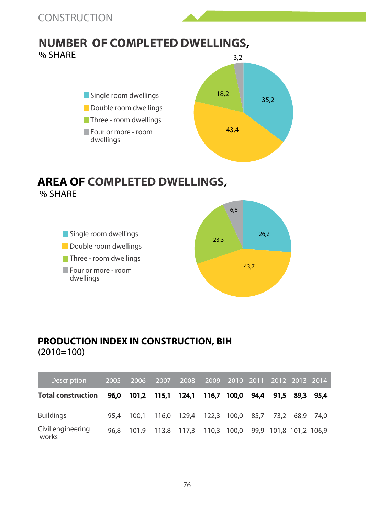#### **NUMBER OF COMPLETED DWELLINGS,**  % SHARE 3,2



#### **AREA OF COMPLETED DWELLINGS,**  % SHARE



#### **PRODUCTION INDEX IN CONSTRUCTION, BIH** (2010=100)

| <b>Description</b>         | 2005 | 2006  | 2007              | 2008  | 2009  | 2010        | 2011 |                        | 2012 2013 2014 |           |
|----------------------------|------|-------|-------------------|-------|-------|-------------|------|------------------------|----------------|-----------|
| <b>Total construction</b>  | 96.0 |       | 101.2 115.1 124.1 |       |       | 116.7 100.0 | 94.4 |                        | 91.5 89.3 95.4 |           |
| <b>Buildings</b>           | 95.4 | 100.1 | 116.0             | 129.4 | 122,3 | 100,0       | 85,7 | 73.2                   |                | 68.9 74.0 |
| Civil engineering<br>works | 96.8 | 101.9 | 113.8             | 117.3 | 110,3 | 100,0       |      | 99,9 101,8 101,2 106,9 |                |           |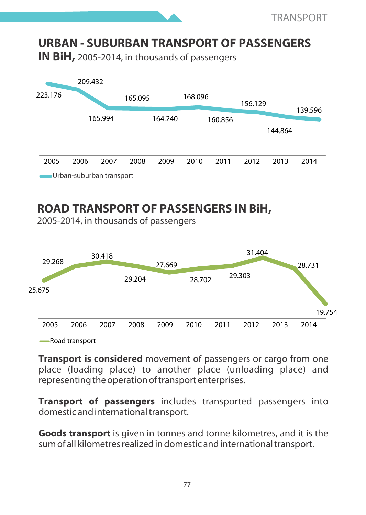#### **URBAN - SUBURBAN TRANSPORT OF PASSENGERS IN BiH,** 2005-2014, in thousands of passengers 223.176 209.432 165.994 165.095 164.240 168.096 160.856 156.129 144.864 139.596 2005 2006 2007 2008 2009 2010 2011 2012 2013 2014

Urban-suburban transport

### **ROAD TRANSPORT OF PASSENGERS IN BiH,**

2005-2014, in thousands of passengers



**Transport is considered** movement of passengers or cargo from one place (loading place) to another place (unloading place) and representing the operation of transport enterprises.

**Transport of passengers** includes transported passengers into domestic and international transport.

**Goods transport** is given in tonnes and tonne kilometres, and it is the sum of all kilometres realized in domestic and international transport.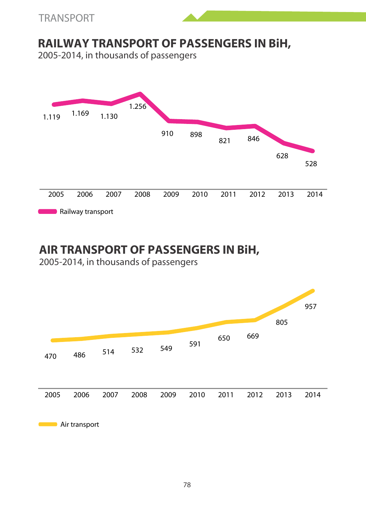

### **RAILWAY TRANSPORT OF PASSENGERS IN BiH,**

2005-2014, in thousands of passengers



### **AIR TRANSPORT OF PASSENGERS IN BiH,**

2005-2014, in thousands of passengers

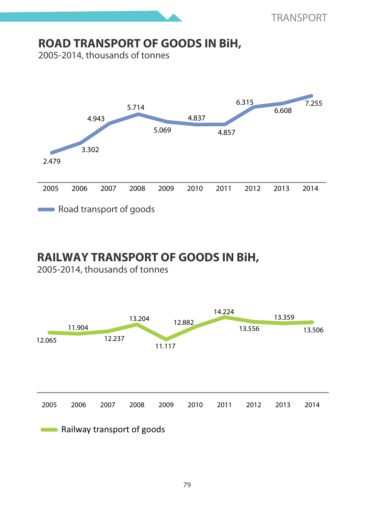### **ROAD TRANSPORT OF GOODS IN BiH,**

2005-2014, thousands of tonnes



### **RAILWAY TRANSPORT OF GOODS IN BiH,**

2005-2014, thousands of tonnes

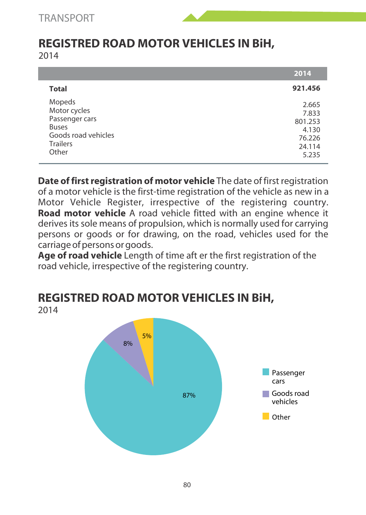# **REGISTRED ROAD MOTOR VEHICLES IN BiH,**

2014

|                                                                                                             | 2014                                                            |
|-------------------------------------------------------------------------------------------------------------|-----------------------------------------------------------------|
| <b>Total</b>                                                                                                | 921.456                                                         |
| Mopeds<br>Motor cycles<br>Passenger cars<br><b>Buses</b><br>Goods road vehicles<br><b>Trailers</b><br>Other | 2.665<br>7.833<br>801.253<br>4.130<br>76.226<br>24.114<br>5.235 |

**Date of first registration of motor vehicle** The date of first registration of a motor vehicle is the first-time registration of the vehicle as new in a Motor Vehicle Register, irrespective of the registering country. **Road motor vehicle** A road vehicle fitted with an engine whence it derives its sole means of propulsion, which is normally used for carrying persons or goods or for drawing, on the road, vehicles used for the carriage of persons or goods.

**Age of road vehicle** Length of time aft er the first registration of the road vehicle, irrespective of the registering country.



# **REGISTRED ROAD MOTOR VEHICLES IN BiH,**

2014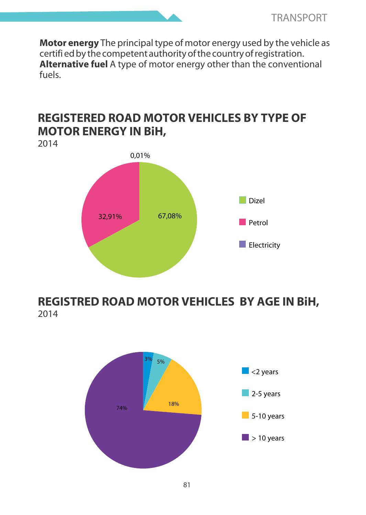**Motor energy** The principal type of motor energy used by the vehicle as certifi ed by the competent authority of the country of registration. **Alternative fuel** A type of motor energy other than the conventional fuels.

#### **REGISTERED ROAD MOTOR VEHICLES BY TYPE OF MOTOR ENERGY IN BiH,**





### **REGISTRED ROAD MOTOR VEHICLES BY AGE IN BiH,** 2014

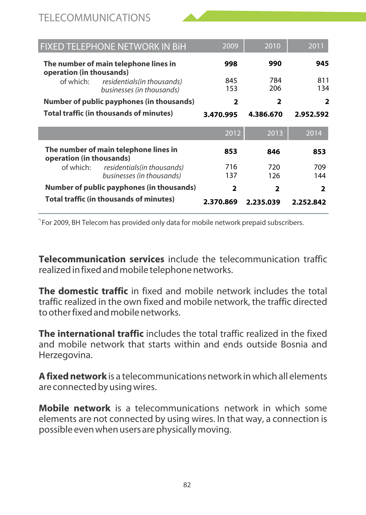#### TELECOMMUNICATIONS

| FIXED TELEPHONE NETWORK IN BIH                                        | 2009                     | 2010           | 2011       |
|-----------------------------------------------------------------------|--------------------------|----------------|------------|
| The number of main telephone lines in<br>operation (in thousands)     | 998                      | 990            | 945        |
| of which:<br>residentials (in thousands)<br>businesses (in thousands) | 845<br>153               | 784<br>206     | 811<br>134 |
| Number of public payphones (in thousands)                             | 2                        | 2              | 2          |
| <b>Total traffic (in thousands of minutes)</b>                        | 3.470.995                | 4.386.670      | 2.952.592  |
|                                                                       | 2012                     | 2013           | 2014       |
| The number of main telephone lines in<br>operation (in thousands)     | 853                      | 846            | 853        |
| of which:<br>residentials(in thousands)<br>businesses (in thousands)  | 716<br>137               | 720<br>126     | 709<br>144 |
| Number of public payphones (in thousands)                             | $\overline{\phantom{a}}$ | $\overline{2}$ | 2          |
| <b>Total traffic (in thousands of minutes)</b>                        | 2.370.869                | 2.235.039      | 2.252.842  |

\*) For 2009, BH Telecom has provided only data for mobile network prepaid subscribers.

**Telecommunication services** include the telecommunication traffic realized in fixed and mobile telephone networks.

**The domestic traffic** in fixed and mobile network includes the total traffic realized in the own fixed and mobile network, the traffic directed to other fixed and mobile networks.

**The international traffic** includes the total traffic realized in the fixed and mobile network that starts within and ends outside Bosnia and Herzegovina.

**A fixed network** is a telecommunications network in which all elements are connected by using wires.

**Mobile network** is a telecommunications network in which some elements are not connected by using wires. In that way, a connection is possible even when users are physically moving.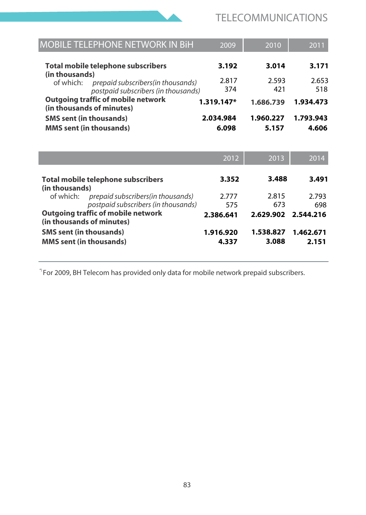

| <b>MOBILE TELEPHONE NETWORK IN BIH</b>                                                                                                                           | 2009       | 2010      | 2011      |
|------------------------------------------------------------------------------------------------------------------------------------------------------------------|------------|-----------|-----------|
| Total mobile telephone subscribers                                                                                                                               | 3.192      | 3.014     | 3.171     |
| (in thousands)                                                                                                                                                   | 2.817      | 2.593     | 2.653     |
| of which:<br>prepaid subscribers (in thousands)                                                                                                                  | 374        | 421       | 518       |
| postpaid subscribers (in thousands)                                                                                                                              |            |           |           |
| Outgoing traffic of mobile network<br>(in thousands of minutes)                                                                                                  | 1.319.147* | 1.686.739 | 1.934.473 |
| <b>SMS</b> sent (in thousands)                                                                                                                                   | 2.034.984  | 1.960.227 | 1.793.943 |
| <b>MMS</b> sent (in thousands)                                                                                                                                   | 6.098      | 5.157     | 4.606     |
|                                                                                                                                                                  |            |           |           |
|                                                                                                                                                                  | 2012       | 2013      | 2014      |
|                                                                                                                                                                  | 3.352      | 3.488     | 3.491     |
|                                                                                                                                                                  |            |           |           |
| of which:<br>prepaid subscribers (in thousands)                                                                                                                  | 2.777      | 2.815     | 2.793     |
| postpaid subscribers (in thousands)                                                                                                                              | 575        | 673       | 698       |
|                                                                                                                                                                  | 2.386.641  | 2.629.902 | 2.544.216 |
| <b>Total mobile telephone subscribers</b><br>(in thousands)<br>Outgoing traffic of mobile network<br>(in thousands of minutes)<br><b>SMS</b> sent (in thousands) | 1.916.920  | 1.538.827 | 1.462.671 |

\*) For 2009, BH Telecom has provided only data for mobile network prepaid subscribers.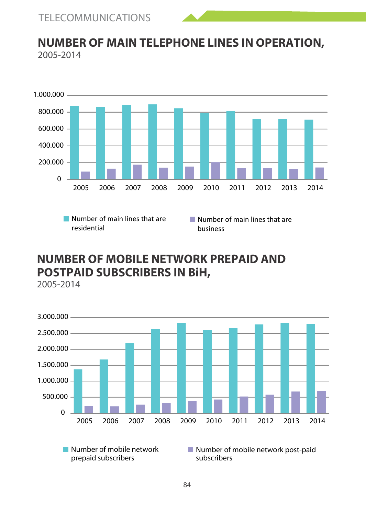

#### **NUMBER OF MAIN TELEPHONE LINES IN OPERATION,** 2005-2014



### **NUMBER OF MOBILE NETWORK PREPAID AND POSTPAID SUBSCRIBERS IN BiH,**

2005-2014



prepaid subscribers

Number of mobile network post-paid subscribers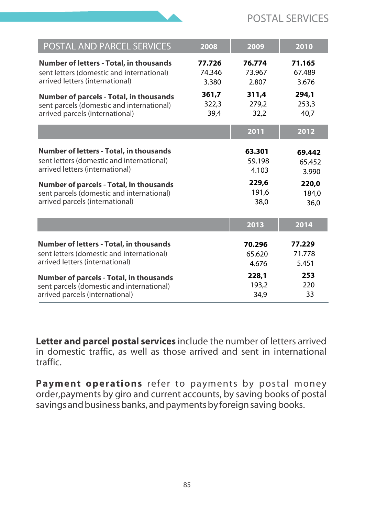

| POSTAL AND PARCEL SERVICES<br>2008<br>2009<br>2010<br><b>Number of letters - Total, in thousands</b><br>77.726<br>76.774<br>71.165<br>sent letters (domestic and international)<br>74.346<br>67.489<br>73.967<br>arrived letters (international)<br>3.676<br>3.380<br>2.807<br>361,7<br>311.4<br>294.1<br>Number of parcels - Total, in thousands<br>322,3<br>279.2<br>253,3<br>sent parcels (domestic and international)<br>39,4<br>32,2<br>40.7<br>arrived parcels (international)<br>2011<br>2012<br><b>Number of letters - Total, in thousands</b><br>63.301<br>69.442<br>sent letters (domestic and international)<br>59.198<br>65.452<br>arrived letters (international)<br>4.103<br>3.990<br>229,6<br>220.0<br>Number of parcels - Total, in thousands<br>191,6<br>sent parcels (domestic and international)<br>184.0<br>arrived parcels (international)<br>38.0<br>36.0<br>2013<br>2014<br><b>Number of letters - Total, in thousands</b><br>77.229<br>70.296<br>sent letters (domestic and international)<br>71.778<br>65.620<br>arrived letters (international)<br>4.676<br>5.451<br>253<br>228.1<br>Number of parcels - Total, in thousands<br>193.2<br>220<br>sent parcels (domestic and international)<br>33<br>arrived parcels (international)<br>34.9 |  |  |
|----------------------------------------------------------------------------------------------------------------------------------------------------------------------------------------------------------------------------------------------------------------------------------------------------------------------------------------------------------------------------------------------------------------------------------------------------------------------------------------------------------------------------------------------------------------------------------------------------------------------------------------------------------------------------------------------------------------------------------------------------------------------------------------------------------------------------------------------------------------------------------------------------------------------------------------------------------------------------------------------------------------------------------------------------------------------------------------------------------------------------------------------------------------------------------------------------------------------------------------------------------------------|--|--|
|                                                                                                                                                                                                                                                                                                                                                                                                                                                                                                                                                                                                                                                                                                                                                                                                                                                                                                                                                                                                                                                                                                                                                                                                                                                                      |  |  |
|                                                                                                                                                                                                                                                                                                                                                                                                                                                                                                                                                                                                                                                                                                                                                                                                                                                                                                                                                                                                                                                                                                                                                                                                                                                                      |  |  |
|                                                                                                                                                                                                                                                                                                                                                                                                                                                                                                                                                                                                                                                                                                                                                                                                                                                                                                                                                                                                                                                                                                                                                                                                                                                                      |  |  |
|                                                                                                                                                                                                                                                                                                                                                                                                                                                                                                                                                                                                                                                                                                                                                                                                                                                                                                                                                                                                                                                                                                                                                                                                                                                                      |  |  |
|                                                                                                                                                                                                                                                                                                                                                                                                                                                                                                                                                                                                                                                                                                                                                                                                                                                                                                                                                                                                                                                                                                                                                                                                                                                                      |  |  |
|                                                                                                                                                                                                                                                                                                                                                                                                                                                                                                                                                                                                                                                                                                                                                                                                                                                                                                                                                                                                                                                                                                                                                                                                                                                                      |  |  |
|                                                                                                                                                                                                                                                                                                                                                                                                                                                                                                                                                                                                                                                                                                                                                                                                                                                                                                                                                                                                                                                                                                                                                                                                                                                                      |  |  |
|                                                                                                                                                                                                                                                                                                                                                                                                                                                                                                                                                                                                                                                                                                                                                                                                                                                                                                                                                                                                                                                                                                                                                                                                                                                                      |  |  |

**Letter and parcel postal services** include the number of letters arrived in domestic traffic, as well as those arrived and sent in international traffic.

**Payment operations** refer to payments by postal money order,payments by giro and current accounts, by saving books of postal savings and business banks, and payments by foreign saving books.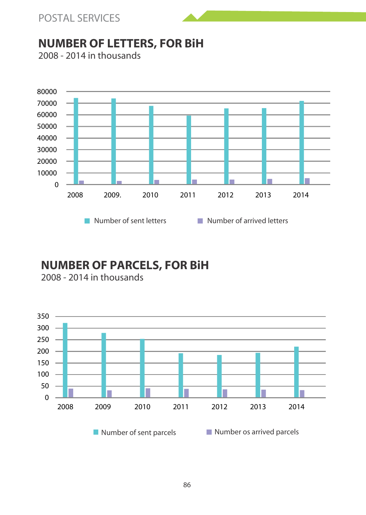



### **NUMBER OF LETTERS, FOR BiH**



#### 2008 - 2014 in thousands

### **NUMBER OF PARCELS, FOR BiH**

2008 - 2014 in thousands

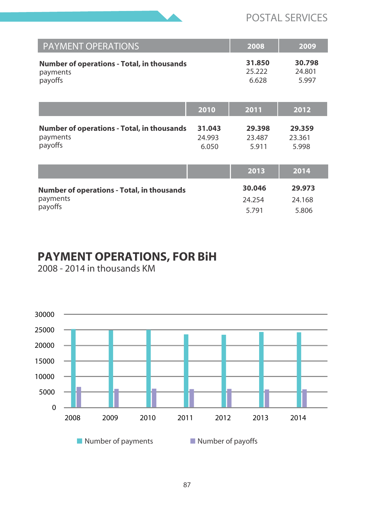

#### POSTAL SERVICES

| <b>PAYMENT OPERATIONS</b>                                                |                           | 2008                      | 2009                      |
|--------------------------------------------------------------------------|---------------------------|---------------------------|---------------------------|
| <b>Number of operations - Total, in thousands</b><br>payments<br>payoffs |                           | 31.850<br>25.222<br>6.628 | 30.798<br>24.801<br>5.997 |
|                                                                          | 2010                      | 2011                      | 2012                      |
| <b>Number of operations - Total, in thousands</b><br>payments<br>payoffs | 31.043<br>24.993<br>6.050 | 29.398<br>23.487<br>5.911 | 29.359<br>23.361<br>5.998 |
|                                                                          |                           | 2013                      | 2014                      |
| <b>Number of operations - Total, in thousands</b>                        |                           | 30.046                    | 29.973                    |
| payments<br>payoffs                                                      |                           | 24.254                    | 24.168                    |
|                                                                          |                           | 5.791                     | 5.806                     |

### **PAYMENT OPERATIONS, FOR BiH**

2008 - 2014 in thousands KM

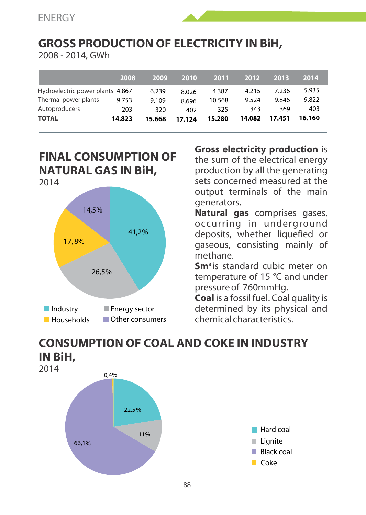# **GROSS PRODUCTION OF ELECTRICITY IN BiH,**

2008 - 2014, GWh

|                                  | 2008   | 2009   | 2010   | 2011   | 2012   | 2013   | 2014   |
|----------------------------------|--------|--------|--------|--------|--------|--------|--------|
| Hydroelectric power plants 4.867 |        | 6.239  | 8.026  | 4.387  | 4.215  | 7.236  | 5.935  |
| Thermal power plants             | 9.753  | 9.109  | 8.696  | 10.568 | 9.524  | 9.846  | 9.822  |
| Autoproducers                    | 203    | 320    | 402    | 325    | 343    | 369    | 403    |
| <b>TOTAL</b>                     | 14.823 | 15.668 | 17.124 | 15.280 | 14.082 | 17.451 | 16.160 |

#### **FINAL CONSUMPTION OF NATURAL GAS IN BiH,** 2014



**Gross electricity production** is the sum of the electrical energy production by all the generating sets concerned measured at the output terminals of the main generators.

**Natural gas** comprises gases, occurring in underground deposits, whether liquefied or gaseous, consisting mainly of methane.

**Sm**<sup>3</sup> is standard cubic meter on temperature of 15 °C and under pressure of 760mmHg.

**Coal** is a fossil fuel. Coal quality is determined by its physical and chemical characteristics.

### **CONSUMPTION OF COAL AND COKE IN INDUSTRY IN BiH,**



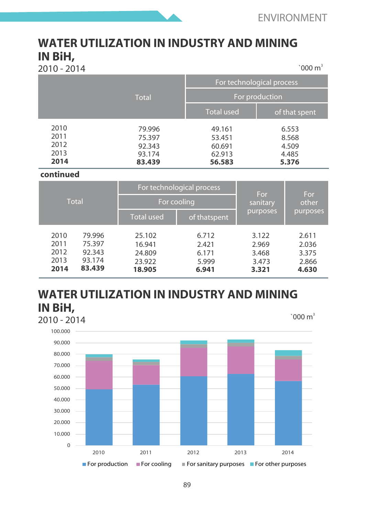#### **WATER UTILIZATION IN INDUSTRY AND MINING IN BiH,**  $^{\circ}000 \text{ m}^3$

2010 - 2014 <sup>3</sup>

|                                      |                                                | For technological process                      |                                           |
|--------------------------------------|------------------------------------------------|------------------------------------------------|-------------------------------------------|
|                                      | Total                                          | For production                                 |                                           |
|                                      |                                                | <b>Total used</b>                              | of that spent                             |
| 2010<br>2011<br>2012<br>2013<br>2014 | 79.996<br>75.397<br>92.343<br>93.174<br>83.439 | 49.161<br>53.451<br>60.691<br>62.913<br>56.583 | 6.553<br>8.568<br>4.509<br>4.485<br>5.376 |

#### **continued**

|                                      |                                                | For technological process                      |                                           | For                                       | For                                       |  |
|--------------------------------------|------------------------------------------------|------------------------------------------------|-------------------------------------------|-------------------------------------------|-------------------------------------------|--|
|                                      | Total                                          |                                                | For cooling                               |                                           | other                                     |  |
|                                      |                                                | <b>Total used</b>                              | of thatspent                              | purposes                                  | purposes                                  |  |
| 2010<br>2011<br>2012<br>2013<br>2014 | 79.996<br>75.397<br>92.343<br>93.174<br>83.439 | 25.102<br>16.941<br>24.809<br>23.922<br>18.905 | 6.712<br>2.421<br>6.171<br>5.999<br>6.941 | 3.122<br>2.969<br>3.468<br>3.473<br>3.321 | 2.611<br>2.036<br>3.375<br>2.866<br>4.630 |  |

#### **WATER UTILIZATION IN INDUSTRY AND MINING IN BiH,** 2010 - 2014

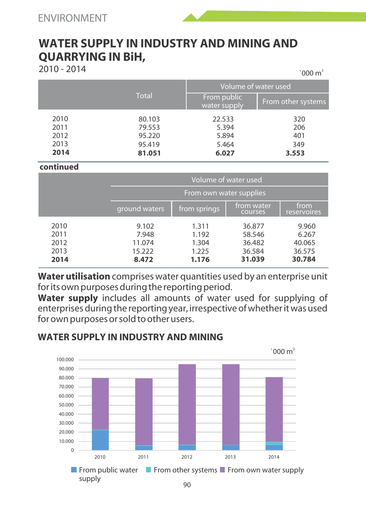

 $2010 - 2014$  300 m<sup>3</sup>

 $^{\circ}$ 000 m<sup>3</sup>

|                                      |                                                |                                            | Volume of water used              |  |  |  |
|--------------------------------------|------------------------------------------------|--------------------------------------------|-----------------------------------|--|--|--|
|                                      | <b>Total</b>                                   | From public<br>water supply                | From other systems                |  |  |  |
| 2010<br>2011<br>2012<br>2013<br>2014 | 80.103<br>79.553<br>95.220<br>95.419<br>81.051 | 22.533<br>5.394<br>5.894<br>5.464<br>6.027 | 320<br>206<br>401<br>349<br>3.553 |  |  |  |

#### **continued**

|                                      |                                             | Volume of water used                      |                                                |                                              |  |  |
|--------------------------------------|---------------------------------------------|-------------------------------------------|------------------------------------------------|----------------------------------------------|--|--|
|                                      |                                             | From own water supplies                   |                                                |                                              |  |  |
|                                      | ground waters                               | from springs,                             | from water<br>courses                          | from<br>reservoires                          |  |  |
| 2010<br>2011<br>2012<br>2013<br>2014 | 9.102<br>7.948<br>11.074<br>15.222<br>8.472 | 1.311<br>1.192<br>1.304<br>1.225<br>1.176 | 36.877<br>58.546<br>36.482<br>36.584<br>31.039 | 9.960<br>6.267<br>40.065<br>36.575<br>30.784 |  |  |

**Water utilisation** comprises water quantities used by an enterprise unit for its own purposes during the reporting period.

**Water supply** includes all amounts of water used for supplying of enterprises during the reporting year, irrespective of whether it was used for own purposes or sold to other users.



#### **WATER SUPPLY IN INDUSTRY AND MINING**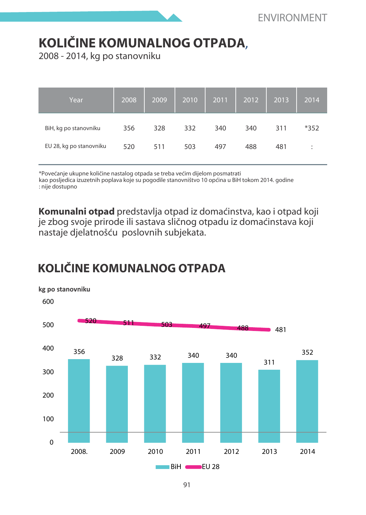# **KOLIÈINE KOMUNALNOG OTPADA**,

2008 - 2014, kg po stanovniku

| Year                    | 2008 | 2009 | 2010 | 2011 | 2012 | 2013 | 2014   |
|-------------------------|------|------|------|------|------|------|--------|
| BiH, kg po stanovniku   | 356  | 328  | 332  | 340  | 340  | 311  | $*352$ |
| EU 28, kg po stanovniku | 520  | 511  | 503  | 497  | 488  | 481  | ٠<br>÷ |

\*Poveæanje ukupne kolièine nastalog otpada se treba veæim dijelom posmatrati kao posljedica izuzetnih poplava koje su pogodile stanovništvo 10 općina u BiH tokom 2014. godine : nije dostupno

**Komunalni otpad** predstavlja otpad iz domaćinstva, kao i otpad koji je zbog svoje prirode ili sastava sličnog otpadu iz domaćinstava koji nastaje djelatnošću poslovnih subjekata.

# **KOLIÈINE KOMUNALNOG OTPADA**

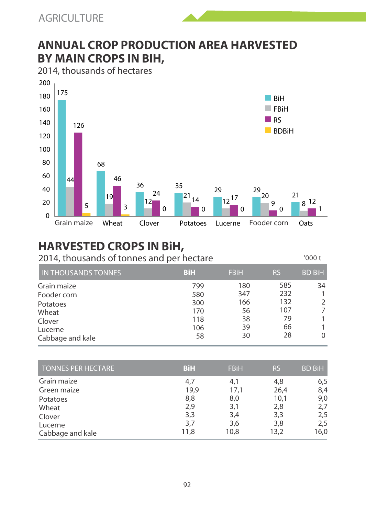### **ANNUAL CROP PRODUCTION AREA HARVESTED BY MAIN CROPS IN BIH,**

2014, thousands of hectares



# **HARVESTED CROPS IN BiH,**

2014, thousands of tonnes and per hectare

 $'$ 000 t

| <b>IN THOUSANDS TONNES</b> | <b>BiH</b> | <b>FBiH</b> | <b>RS</b> | <b>BD BiH</b> |
|----------------------------|------------|-------------|-----------|---------------|
| Grain maize                | 799        | 180         | 585       | 34            |
| Fooder corn                | 580        | 347         | 232       |               |
| Potatoes                   | 300        | 166         | 132       |               |
| Wheat                      | 170        | 56          | 107       |               |
| Clover                     | 118        | 38          | 79        |               |
| Lucerne                    | 106        | 39          | 66        |               |
| Cabbage and kale           | 58         | 30          | 28        | $\Omega$      |

| <b>TONNES PER HECTARE</b> | <b>BiH</b> | <b>FBiH</b> | <b>RS</b> | <b>BD BiH</b> |
|---------------------------|------------|-------------|-----------|---------------|
| Grain maize               | 4.7        | 4,1         | 4,8       | 6,5           |
| Green maize               | 19,9       | 17,1        | 26,4      | 8,4           |
| Potatoes                  | 8,8        | 8,0         | 10.1      | 9,0           |
| Wheat                     | 2,9        | 3,1         | 2,8       | 2,7           |
| Clover                    | 3,3        | 3,4         | 3,3       | 2,5           |
| Lucerne                   | 3,7        | 3,6         | 3,8       | 2,5           |
| Cabbage and kale          | 11,8       | 10.8        | 13,2      | 16,0          |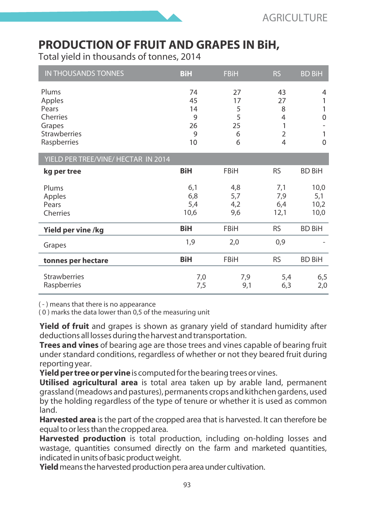### **PRODUCTION OF FRUIT AND GRAPES IN BiH,**

Total yield in thousands of tonnes, 2014

| <b>IN THOUSANDS TONNES</b>          | BiH        | <b>FBiH</b> | <b>RS</b>      | <b>BD BiH</b> |
|-------------------------------------|------------|-------------|----------------|---------------|
| Plums                               | 74         | 27          | 43             | 4             |
| Apples                              | 45         | 17          | 27             |               |
| Pears                               | 14         | 5           | 8              | 1             |
| Cherries                            | 9          | 5           | $\overline{4}$ | $\Omega$      |
| Grapes                              | 26         | 25          | 1              |               |
| <b>Strawberries</b>                 | 9          | 6           | $\overline{2}$ |               |
| Raspberries                         | 10         | 6           | $\overline{4}$ | $\mathbf{0}$  |
| YIELD PER TREE/VINE/ HECTAR IN 2014 |            |             |                |               |
| kg per tree                         | <b>BiH</b> | FBiH        | <b>RS</b>      | <b>BD BiH</b> |
| Plums                               | 6,1        | 4,8         | 7,1            | 10,0          |
| Apples                              | 6,8        | 5,7         | 7,9            | 5,1           |
| Pears                               | 5,4        | 4,2         | 6,4            | 10,2          |
| Cherries                            | 10,6       | 9,6         | 12,1           | 10,0          |
| Yield per vine /kg                  | BiH        | <b>FBiH</b> | <b>RS</b>      | <b>BD BiH</b> |
| Grapes                              | 1,9        | 2,0         | 0,9            |               |
| tonnes per hectare                  | BiH        | FBiH        | <b>RS</b>      | <b>BD BiH</b> |
| <b>Strawberries</b><br>Raspberries  | 7,0<br>7,5 | 7,9<br>9,1  | 5,4<br>6,3     | 6,5<br>2,0    |

( - ) means that there is no appearance

( 0 ) marks the data lower than 0,5 of the measuring unit

**Yield of fruit** and grapes is shown as granary yield of standard humidity after deductions all losses during the harvest and transportation.

**Trees and vines** of bearing age are those trees and vines capable of bearing fruit under standard conditions, regardless of whether or not they beared fruit during reporting year.

**Yield per tree or per vine** is computed for the bearing trees or vines.

**Utilised agricultural area** is total area taken up by arable land, permanent grassland (meadows and pastures), permanents crops and kithchen gardens, used by the holding regardless of the type of tenure or whether it is used as common land.

**Harvested area** is the part of the cropped area that is harvested. It can therefore be equal to or less than the cropped area.

**Harvested production** is total production, including on-holding losses and wastage, quantities consumed directly on the farm and marketed quantities, indicated in units of basic product weight.

**Yield** means the harvested production pera area under cultivation.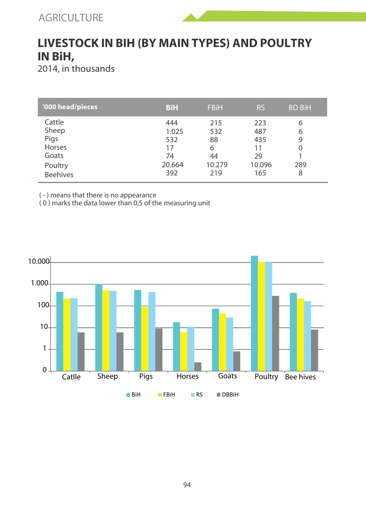

### **LIVESTOCK IN BIH (BY MAIN TYPES) AND POULTRY IN BiH,**

2014, in thousands

| '000 head/pieces | BiH    | <b>FBiH</b> | <b>RS</b> | <b>BD BiH</b> |
|------------------|--------|-------------|-----------|---------------|
| Cattle           | 444    | 215         | 223       | 6             |
| Sheep            | 1.025  | 532         | 487       | 6             |
| Pigs             | 532    | 88          | 435       | 9             |
| Horses           | 17     | 6           | 11        | $\Omega$      |
| Goats            | 74     | 44          | 29        |               |
| Poultry          | 20.664 | 10.279      | 10.096    | 289           |
| <b>Beehives</b>  | 392    | 219         | 165       | 8             |

( - ) means that there is no appearance

( 0 ) marks the data lower than 0,5 of the measuring unit

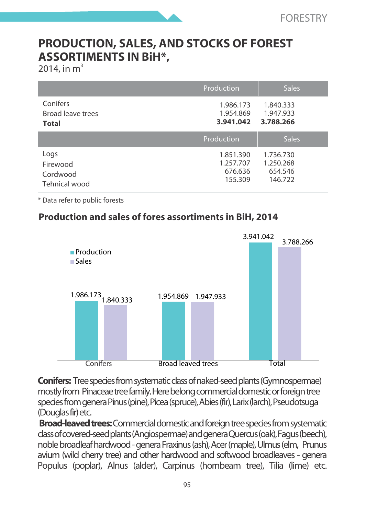### **PRODUCTION, SALES, AND STOCKS OF FOREST ASSORTIMENTS IN BiH\*,**

2014, in  $m^3$ 

|                                        | Production                          | <b>Sales</b>                        |
|----------------------------------------|-------------------------------------|-------------------------------------|
| Conifers<br>Broad leave trees<br>Total | 1.986.173<br>1.954.869<br>3.941.042 | 1.840.333<br>1.947.933<br>3.788.266 |
|                                        |                                     |                                     |
|                                        | Production                          | <b>Sales</b>                        |

\* Data refer to public forests

#### **Production and sales of fores assortiments in BiH, 2014**



**Conifers:** Tree species from systematic class of naked-seed plants (Gymnospermae) mostly from Pinaceae tree family. Here belong commercial domestic or foreign tree species from genera Pinus (pine), Picea (spruce), Abies (fir), Larix (larch), Pseudotsuga (Douglas fir) etc.

**Broad-leaved trees:** Commercial domestic and foreign tree species from systematic class of covered-seed plants (Angiospermae) and genera Quercus (oak), Fagus (beech), noble broadleaf hardwood - genera Fraxinus (ash), Acer (maple), Ulmus (elm, Prunus avium (wild cherry tree) and other hardwood and softwood broadleaves - genera Populus (poplar), Alnus (alder), Carpinus (hornbeam tree), Tilia (lime) etc.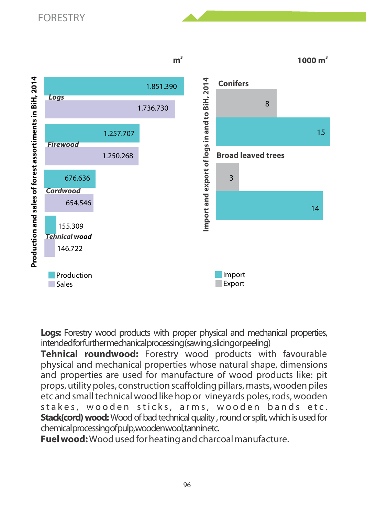

**Logs:** Forestry wood products with proper physical and mechanical properties, intended for further mechanical processing (sawing, slicing or peeling)

**Tehnical roundwood:** Forestry wood products with favourable physical and mechanical properties whose natural shape, dimensions and properties are used for manufacture of wood products like: pit props, utility poles, construction scaffolding pillars, masts, wooden piles etc and small technical wood like hop or vineyards poles, rods, wooden stakes, wooden sticks, arms, wooden bands etc. **Stack(cord) wood:** Wood of bad technical quality , round or split, which is used for chemical processing of pulp, wooden wool, tannin etc.

**Fuel wood:** Wood used for heating and charcoal manufacture.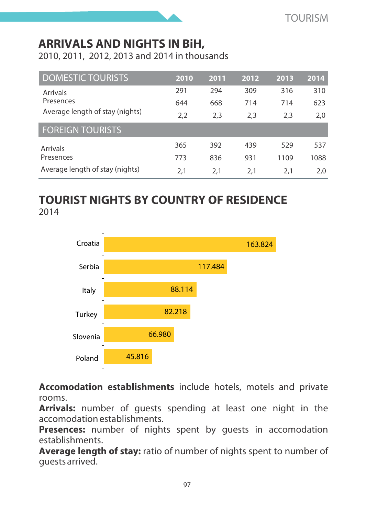### **ARRIVALS AND NIGHTS IN BiH,**

2010, 2011, 2012, 2013 and 2014 in thousands

| <b>DOMESTIC TOURISTS</b>        | 2010 | 2011 | 2012 | 2013 | 2014 |
|---------------------------------|------|------|------|------|------|
| Arrivals                        | 291  | 294  | 309  | 316  | 310  |
| Presences                       | 644  | 668  | 714  | 714  | 623  |
| Average length of stay (nights) | 2.2  | 2.3  | 2.3  | 2.3  | 2.0  |
| <b>FOREIGN TOURISTS</b>         |      |      |      |      |      |
| <b>Arrivals</b>                 | 365  | 392  | 439  | 529  | 537  |
| Presences                       | 773  | 836  | 931  | 1109 | 1088 |
| Average length of stay (nights) | 2.1  | 2.1  | 2.1  | 2.1  | 2.0  |

### **TOURIST NIGHTS BY COUNTRY OF RESIDENCE** 2014



**Accomodation establishments** include hotels, motels and private rooms.

**Arrivals:** number of guests spending at least one night in the accomodation establishments.

Presences: number of nights spent by quests in accomodation establishments.

**Average length of stay:** ratio of number of nights spent to number of guests arrived.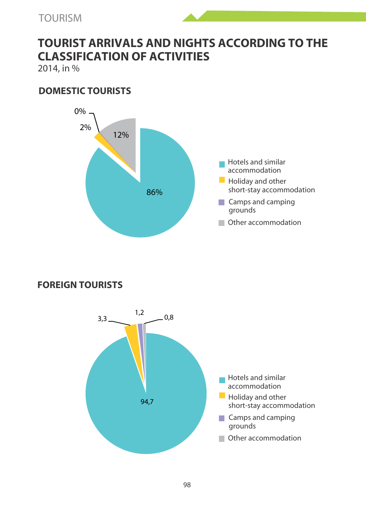### **TOURIST ARRIVALS AND NIGHTS ACCORDING TO THE CLASSIFICATION OF ACTIVITIES**

2014, in %

#### **DOMESTIC TOURISTS**



#### **FOREIGN TOURISTS**

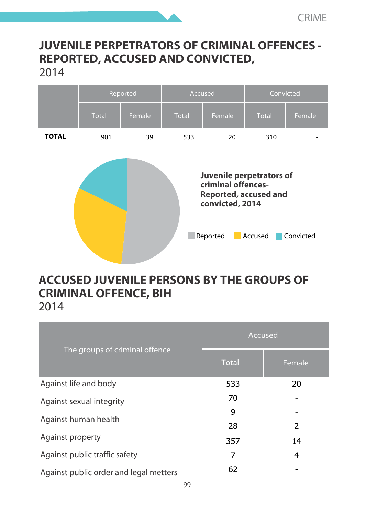### **JUVENILE PERPETRATORS OF CRIMINAL OFFENCES - REPORTED, ACCUSED AND CONVICTED,**  2014



# **ACCUSED JUVENILE PERSONS BY THE GROUPS OF CRIMINAL OFFENCE, BIH**

2014

|                                        | Accused      |                |  |
|----------------------------------------|--------------|----------------|--|
| The groups of criminal offence         | <b>Total</b> | Female         |  |
| Against life and body                  | 533          | 20             |  |
| Against sexual integrity               | 70           |                |  |
| Against human health                   | 9            |                |  |
|                                        | 28           | $\overline{2}$ |  |
| Against property                       | 357          | 14             |  |
| Against public traffic safety          | 7            | 4              |  |
| Against public order and legal metters | 62           |                |  |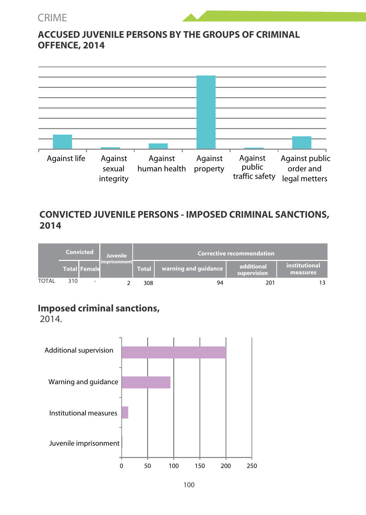#### CRIME





#### **CONVICTED JUVENILE PERSONS - IMPOSED CRIMINAL SANCTIONS, 2014**

|              | Convicted |                     | Juvenile     | <b>Corrective recommendation</b> |                      |                           |                           |  |
|--------------|-----------|---------------------|--------------|----------------------------------|----------------------|---------------------------|---------------------------|--|
|              |           | <b>Total Female</b> | imprisonment | Total                            | warning and quidance | additional<br>supervision | institutional<br>measures |  |
| <b>TOTAL</b> | 310       | ٠                   |              | 308                              |                      | 201                       |                           |  |

#### **Imposed criminal sanctions,**

2014.

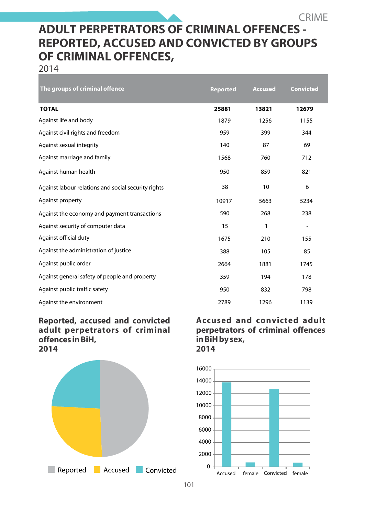### **ADULT PERPETRATORS OF CRIMINAL OFFENCES - REPORTED, ACCUSED AND CONVICTED BY GROUPS OF CRIMINAL OFFENCES,**

2014

| The groups of criminal offence                      | <b>Reported</b> | <b>Accused</b> | <b>Convicted</b> |
|-----------------------------------------------------|-----------------|----------------|------------------|
| <b>TOTAL</b>                                        | 25881           | 13821          | 12679            |
| Against life and body                               | 1879            | 1256           | 1155             |
| Against civil rights and freedom                    | 959             | 399            | 344              |
| Against sexual integrity                            | 140             | 87             | 69               |
| Against marriage and family                         | 1568            | 760            | 712              |
| Against human health                                | 950             | 859            | 821              |
| Against labour relations and social security rights | 38              | 10             | 6                |
| Against property                                    | 10917           | 5663           | 5234             |
| Against the economy and payment transactions        | 590             | 268            | 238              |
| Against security of computer data                   | 15              | 1              | ٠                |
| Against official duty                               | 1675            | 210            | 155              |
| Against the administration of justice               | 388             | 105            | 85               |
| Against public order                                | 2664            | 1881           | 1745             |
| Against general safety of people and property       | 359             | 194            | 178              |
| Against public traffic safety                       | 950             | 832            | 798              |
| Against the environment                             | 2789            | 1296           | 1139             |

#### **Reported, accused and convicted adult perpetrators of criminal offences in BiH, 2014**



**Accused and convicted adult perpetrators of criminal offences in BiH by sex, 2014**

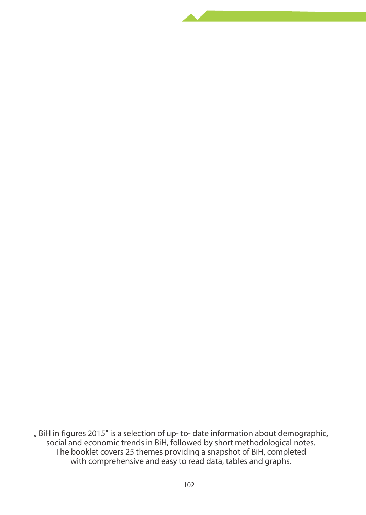BiH in figures 2015" is a selection of up- to- date information about demographic, social and economic trends in BiH, followed by short methodological notes. The booklet covers 25 themes providing a snapshot of BiH, completed with comprehensive and easy to read data, tables and graphs.